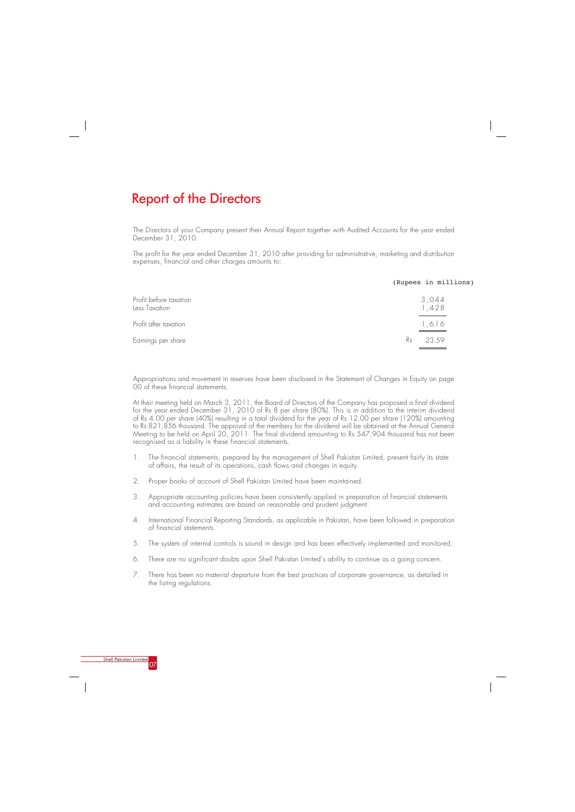The Directors of your Company present their Annual Report together with Audited Accounts for the year ended December 31, 2010.

The profit for the year ended December 31, 2010 after providing for administrative, marketing and distribution expenses, financial and other charges amounts to:

Appropriations and movement in reserves have been disclosed in the Statement of Changes in Equity on page 00 of these financial statements.

At their meeting held on March 3, 2011, the Board of Directors of the Company has proposed a final dividend for the year ended December 31, 2010 of Rs 8 per share (80%). This is in addition to the interim dividend of Rs 4.00 per share (40%) resulting in a total dividend for the year of Rs 12.00 per share (120%) amounting to Rs 821,856 thousand. The approval of the members for the dividend will be obtained at the Annual General Meeting to be held on April 20, 2011. The final dividend amounting to Rs 547,904 thousand has not been recognised as a liability in these financial statements.

- 1. The financial statements, prepared by the management of Shell Pakistan Limited, present fairly its state of affairs, the result of its operations, cash flows and changes in equity.
- 2. Proper books of account of Shell Pakistan Limited have been maintained.
- 3. Appropriate accounting policies have been consistently applied in preparation of financial statements and accounting estimates are based on reasonable and prudent judgment.
- 4. International Financial Reporting Standards, as applicable in Pakistan, have been followed in preparation of financial statements.
- 5. The system of internal controls is sound in design and has been effectively implemented and monitored.
- 6. There are no significant doubts upon Shell Pakistan Limited's ability to continue as a going concern.
- 7. There has been no material departure from the best practices of corporate governance, as detailed in the listing regulations.

# Report of the Directors

|                                         | (Rupees in millions) |
|-----------------------------------------|----------------------|
| Profit before taxation<br>Less:Taxation | 3,044<br>1,428       |
| Profit after taxation                   | 1,616                |
| Earnings per share                      | Rs<br>23.59          |

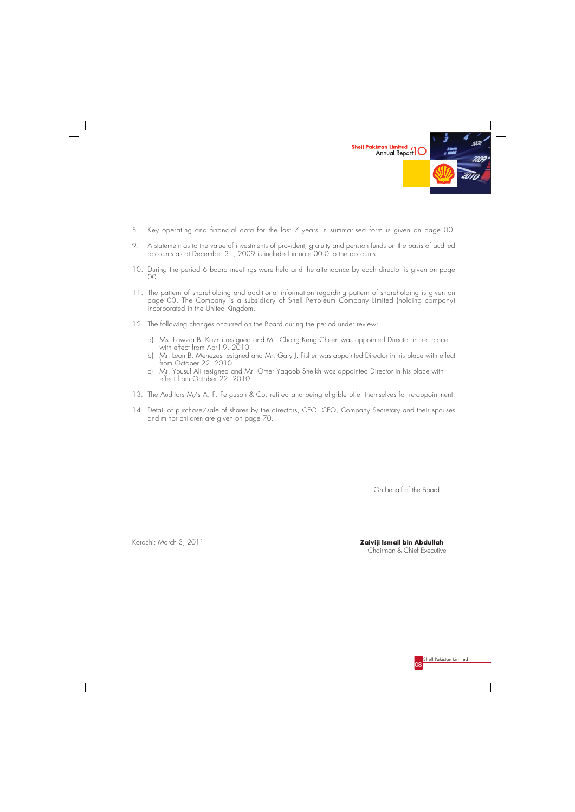

- 8. Key operating and financial data for the last 7 years in summarised form is given on page 00.
- 9. A statement as to the value of investments of provident, gratuity and pension funds on the basis of audited accounts as at December 31, 2009 is included in note 00.0 to the accounts.
- 10. During the period 6 board meetings were held and the attendance by each director is given on page 00.
- 11. The pattern of shareholding and additional information regarding pattern of shareholding is given on page 00. The Company is a subsidiary of Shell Petroleum Company Limited (holding company) incorporated in the United Kingdom.
- 12 The following changes occurred on the Board during the period under review:
	- a) Ms. Fawzia B. Kazmi resigned and Mr. Chong Keng Cheen was appointed Director in her place with effect from April 9, 2010.
	- b) Mr. Leon B. Menezes resigned and Mr. Gary J. Fisher was appointed Director in his place with effect from October 22, 2010.
	- c) Mr. Yousuf Ali resigned and Mr. Omer Yaqoob Sheikh was appointed Director in his place with effect from October 22, 2010.
- 13. The Auditors M/s A. F. Ferguson & Co. retired and being eligible offer themselves for re-appointment.
- 14. Detail of purchase/sale of shares by the directors, CEO, CFO, Company Secretary and their spouses and minor children are given on page 70.

**Zaiviji Ismail bin Abdullah** Chairman & Chief Executive

Karachi: March 3, 2011

On behalf of the Board

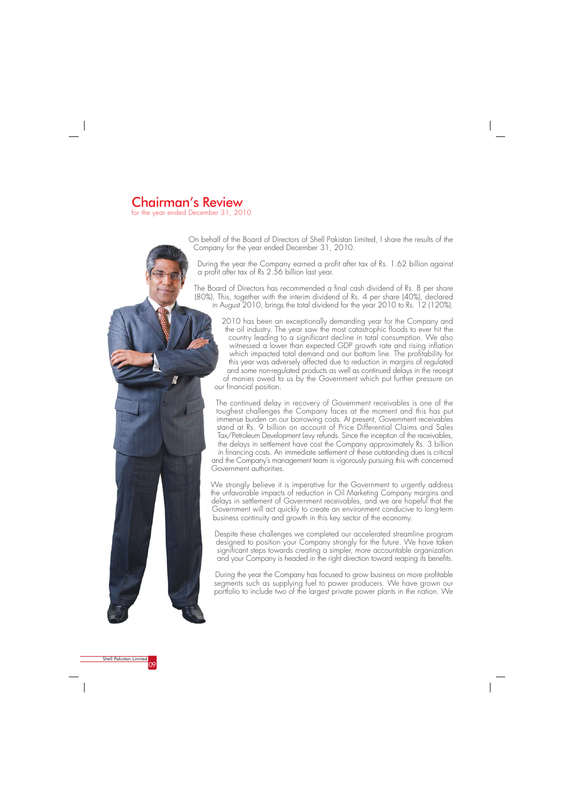# **Chairman's Review**

for the year ended December 31, 2010



On behalf of the Board of Directors of Shell Pakistan Limited, I share the results of the Company for the year ended December 31, 2010.

During the year the Company earned a profit after tax of Rs. 1.62 billion against a profit after tax of Rs 2.56 billion last year.

The Board of Directors has recommended a final cash dividend of Rs. 8 per share (80%). This, together with the interim dividend of Rs. 4 per share (40%), declared in August 2010, brings the total dividend for the year 2010 to Rs. 12 (120%).

2010 has been an exceptionally demanding year for the Company and the oil industry. The year saw the most catastrophic floods to ever hit the country leading to a significant decline in total consumption. We also witnessed a lower than expected GDP growth rate and rising inflation which impacted total demand and our bottom line. The profitability for this year was adversely affected due to reduction in margins of regulated and some non-regulated products as well as continued delays in the receipt of monies owed to us by the Government which put further pressure on our financial position.

During the year the Company has focused to grow business on more profitable segments such as supplying fuel to power producers. We have grown our portfolio to include two of the largest private power plants in the nation. We



The continued delay in recovery of Government receivables is one of the toughest challenges the Company faces at the moment and this has put immense burden on our borrowing costs. At present, Government receivables stand at Rs. 9 billion on account of Price Differential Claims and Sales Tax/Petroleum Development Levy refunds. Since the inception of the receivables, the delays in settlement have cost the Company approximately Rs. 3 billion in financing costs. An immediate settlement of these outstanding dues is critical and the Company's management team is vigorously pursuing this with concerned Government authorities.

We strongly believe it is imperative for the Government to urgently address the unfavorable impacts of reduction in Oil Marketing Company margins and delays in settlement of Government receivables, and we are hopeful that the Government will act quickly to create an environment conducive to long-term business continuity and growth in this key sector of the economy.

Despite these challenges we completed our accelerated streamline program designed to position your Company strongly for the future. We have taken significant steps towards creating a simpler, more accountable organization and your Company is headed in the right direction toward reaping its benefits.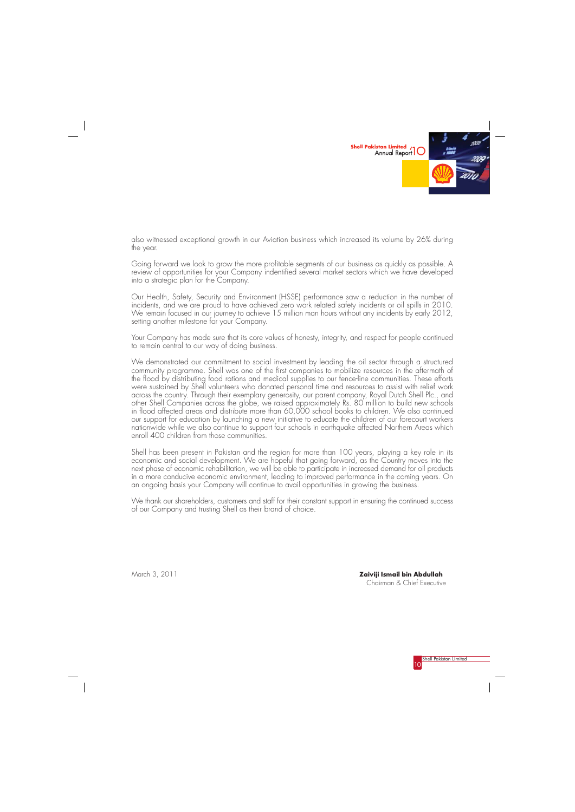



also witnessed exceptional growth in our Aviation business which increased its volume by 26% during the year.

Going forward we look to grow the more profitable segments of our business as quickly as possible. A review of opportunities for your Company indentified several market sectors which we have developed into a strategic plan for the Company.

Our Health, Safety, Security and Environment (HSSE) performance saw a reduction in the number of incidents, and we are proud to have achieved zero work related safety incidents or oil spills in 2010. We remain focused in our journey to achieve 15 million man hours without any incidents by early 2012, setting another milestone for your Company.

Your Company has made sure that its core values of honesty, integrity, and respect for people continued to remain central to our way of doing business.

We demonstrated our commitment to social investment by leading the oil sector through a structured community programme. Shell was one of the first companies to mobilize resources in the aftermath of the flood by distributing food rations and medical supplies to our fence-line communities. These efforts were sustained by Shell volunteers who donated personal time and resources to assist with relief work across the country. Through their exemplary generosity, our parent company, Royal Dutch Shell Plc., and other Shell Companies across the globe, we raised approximately Rs. 80 million to build new schools in flood affected areas and distribute more than 60,000 school books to children. We also continued our support for education by launching a new initiative to educate the children of our forecourt workers nationwide while we also continue to support four schools in earthquake affected Northern Areas which enroll 400 children from those communities.

Shell has been present in Pakistan and the region for more than 100 years, playing a key role in its economic and social development. We are hopeful that going forward, as the Country moves into the next phase of economic rehabilitation, we will be able to participate in increased demand for oil products in a more conducive economic environment, leading to improved performance in the coming years. On an ongoing basis your Company will continue to avail opportunities in growing the business.

We thank our shareholders, customers and staff for their constant support in ensuring the continued success of our Company and trusting Shell as their brand of choice.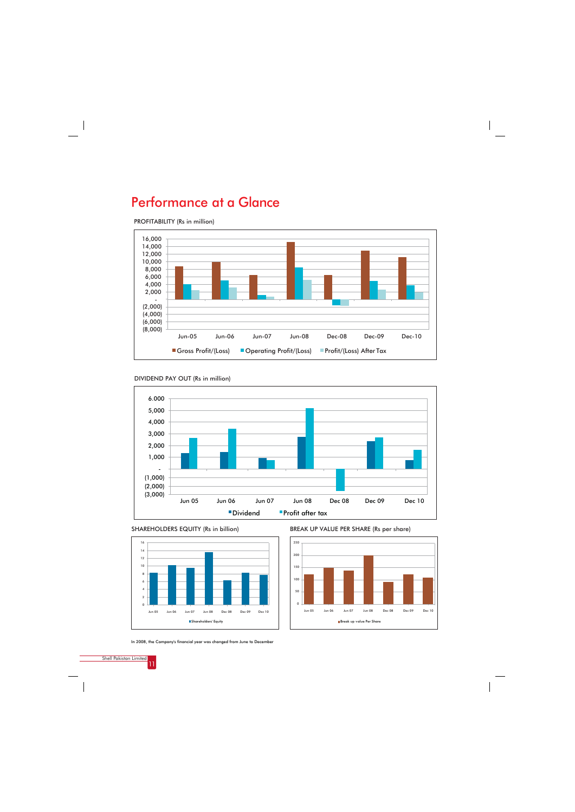



PROFITABILITY (Rs in million)

# Performance at a Glance





In 2008, the Company's financial year was changed from June to December

BREAK UP VALUE PER SHARE (Rs per share)



SHAREHOLDERS EQUITY (Rs in billion)



Shareholders' Equity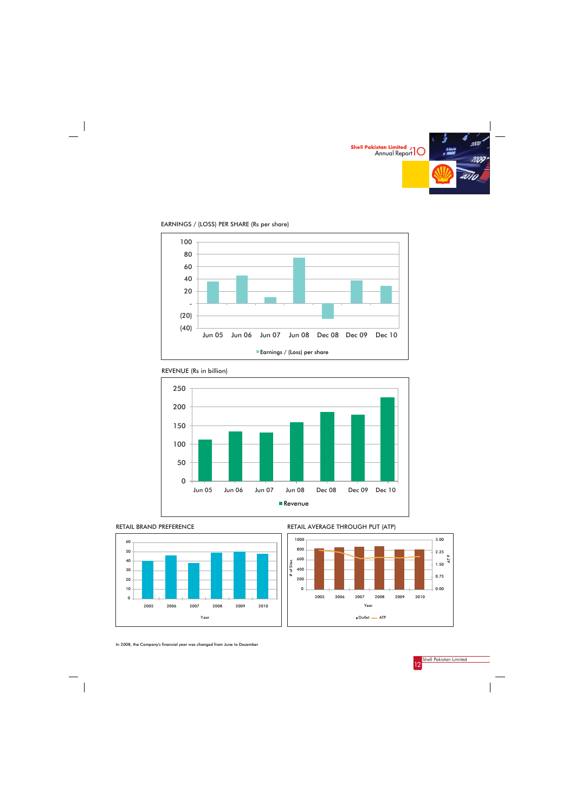





EARNINGS / (LOSS) PER SHARE (Rs per share)





In 2008, the Company's financial year was changed from June to December





RETAIL AVERAGE THROUGH PUT (ATP)

| Year | Outlet ME ATP |
|------|---------------|
|      |               |

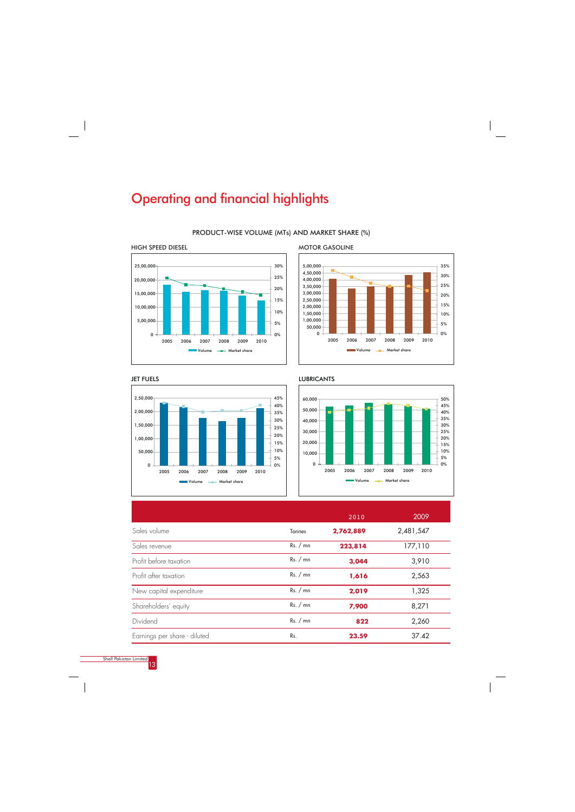

PRODUCT-WISE VOLUME (MTs) AND MARKET SHARE (%)





|                         |          | 2010      | 2009      |  |
|-------------------------|----------|-----------|-----------|--|
| Sales volume            | Tonnes   | 2,762,889 | 2,481,547 |  |
| Sales revenue           | Rs. / mn | 223,814   | 177,110   |  |
| Profit before taxation  | Rs. / mn | 3,044     | 3,910     |  |
| Profit after taxation   | Rs. / mn | 1,616     | 2,563     |  |
| New capital expenditure | Rs. / mn | 2,019     | 1,325     |  |
| Shareholders' equity    | Rs. / mn | 7,900     | 8,271     |  |



|                              |     |       | 2,260 |
|------------------------------|-----|-------|-------|
| Earnings per share - diluted | Ks. | 23.59 | 37.42 |

HIGH SPEED DIESEL





# Operating and financial highlights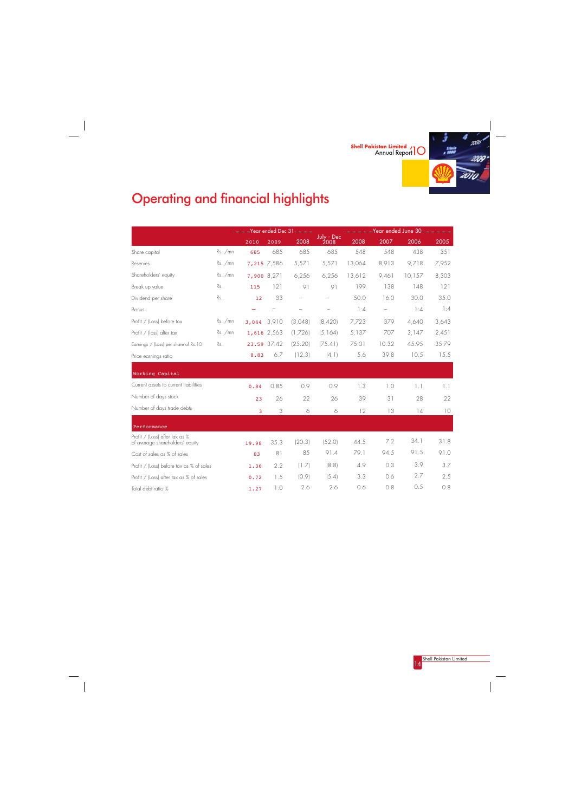



# Operating and financial highlights

 $\frac{1}{\sqrt{2}}$ 

|                                                                   |           |             |             | $-$ Year ended Dec 31 $  -$ |                    | Year ended June 30 |                   |        |       |  |  |  |  |
|-------------------------------------------------------------------|-----------|-------------|-------------|-----------------------------|--------------------|--------------------|-------------------|--------|-------|--|--|--|--|
|                                                                   |           | 2010        | 2009        | 2008                        | July - Dec<br>2008 | 2008               | 2007              | 2006   | 2005  |  |  |  |  |
| Share capital                                                     | $Rs.$ /mn | 685         | 685         | 685                         | 685                | 548                | 548               | 438    | 351   |  |  |  |  |
| Reserves                                                          | $Rs.$ /mn | 7,215 7,586 |             | 5,571                       | 5,571              | 13,064             | 8,913             | 9,718  | 7,952 |  |  |  |  |
| Shareholders' equity                                              | $Rs.$ /mn | 7,900 8,271 |             | 6,256                       | 6,256              | 13,612             | 9,461             | 10,157 | 8,303 |  |  |  |  |
| Break up value                                                    | Rs.       | 115         | 121         | 91                          | 91                 | 199                | 138               | 148    | 121   |  |  |  |  |
| Dividend per share                                                | Rs.       | 12          | 33          | $\overline{\phantom{0}}$    | -                  | 50.0               | 16.0              | 30.0   | 35.0  |  |  |  |  |
| Bonus                                                             |           |             |             |                             |                    | 1:4                | $\qquad \qquad -$ | 1:4    | 1:4   |  |  |  |  |
| Profit / (Loss) before tax                                        | $Rs.$ /mn | 3,044       | 3.910       | (3,048)                     | (8,420)            | 7,723              | 379               | 4.640  | 3,643 |  |  |  |  |
| Profit / (loss) after tax                                         | $Rs.$ /mn | 1,616 2,563 |             | (1,726)                     | (5, 164)           | 5,137              | 707               | 3,147  | 2,451 |  |  |  |  |
| Earnings / (Loss) per share of Rs. 10                             | Rs.       |             | 23.59 37.42 | (25.20)                     | (75.41)            | 75.01              | 10.32             | 45.95  | 35.79 |  |  |  |  |
| Price earnings ratio                                              |           | 8.83        | 6.7         | (12.3)                      | (4.1)              | 5.6                | 39.8              | 10.5   | 15.5  |  |  |  |  |
| Working Capital                                                   |           |             |             |                             |                    |                    |                   |        |       |  |  |  |  |
| Current assets to current liabilities                             |           |             |             |                             |                    |                    |                   |        |       |  |  |  |  |
|                                                                   |           | 0.84        | 0.85        | 0.9                         | 0.9                | 1.3                | 1.0               | 1.1    | 1.1   |  |  |  |  |
| Number of days stock                                              |           | 23          | 26          | 22                          | 26                 | 39                 | 31                | 28     | 22    |  |  |  |  |
| Number of days trade debts                                        |           | 3           | 3           | $\Diamond$                  | $\Diamond$         | 12                 | 13                | 14     | 10    |  |  |  |  |
| Performance                                                       |           |             |             |                             |                    |                    |                   |        |       |  |  |  |  |
| Profit / (Loss) after tax as %<br>of average shareholders' equity |           | 19.98       | 35.3        | (20.3)                      | (52.0)             | 44.5               | 7.2               | 34.1   | 31.8  |  |  |  |  |
| Cost of sales as % of sales                                       |           | 83          | 81          | 85                          | 91.4               | 79.1               | 94.5              | 91.5   | 91.0  |  |  |  |  |
| Profit / (Loss) before tax as % of sales                          |           | 1.36        | 2.2         | (1.7)                       | (8.8)              | 4.9                | 0.3               | 3.9    | 3.7   |  |  |  |  |
| Profit / (Loss) after tax as % of sales                           |           | 0.72        | 1.5         | (0.9)                       | (5.4)              | 3.3                | 0.6               | 2.7    | 2.5   |  |  |  |  |
| Total debt ratio %                                                |           | 1.27        | 1.0         | 2.6                         | 2.6                | 0.6                | 0.8               | 0.5    | 0.8   |  |  |  |  |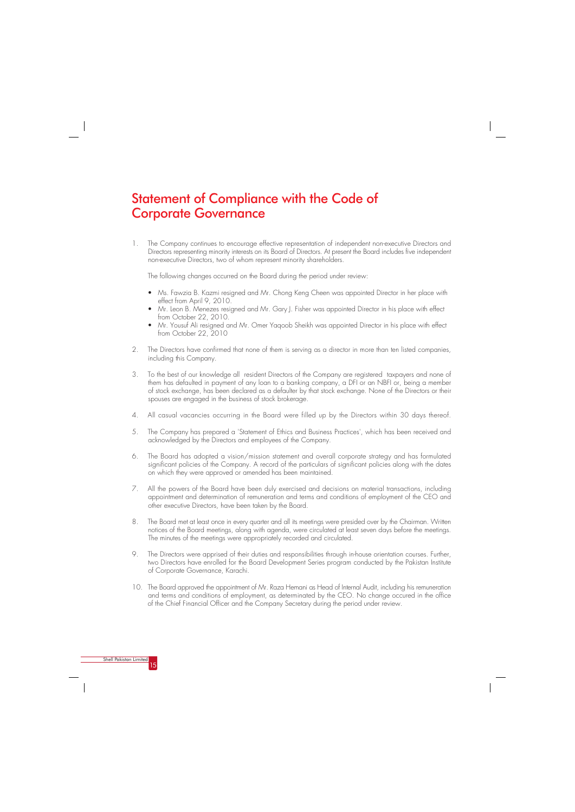# Statement of Compliance with the Code of Corporate Governance

1. The Company continues to encourage effective representation of independent non-executive Directors and Directors representing minority interests on its Board of Directors. At present the Board includes five independent non-executive Directors, two of whom represent minority shareholders.

The following changes occurred on the Board during the period under review:

- Ms. Fawzia B. Kazmi resigned and Mr. Chong Keng Cheen was appointed Director in her place with effect from April 9, 2010.
- Mr. Leon B. Menezes resigned and Mr. Gary J. Fisher was appointed Director in his place with effect from October 22, 2010.
- Mr. Yousuf Ali resigned and Mr. Omer Yaqoob Sheikh was appointed Director in his place with effect from October 22, 2010
- 2. The Directors have confirmed that none of them is serving as a director in more than ten listed companies, including this Company.
- 3. To the best of our knowledge all resident Directors of the Company are registered taxpayers and none of them has defaulted in payment of any loan to a banking company, a DFI or an NBFI or, being a member of stock exchange, has been declared as a defaulter by that stock exchange. None of the Directors or their spouses are engaged in the business of stock brokerage.
- 4. All casual vacancies occurring in the Board were filled up by the Directors within 30 days thereof.
- 5. The Company has prepared a 'Statement of Ethics and Business Practices', which has been received and acknowledged by the Directors and employees of the Company.
- 6. The Board has adopted a vision/mission statement and overall corporate strategy and has formulated significant policies of the Company. A record of the particulars of significant policies along with the dates on which they were approved or amended has been maintained.
- 7. All the powers of the Board have been duly exercised and decisions on material transactions, including appointment and determination of remuneration and terms and conditions of employment of the CEO and other executive Directors, have been taken by the Board.
- 8. The Board met at least once in every quarter and all its meetings were presided over by the Chairman. Written notices of the Board meetings, along with agenda, were circulated at least seven days before the meetings. The minutes of the meetings were appropriately recorded and circulated.
- 9. The Directors were apprised of their duties and responsibilities through in-house orientation courses. Further, two Directors have enrolled for the Board Development Series program conducted by the Pakistan Institute of Corporate Governance, Karachi.
- 10. The Board approved the appointment of Mr. Raza Hemani as Head of Internal Audit, including his remuneration and terms and conditions of employment, as determinated by the CEO. No change occured in the office of the Chief Financial Officer and the Company Secretary during the period under review.

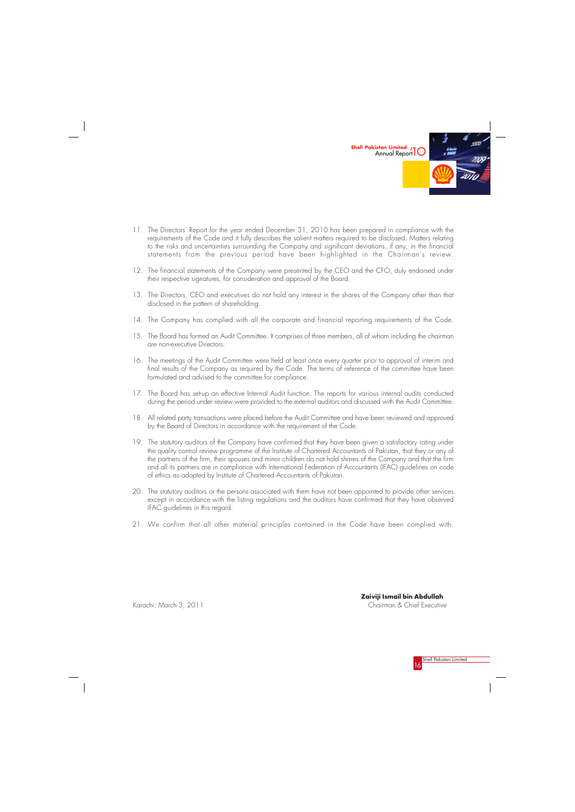



- 11. The Directors' Report for the year ended December 31, 2010 has been prepared in compliance with the requirements of the Code and it fully describes the salient matters required to be disclosed. Matters relating to the risks and uncertainties surrounding the Company and significant deviations, if any, in the financial statements from the previous period have been highlighted in the Chairman's review.
- 12. The financial statements of the Company were presented by the CEO and the CFO, duly endorsed under their respective signatures, for consideration and approval of the Board.
- 13. The Directors, CEO and executives do not hold any interest in the shares of the Company other than that disclosed in the pattern of shareholding.
- 14. The Company has complied with all the corporate and financial reporting requirements of the Code.
- 15. The Board has formed an Audit Committee. It comprises of three members, all of whom including the chairman are non-executive Directors.
- 16. The meetings of the Audit Committee were held at least once every quarter prior to approval of interim and final results of the Company as required by the Code. The terms of reference of the committee have been formulated and advised to the committee for compliance.
- 17. The Board has set-up an effective Internal Audit function. The reports for various internal audits conducted during the period under review were provided to the external auditors and discussed with the Audit Committee.
- 18. All related party transactions were placed before the Audit Committee and have been reviewed and approved by the Board of Directors in accordance with the requirement of the Code.
- 19. The statutory auditors of the Company have confirmed that they have been given a satisfactory rating under the quality control review programme of the Institute of Chartered Accountants of Pakistan, that they or any of the partners of the firm, their spouses and minor children do not hold shares of the Company and that the firm and all its partners are in compliance with International Federation of Accountants (IFAC) guidelines on code of ethics as adopted by Institute of Chartered Accountants of Pakistan.
- 20. The statutory auditors or the persons associated with them have not been appointed to provide other services except in accordance with the listing regulations and the auditors have confirmed that they have observed IFAC guidelines in this regard.
- 21. We confirm that all other material principles contained in the Code have been complied with.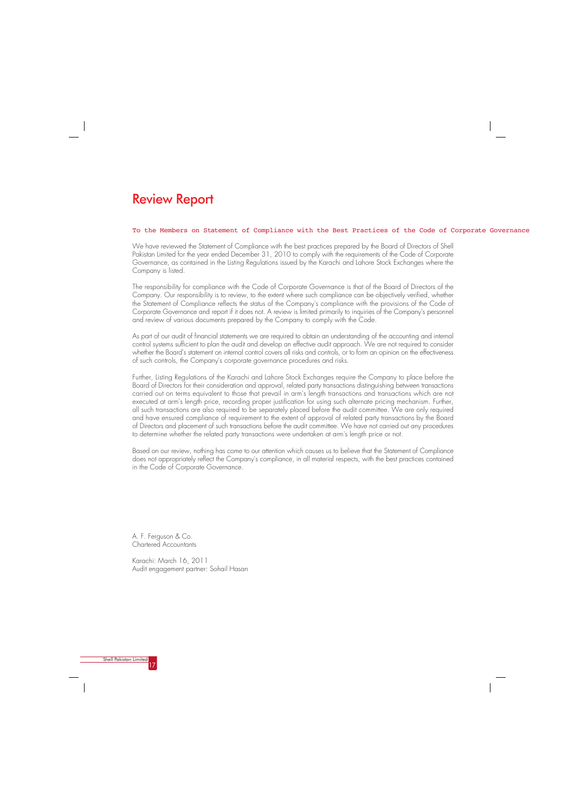#### To the Members on Statement of Compliance with the Best Practices of the Code of Corporate Governance

We have reviewed the Statement of Compliance with the best practices prepared by the Board of Directors of Shell Pakistan Limited for the year ended December 31, 2010 to comply with the requirements of the Code of Corporate Governance, as contained in the Listing Regulations issued by the Karachi and Lahore Stock Exchanges where the Company is listed.

The responsibility for compliance with the Code of Corporate Governance is that of the Board of Directors of the Company. Our responsibility is to review, to the extent where such compliance can be objectively verified, whether the Statement of Compliance reflects the status of the Company's compliance with the provisions of the Code of Corporate Governance and report if it does not. A review is limited primarily to inquiries of the Company's personnel and review of various documents prepared by the Company to comply with the Code.

As part of our audit of financial statements we are required to obtain an understanding of the accounting and internal control systems sufficient to plan the audit and develop an effective audit approach. We are not required to consider whether the Board's statement on internal control covers all risks and controls, or to form an opinion on the effectiveness of such controls, the Company's corporate governance procedures and risks.

Further, Listing Regulations of the Karachi and Lahore Stock Exchanges require the Company to place before the Board of Directors for their consideration and approval, related party transactions distinguishing between transactions carried out on terms equivalent to those that prevail in arm's length transactions and transactions which are not executed at arm's length price, recording proper justification for using such alternate pricing mechanism. Further, all such transactions are also required to be separately placed before the audit committee. We are only required and have ensured compliance of requirement to the extent of approval of related party transactions by the Board of Directors and placement of such transactions before the audit committee. We have not carried out any procedures to determine whether the related party transactions were undertaken at arm's length price or not.

Based on our review, nothing has come to our attention which causes us to believe that the Statement of Compliance does not appropriately reflect the Company's compliance, in all material respects, with the best practices contained in the Code of Corporate Governance.

## Review Report

A. F. Ferguson & Co. Chartered Accountants

Karachi: March 16, 2011 Audit engagement partner: Sohail Hasan

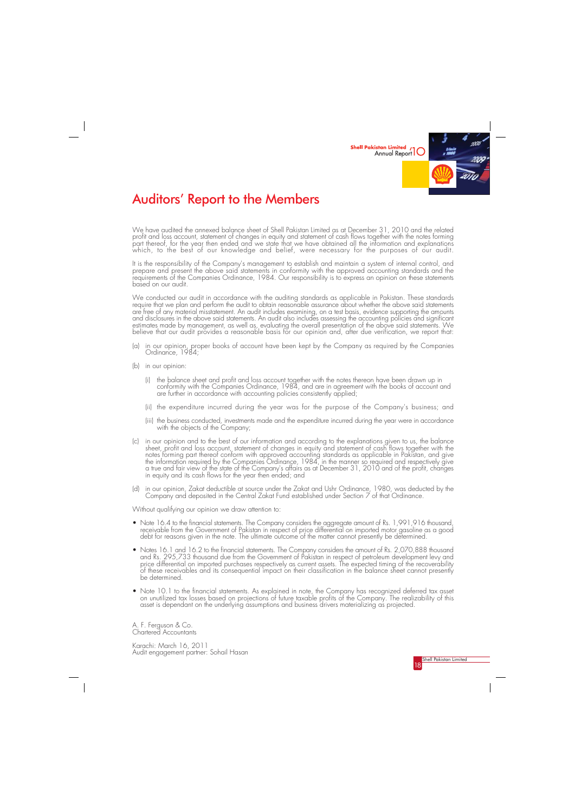

# Auditors» Report to the Members

We have audited the annexed balance sheet of Shell Pakistan Limited as at December 31, 2010 and the related profit and loss account, statement of changes in equity and statement of cash flows together with the notes forming part thereof, for the year then ended and we state that we have obtained all the information and explanations which, to the best of our knowledge and belief, were necessary for the purposes of our audit.

It is the responsibility of the Company's management to establish and maintain a system of internal control, and prepare and present the above said statements in conformity with the approved accounting standards and the requirements of the Companies Ordinance, 1984. Our responsibility is to express an opinion on these statements based on our audit.

We conducted our audit in accordance with the auditing standards as applicable in Pakistan. These standards require that we plan and perform the audit to obtain reasonable assurance about whether the above said statements are free of any material misstatement. An audit includes examining, on a test basis, evidence supporting the amounts and disclosures in the above said statements. An audit also includes assessing the accounting policies and significant estimates made by management, as well as, evaluating the overall presentation of the above said statements. We believe that our audit provides a reasonable basis for our opinion and, after due verification, we report that:

Karachi: March 16, 2011 Audit engagement partner: Sohail Hasan

- (a) in our opinion, proper books of account have been kept by the Company as required by the Companies Ordinance, 1984;
- (b) in our opinion:
	- (i) the balance sheet and profit and loss account together with the notes thereon have been drawn up in conformity with the Companies Ordinance, 1984, and are in agreement with the books of account and are further in accordance with accounting policies consistently applied;
	- (ii) the expenditure incurred during the year was for the purpose of the Company's business; and
	- (iii) the business conducted, investments made and the expenditure incurred during the year were in accordance with the objects of the Company;
- (c) in our opinion and to the best of our information and according to the explanations given to us, the balance sheet, profit and loss account, statement of changes in equity and statement of cash flows together with the notes forming part thereof conform with approved accounting standards as applicable in Pakistan, and give the information required by the Companies Ordinance, 1984, in the manner so required and respectively give a true and fair view of the state of the Company's affairs as at December 31, 2010 and of the profit, changes in equity and its cash flows for the year then ended; and
- (d) in our opinion, Zakat deductible at source under the Zakat and Ushr Ordinance, 1980, was deducted by the Company and deposited in the Central Zakat Fund established under Section 7 of that Ordinance.

Without qualifying our opinion we draw attention to:

- Note 16.4 to the financial statements. The Company considers the aggregate amount of Rs. 1,991,916 thousand, receivable from the Government of Pakistan in respect of price differential on imported motor gasoline as a good debt for reasons given in the note. The ultimate outcome of the matter cannot presently be determined.
- Notes 16.1 and 16.2 to the financial statements. The Company considers the amount of Rs. 2,070,888 thousand and Rs. 295,733 thousand due from the Government of Pakistan in respect of petroleum development levy and price differential on imported purchases respectively as current assets. The expected timing of the recoverability of these receivables and its consequential impact on their classification in the balance sheet cannot presently be determined.
- Note 10.1 to the financial statements. As explained in note, the Company has recognized deferred tax asset on unutilized tax losses based on projections of future taxable profits of the Company. The realizability of this asset is dependant on the underlying assumptions and business drivers materializing as projected.

A. F. Ferguson & Co. Chartered Accountants

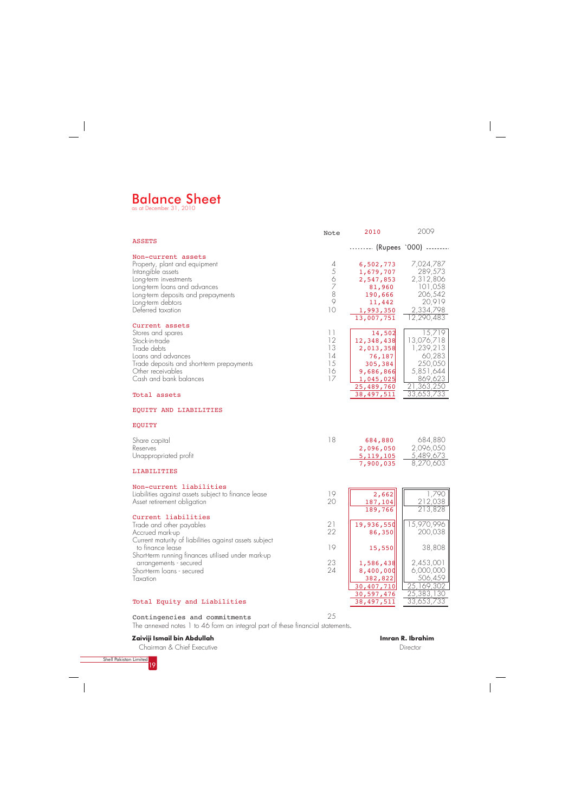

# Balance Sheet as at December 31, 2010

Contingencies and commitments

## **Zaiviji Ismail bin Abdullah**

|                                                                                                                                                                                                                   | Note                                                                      | 2010                                                                                                           | 2009                                                                                                       |
|-------------------------------------------------------------------------------------------------------------------------------------------------------------------------------------------------------------------|---------------------------------------------------------------------------|----------------------------------------------------------------------------------------------------------------|------------------------------------------------------------------------------------------------------------|
| <b>ASSETS</b>                                                                                                                                                                                                     |                                                                           | -------- (Rupees '000) --------                                                                                |                                                                                                            |
| Non-current assets<br>Property, plant and equipment<br>Intangible assets<br>Long-term investments<br>Long-term loans and advances<br>Long-term deposits and prepayments<br>Long-term debtors<br>Deferred taxation | 4<br>5<br>$\Diamond$<br>$\overline{z}$<br>8<br>$\circ$<br>10              | 6,502,773<br>1,679,707<br>2,547,853<br>81,960<br>190,666<br>11,442<br>1,993,350<br>13,007,751                  | 7,024,787<br>289,573<br>2,312,806<br>101,058<br>206,542<br>20,919<br>2,334,798<br>12,290,483               |
| Current assets<br>Stores and spares<br>Stock-in-trade<br>Trade debts<br>Loans and advances<br>Trade deposits and short-term prepayments<br>Other receivables<br>Cash and bank balances<br>Total assets            | $\begin{array}{c} \hline \end{array}$<br>12<br>13<br>14<br>15<br>16<br>17 | 14,502<br>12,348,438<br>2,013,358<br>76,187<br>305,384<br>9,686,866<br>1,045,025<br>25,489,760<br>38, 497, 511 | 15,719<br>13,076,718<br>1,239,213<br>60,283<br>250,050<br>5,851,644<br>869,623<br>21,363,250<br>33,653,733 |
| EQUITY AND LIABILITIES                                                                                                                                                                                            |                                                                           |                                                                                                                |                                                                                                            |
| <b>EQUITY</b>                                                                                                                                                                                                     |                                                                           |                                                                                                                |                                                                                                            |
| Share capital<br>Reserves<br>Unappropriated profit                                                                                                                                                                | 18                                                                        | 684,880<br>2,096,050<br>5, 119, 105<br>7,900,035                                                               | 684,880<br>2,096,050<br>5,489,673<br>8,270,603                                                             |
| LIABILITIES                                                                                                                                                                                                       |                                                                           |                                                                                                                |                                                                                                            |
| Non-current liabilities<br>Liabilities against assets subject to finance lease<br>Asset retirement obligation                                                                                                     | 19<br>20                                                                  | 2,662<br>187,104<br>189,766                                                                                    | 1,790<br>212,038<br>213,828                                                                                |
| Current liabilities<br>Trade and other payables<br>Accrued mark-up<br>Current maturity of liabilities against assets subject                                                                                      | 21<br>22                                                                  | 19,936,550<br>86,350                                                                                           | 15,970,996<br>200,038                                                                                      |
| to finance lease<br>Short-term running finances utilised under mark-up                                                                                                                                            | 19                                                                        | 15,550                                                                                                         | 38,808                                                                                                     |
| arrangements - secured<br>Short-term loans - secured<br>Taxation                                                                                                                                                  | 23<br>24                                                                  | 1,586,438<br>8,400,000<br>382,822<br>30,407,710<br>30,597,476                                                  | 2,453,001<br>6,000,000<br>506,459<br>25,169,302<br>25,383,130<br>33,653,733                                |
| Total Equity and Liabilities                                                                                                                                                                                      |                                                                           | 38, 497, 511                                                                                                   |                                                                                                            |

Chairman & Chief Executive



Director

The annexed notes 1 to 46 form an integral part of these financial statements.

25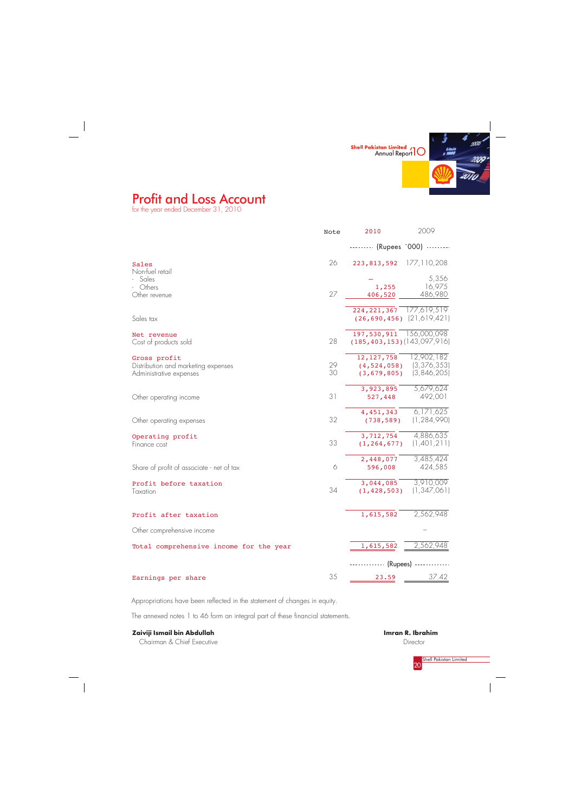

# Profit and Loss Account

for the year ended December 31, 2010



**Imran R. Ibrahim Director** 

Appropriations have been reflected in the statement of changes in equity.

The annexed notes 1 to 46 form an integral part of these financial statements.

## **Zaiviji Ismail bin Abdullah**

Chairman & Chief Executive

|                                           | Note | 2010                              | 2009          |
|-------------------------------------------|------|-----------------------------------|---------------|
|                                           |      | -------- (Rupees '000) --------   |               |
| Sales                                     | 26   | 223,813,592                       | 177, 110, 208 |
| Non-fuel retail<br>Sales                  |      |                                   | 5,356         |
| Others                                    |      | 1,255                             | 16,975        |
| Other revenue                             | 27   | 406,520                           | 486,980       |
|                                           |      | 224, 221, 367                     | 177,619,519   |
| Sales tax                                 |      | $(26, 690, 456)$ $(21, 619, 421)$ |               |
| Net revenue                               |      | 197,530,911                       | 156,000,098   |
| Cost of products sold                     | 28   | $(185, 403, 153)$ (143,097,916)   |               |
| Gross profit                              |      | 12, 127, 758                      | 12,902,182    |
| Distribution and marketing expenses       | 29   | (4, 524, 058)                     | (3, 376, 353) |
| Administrative expenses                   | 30   | (3, 679, 805)                     | (3,846,205)   |
|                                           |      | 3,923,895                         | 5,679,624     |
| Other operating income                    | 31   | 527,448                           | 492,001       |
|                                           |      | 4,451,343                         | 6,171,625     |
| Other operating expenses                  | 32   | (738, 589)                        | (1, 284, 990) |
| Operating profit                          |      | 3,712,754                         | 4,886,635     |
| Finance cost                              | 33   | (1, 264, 677)                     | (1,401,211)   |
|                                           |      | 2,448,077                         | 3,485,424     |
| Share of profit of associate - net of tax | 6    | 596,008                           | 424,585       |
| Profit before taxation                    |      | 3,044,085                         | 3,910,009     |
| Taxation                                  | 34   | (1, 428, 503)                     | (1, 347, 061) |
| Profit after taxation                     |      | 1,615,582                         | 2,562,948     |
| Other comprehensive income                |      |                                   |               |
|                                           |      | 1,615,582                         | 2,562,948     |
| Total comprehensive income for the year   |      |                                   |               |
|                                           |      | ---------- (Rupees) ------------- |               |
| Earnings per share                        | 35   | 23.59                             | 37.42         |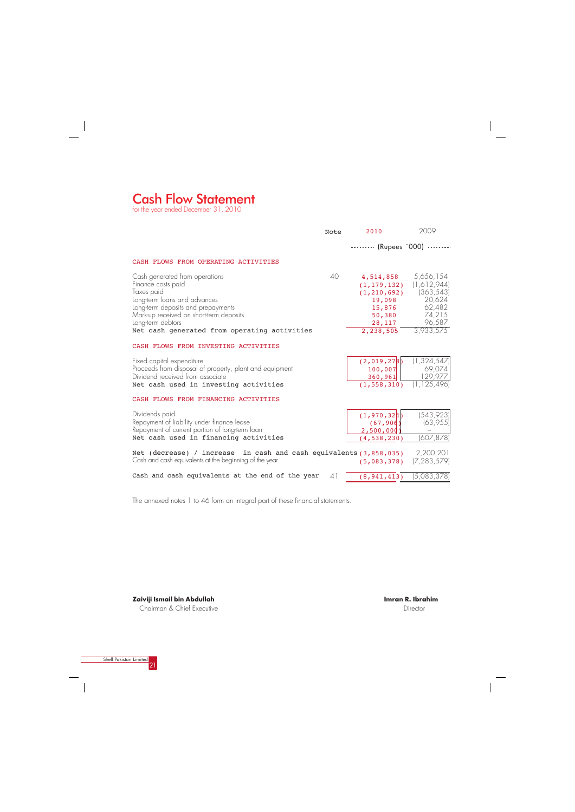## Cash Flow Statement

for the year ended December 31, 2010

|                                                                                                                                                                                                                                                          | Note         | 2010                                                                                             | 2009                                                                                        |
|----------------------------------------------------------------------------------------------------------------------------------------------------------------------------------------------------------------------------------------------------------|--------------|--------------------------------------------------------------------------------------------------|---------------------------------------------------------------------------------------------|
|                                                                                                                                                                                                                                                          |              | -------- (Rupees '000) --------                                                                  |                                                                                             |
| CASH FLOWS FROM OPERATING ACTIVITIES                                                                                                                                                                                                                     |              |                                                                                                  |                                                                                             |
| Cash generated from operations<br>Finance costs paid<br>Taxes paid<br>Long-term loans and advances<br>Long-term deposits and prepayments<br>Mark-up received on short-term deposits<br>Long-term debtors<br>Net cash generated from operating activities | $40^{\circ}$ | 4,514,858<br>(1, 179, 132)<br>(1, 210, 692)<br>19,098<br>15,876<br>50,380<br>28,117<br>2,238,505 | 5,656,154<br>(1,612,944)<br>(363, 543)<br>20,624<br>62,482<br>74,215<br>96,587<br>3,933,575 |
| CASH FLOWS FROM INVESTING ACTIVITIES                                                                                                                                                                                                                     |              |                                                                                                  |                                                                                             |
| Fixed capital expenditure<br>Proceeds from disposal of property, plant and equipment<br>Dividend received from associate<br>Net cash used in investing activities                                                                                        |              | (2,019,278)<br>100,007<br>360, 961<br>(1, 558, 310)                                              | (1, 324, 547)<br>69,074<br>129,977<br>(1, 125, 496)                                         |
| CASH FLOWS FROM FINANCING ACTIVITIES                                                                                                                                                                                                                     |              |                                                                                                  |                                                                                             |
| Dividends paid<br>Repayment of liability under finance lease<br>Repayment of current portion of long-term loan                                                                                                                                           |              | (1, 970, 324)<br>(67, 906)<br>2,500,000                                                          | (543, 923)<br>(63,955)                                                                      |
| Net cash used in financing activities                                                                                                                                                                                                                    |              | (4, 538, 230)                                                                                    | (607, 878)                                                                                  |
| Net (decrease) / increase in cash and cash equivalents $(3,858,035)$<br>Cash and cash equivalents at the beginning of the year                                                                                                                           |              | (5,083,378)                                                                                      | 2,200,201<br>(7, 283, 579)                                                                  |
| Cash and cash equivalents at the end of the year                                                                                                                                                                                                         | 41           | (8, 941, 413)                                                                                    | (5,083,378)                                                                                 |

The annexed notes 1 to 46 form an integral part of these financial statements.



 $\begin{array}{c} \begin{array}{c} \begin{array}{c} \begin{array}{c} \end{array} \\ \begin{array}{c} \end{array} \end{array} \end{array} \end{array}$ 

**Zaiviji Ismail bin Abdullah** Chairman & Chief Executive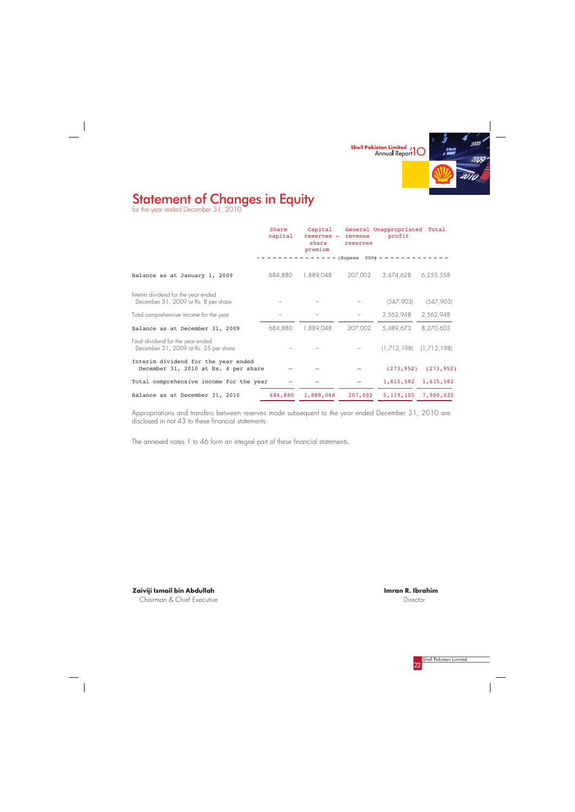



# Statement of Changes in Equity

for the year ended December 31, 2010

 $\overline{\phantom{a}}$ 

|                                                                             | Share<br>capital | Capital<br>reserves -<br>share<br>premium | revenue<br>reserves                  | General Unappropriated Total<br>profit |            |
|-----------------------------------------------------------------------------|------------------|-------------------------------------------|--------------------------------------|----------------------------------------|------------|
|                                                                             |                  |                                           | $- - - - -$ (Rupees 000+ - - - - - - |                                        |            |
| Balance as at January 1, 2009                                               | 684,880          | 1,889,048                                 | 207,002                              | 3,474,628                              | 6,255,558  |
| Interim dividend for the year ended<br>December 31, 2009 at Rs. 8 per share |                  |                                           |                                      | (547,903)                              | (547,903)  |
| Total comprehensive income for the year                                     |                  |                                           |                                      | 2,562,948                              | 2,562,948  |
| Balance as at December 31, 2009                                             | 684,880          | 1,889,048                                 | 207,002                              | 5,489,673                              | 8,270,603  |
| Final dividend for the year ended<br>December 31, 2009 at Rs. 25 per share  |                  |                                           |                                      | $(1,712,198)$ $(1,712,198)$            |            |
| Interim dividend for the year ended<br>December 31, 2010 at Rs. 4 per share |                  |                                           |                                      | (273, 952)                             | (273, 952) |
| Total comprehensive income for the year                                     |                  |                                           |                                      | 1,615,582 1,615,582                    |            |
| Balance as at December 31, 2010                                             | 684,880          | 1,889,048                                 | 207,002                              | 5, 119, 105 7, 900, 035                |            |

Appropriations and transfers between reserves mode subsequent to the year ended December 31, 2010 are disclosed in not 43 to these financial statements.

The annexed notes 1 to 46 form an integral part of these financial statements.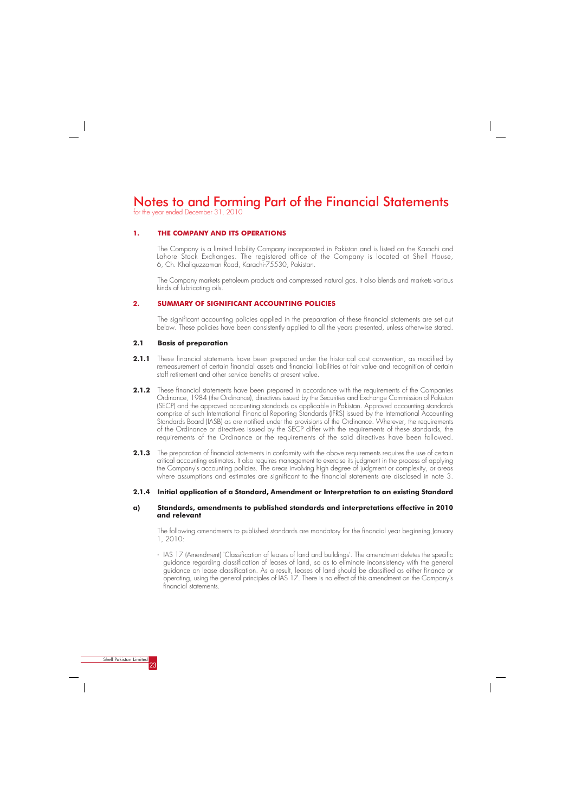for the year ended December 31, 2010

### **1. THE COMPANY AND ITS OPERATIONS**

The Company is a limited liability Company incorporated in Pakistan and is listed on the Karachi and Lahore Stock Exchanges. The registered office of the Company is located at Shell House, 6, Ch. Khaliquzzaman Road, Karachi-75530, Pakistan.

The Company markets petroleum products and compressed natural gas. It also blends and markets various kinds of lubricating oils.

### **2. SUMMARY OF SIGNIFICANT ACCOUNTING POLICIES**

The significant accounting policies applied in the preparation of these financial statements are set out below. These policies have been consistently applied to all the years presented, unless otherwise stated.

#### **2.1 Basis of preparation**

- 2.1.1 These financial statements have been prepared under the historical cost convention, as modified by remeasurement of certain financial assets and financial liabilities at fair value and recognition of certain staff retirement and other service benefits at present value.
- 2.1.2 These financial statements have been prepared in accordance with the requirements of the Companies Ordinance, 1984 (the Ordinance), directives issued by the Securities and Exchange Commission of Pakistan (SECP) and the approved accounting standards as applicable in Pakistan. Approved accounting standards comprise of such International Financial Reporting Standards (IFRS) issued by the International Accounting Standards Board (IASB) as are notified under the provisions of the Ordinance. Wherever, the requirements of the Ordinance or directives issued by the SECP differ with the requirements of these standards, the requirements of the Ordinance or the requirements of the said directives have been followed.
- **2.1.3** The preparation of financial statements in conformity with the above requirements requires the use of certain critical accounting estimates. It also requires management to exercise its judgment in the process of applying the Company's accounting policies. The areas involving high degree of judgment or complexity, or areas where assumptions and estimates are significant to the financial statements are disclosed in note 3.

#### **2.1.4 Initial application of a Standard, Amendment or Interpretation to an existing Standard**

#### **a) Standards, amendments to published standards and interpretations effective in 2010 and relevant**

The following amendments to published standards are mandatory for the financial year beginning January 1, 2010:

- IAS 17 (Amendment) 'Classification of leases of land and buildings'. The amendment deletes the specific guidance regarding classification of leases of land, so as to eliminate inconsistency with the general guidance on lease classification. As a result, leases of land should be classified as either finance or operating, using the general principles of IAS 17. There is no effect of this amendment on the Company's financial statements.

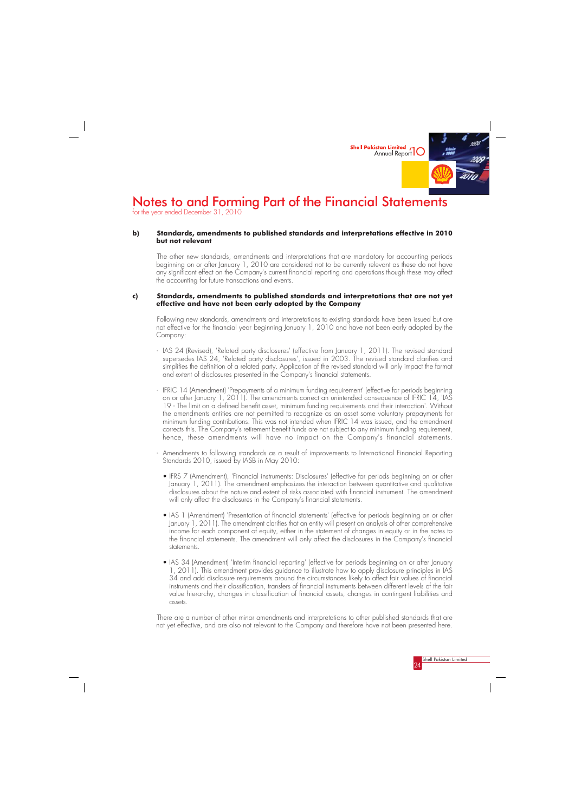

### **b) Standards, amendments to published standards and interpretations effective in 2010 but not relevant**

The other new standards, amendments and interpretations that are mandatory for accounting periods beginning on or after January 1, 2010 are considered not to be currently relevant as these do not have any significant effect on the Company's current financial reporting and operations though these may affect the accounting for future transactions and events.

#### **c) Standards, amendments to published standards and interpretations that are not yet effective and have not been early adopted by the Company**

Following new standards, amendments and interpretations to existing standards have been issued but are not effective for the financial year beginning January 1, 2010 and have not been early adopted by the Company:

- IAS 24 (Revised), 'Related party disclosures' (effective from January 1, 2011). The revised standard supersedes IAS 24, 'Related party disclosures', issued in 2003. The revised standard clarifies and simplifies the definition of a related party. Application of the revised standard will only impact the format and extent of disclosures presented in the Company's financial statements.
- IFRIC 14 (Amendment) 'Prepayments of a minimum funding requirement' (effective for periods beginning on or after January 1, 2011). The amendments correct an unintended consequence of IFRIC 14, 'IAS 19 - The limit on a defined benefit asset, minimum funding requirements and their interaction'. Without the amendments entities are not permitted to recognize as an asset some voluntary prepayments for minimum funding contributions. This was not intended when IFRIC 14 was issued, and the amendment corrects this. The Company's retirement benefit funds are not subject to any minimum funding requirement, hence, these amendments will have no impact on the Company's financial statements.
- Amendments to following standards as a result of improvements to International Financial Reporting Standards 2010, issued by IASB in May 2010:
	- IFRS 7 (Amendment), 'Financial instruments: Disclosures' (effective for periods beginning on or after January 1, 2011). The amendment emphasizes the interaction between quantitative and qualitative disclosures about the nature and extent of risks associated with financial instrument. The amendment will only affect the disclosures in the Company's financial statements.
	- IAS 1 (Amendment) 'Presentation of financial statements' (effective for periods beginning on or after January 1, 2011). The amendment clarifies that an entity will present an analysis of other comprehensive income for each component of equity, either in the statement of changes in equity or in the notes to the financial statements. The amendment will only affect the disclosures in the Company's financial statements.
	- IAS 34 (Amendment) 'Interim financial reporting' (effective for periods beginning on or after January 1, 2011). This amendment provides guidance to illustrate how to apply disclosure principles in IAS 34 and add disclosure requirements around the circumstances likely to affect fair values of financial instruments and their classification, transfers of financial instruments between different levels of the fair value hierarchy, changes in classification of financial assets, changes in contingent liabilities and assets.

There are a number of other minor amendments and interpretations to other published standards that are not yet effective, and are also not relevant to the Company and therefore have not been presented here.



# Notes to and Forming Part of the Financial Statements

for the year ended December 31, 2010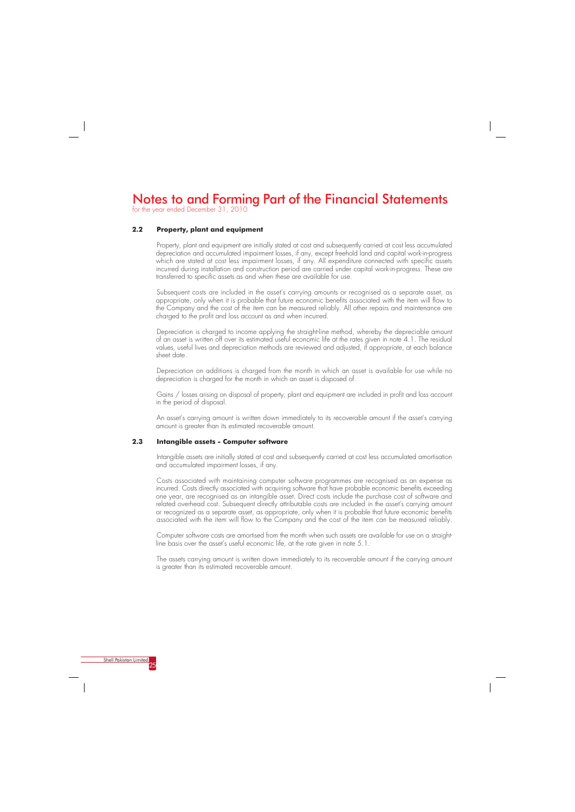

for the year ended December 31, 2010

## **2.2 Property, plant and equipment**

Property, plant and equipment are initially stated at cost and subsequently carried at cost less accumulated depreciation and accumulated impairment losses, if any, except freehold land and capital work-in-progress which are stated at cost less impairment losses, if any. All expenditure connected with specific assets incurred during installation and construction period are carried under capital work-in-progress. These are transferred to specific assets as and when these are available for use.

Subsequent costs are included in the asset's carrying amounts or recognised as a separate asset, as appropriate, only when it is probable that future economic benefits associated with the item will flow to the Company and the cost of the item can be measured reliably. All other repairs and maintenance are charged to the profit and loss account as and when incurred.

Depreciation is charged to income applying the straight-line method, whereby the depreciable amount of an asset is written off over its estimated useful economic life at the rates given in note 4.1. The residual values, useful lives and depreciation methods are reviewed and adjusted, if appropriate, at each balance sheet date.

Depreciation on additions is charged from the month in which an asset is available for use while no depreciation is charged for the month in which an asset is disposed of.

Gains / losses arising on disposal of property, plant and equipment are included in profit and loss account in the period of disposal.

An asset's carrying amount is written down immediately to its recoverable amount if the asset's carrying amount is greater than its estimated recoverable amount.

#### **2.3 Intangible assets - Computer software**

Intangible assets are initially stated at cost and subsequently carried at cost less accumulated amortisation and accumulated impairment losses, if any.

Costs associated with maintaining computer software programmes are recognised as an expense as incurred. Costs directly associated with acquiring software that have probable economic benefits exceeding one year, are recognised as an intangible asset. Direct costs include the purchase cost of software and related overhead cost. Subsequent directly attributable costs are included in the asset's carrying amount or recognized as a separate asset, as appropriate, only when it is probable that future economic benefits associated with the item will flow to the Company and the cost of the item can be measured reliably.

Computer software costs are amortised from the month when such assets are available for use on a straightline basis over the asset's useful economic life, at the rate given in note 5.1.

The assets carrying amount is written down immediately to its recoverable amount if the carrying amount is greater than its estimated recoverable amount.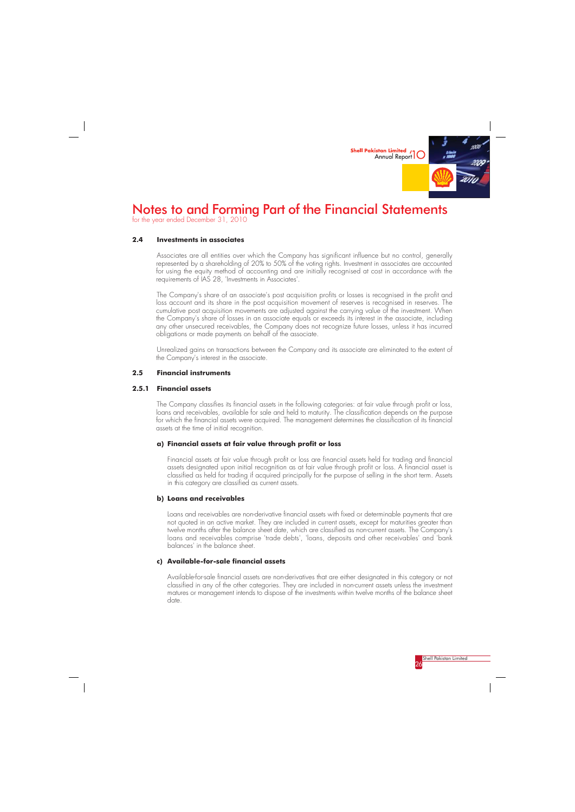

### **2.4 Investments in associates**

Associates are all entities over which the Company has significant influence but no control, generally represented by a shareholding of 20% to 50% of the voting rights. Investment in associates are accounted for using the equity method of accounting and are initially recognised at cost in accordance with the requirements of IAS 28, 'Investments in Associates'.

The Company's share of an associate's post acquisition profits or losses is recognised in the profit and loss account and its share in the post acquisition movement of reserves is recognised in reserves. The cumulative post acquisition movements are adjusted against the carrying value of the investment. When the Company's share of losses in an associate equals or exceeds its interest in the associate, including any other unsecured receivables, the Company does not recognize future losses, unless it has incurred obligations or made payments on behalf of the associate.

Unrealized gains on transactions between the Company and its associate are eliminated to the extent of the Company's interest in the associate.

### **2.5 Financial instruments**

### **2.5.1 Financial assets**

The Company classifies its financial assets in the following categories: at fair value through profit or loss, loans and receivables, available for sale and held to maturity. The classification depends on the purpose for which the financial assets were acquired. The management determines the classification of its financial assets at the time of initial recognition.

### **a) Financial assets at fair value through profit or loss**

Financial assets at fair value through profit or loss are financial assets held for trading and financial assets designated upon initial recognition as at fair value through profit or loss. A financial asset is classified as held for trading if acquired principally for the purpose of selling in the short term. Assets in this category are classified as current assets.

#### **b) Loans and receivables**

Loans and receivables are non-derivative financial assets with fixed or determinable payments that are not quoted in an active market. They are included in current assets, except for maturities greater than twelve months after the balance sheet date, which are classified as non-current assets. The Company's loans and receivables comprise 'trade debts', 'loans, deposits and other receivables' and 'bank balances' in the balance sheet.

### **c) Available-for-sale financial assets**

Available-for-sale financial assets are non-derivatives that are either designated in this category or not classified in any of the other categories. They are included in non-current assets unless the investment matures or management intends to dispose of the investments within twelve months of the balance sheet date.



# Notes to and Forming Part of the Financial Statements

for the year ended December 31, 2010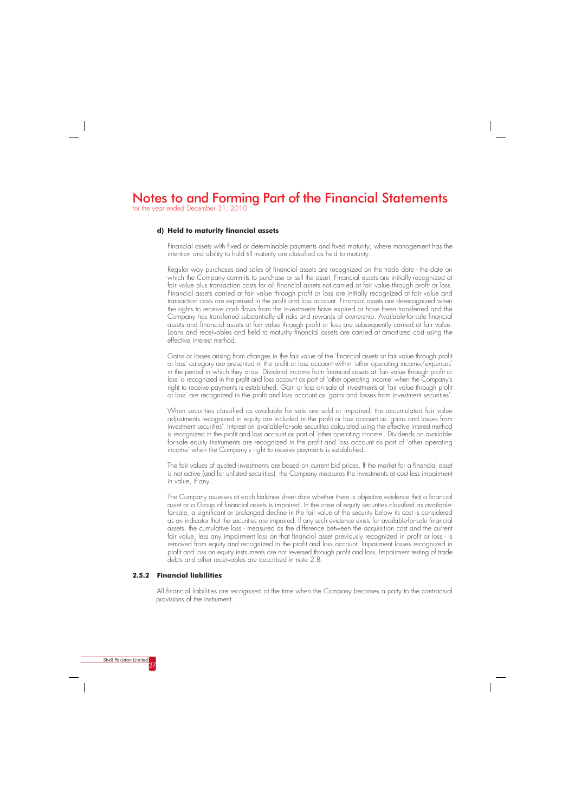for the year ended December 31, 2010

#### **d) Held to maturity financial assets**

Financial assets with fixed or determinable payments and fixed maturity, where management has the intention and ability to hold till maturity are classified as held to maturity.

Regular way purchases and sales of financial assets are recognized on the trade date - the date on which the Company commits to purchase or sell the asset. Financial assets are initially recognized at fair value plus transaction costs for all financial assets not carried at fair value through profit or loss. Financial assets carried at fair value through profit or loss are initially recognized at fair value and transaction costs are expensed in the profit and loss account. Financial assets are derecognized when the rights to receive cash flows from the investments have expired or have been transferred and the Company has transferred substantially all risks and rewards of ownership. Available-for-sale financial assets and financial assets at fair value through profit or loss are subsequently carried at fair value. Loans and receivables and held to maturity financial assets are carried at amortized cost using the effective interest method.

Gains or losses arising from changes in the fair value of the 'financial assets at fair value through profit or loss' category are presented in the profit or loss account within 'other operating income/expenses' in the period in which they arise. Dividend income from financial assets at 'fair value through profit or loss' is recognized in the profit and loss account as part of 'other operating income' when the Company's right to receive payments is established. Gain or loss on sale of investments at 'fair value through profit or loss' are recognized in the profit and loss account as 'gains and losses from investment securities'.

When securities classified as available for sale are sold or impaired, the accumulated fair value adjustments recognized in equity are included in the profit or loss account as 'gains and losses from investment securities'. Interest on available-for-sale securities calculated using the effective interest method is recognized in the profit and loss account as part of 'other operating income'. Dividends on availablefor-sale equity instruments are recognized in the profit and loss account as part of 'other operating income' when the Company's right to receive payments is established.

The fair values of quoted investments are based on current bid prices. If the market for a financial asset is not active (and for unlisted securities), the Company measures the investments at cost less impairment in value, if any.

The Company assesses at each balance sheet date whether there is objective evidence that a financial asset or a Group of financial assets is impaired. In the case of equity securities classified as availablefor-sale, a significant or prolonged decline in the fair value of the security below its cost is considered as an indicator that the securities are impaired. If any such evidence exists for available-for-sale financial assets, the cumulative loss - measured as the difference between the acquisition cost and the current fair value, less any impairment loss on that financial asset previously recognized in profit or loss - is removed from equity and recognized in the profit and loss account. Impairment losses recognized in profit and loss on equity instruments are not reversed through profit and loss. Impairment testing of trade debts and other receivables are described in note 2.8.

#### **2.5.2 Financial liabilities**

All financial liabilities are recognised at the time when the Company becomes a party to the contractual provisions of the instrument.

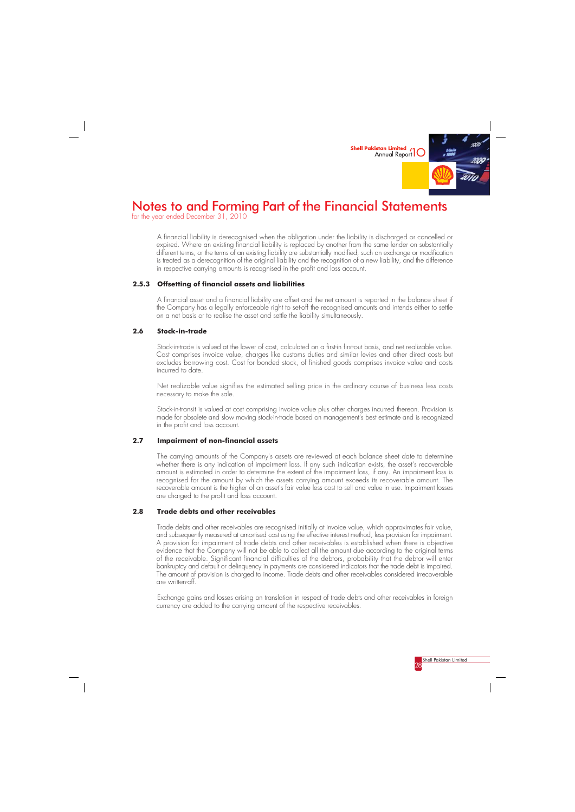

for the year ended December 31, 2010



A financial liability is derecognised when the obligation under the liability is discharged or cancelled or expired. Where an existing financial liability is replaced by another from the same lender on substantially different terms, or the terms of an existing liability are substantially modified, such an exchange or modification is treated as a derecognition of the original liability and the recognition of a new liability, and the difference in respective carrying amounts is recognised in the profit and loss account.

### **2.5.3 Offsetting of financial assets and liabilities**

A financial asset and a financial liability are offset and the net amount is reported in the balance sheet if the Company has a legally enforceable right to set-off the recognised amounts and intends either to settle on a net basis or to realise the asset and settle the liability simultaneously.

#### **2.6 Stock-in-trade**

Stock-in-trade is valued at the lower of cost, calculated on a first-in first-out basis, and net realizable value. Cost comprises invoice value, charges like customs duties and similar levies and other direct costs but excludes borrowing cost. Cost for bonded stock, of finished goods comprises invoice value and costs incurred to date.

Net realizable value signifies the estimated selling price in the ordinary course of business less costs necessary to make the sale.

Stock-in-transit is valued at cost comprising invoice value plus other charges incurred thereon. Provision is made for obsolete and slow moving stock-in-trade based on management's best estimate and is recognized in the profit and loss account.

### **2.7 Impairment of non-financial assets**

The carrying amounts of the Company's assets are reviewed at each balance sheet date to determine whether there is any indication of impairment loss. If any such indication exists, the asset's recoverable amount is estimated in order to determine the extent of the impairment loss, if any. An impairment loss is recognised for the amount by which the assets carrying amount exceeds its recoverable amount. The recoverable amount is the higher of an asset's fair value less cost to sell and value in use. Impairment losses are charged to the profit and loss account.

#### **2.8 Trade debts and other receivables**

Trade debts and other receivables are recognised initially at invoice value, which approximates fair value, and subsequently measured at amortised cost using the effective interest method, less provision for impairment. A provision for impairment of trade debts and other receivables is established when there is objective evidence that the Company will not be able to collect all the amount due according to the original terms of the receivable. Significant financial difficulties of the debtors, probability that the debtor will enter bankruptcy and default or delinquency in payments are considered indicators that the trade debt is impaired. The amount of provision is charged to income. Trade debts and other receivables considered irrecoverable are written-off.

Exchange gains and losses arising on translation in respect of trade debts and other receivables in foreign currency are added to the carrying amount of the respective receivables.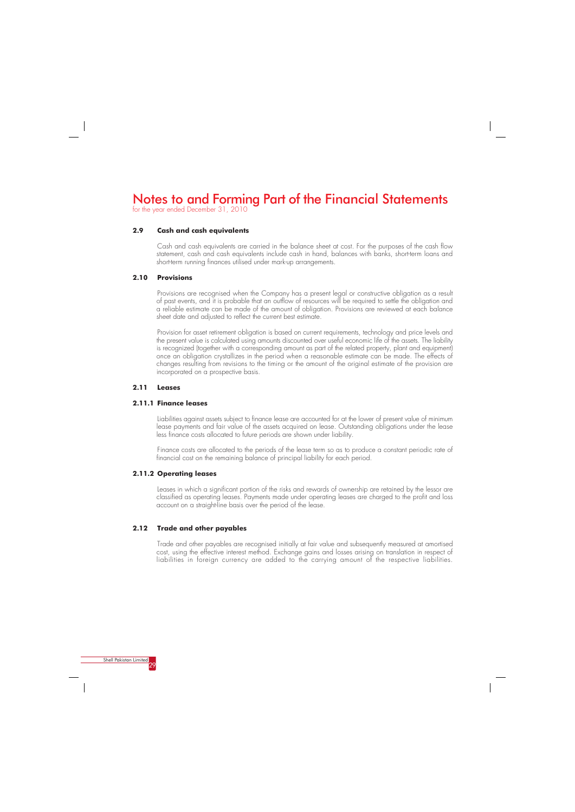for the year ended December 31, 2010

#### **2.9 Cash and cash equivalents**

Cash and cash equivalents are carried in the balance sheet at cost. For the purposes of the cash flow statement, cash and cash equivalents include cash in hand, balances with banks, short-term loans and short-term running finances utilised under mark-up arrangements.

#### **2.10 Provisions**

Provisions are recognised when the Company has a present legal or constructive obligation as a result of past events, and it is probable that an outflow of resources will be required to settle the obligation and a reliable estimate can be made of the amount of obligation. Provisions are reviewed at each balance sheet date and adjusted to reflect the current best estimate.

Provision for asset retirement obligation is based on current requirements, technology and price levels and the present value is calculated using amounts discounted over useful economic life of the assets. The liability is recognized (together with a corresponding amount as part of the related property, plant and equipment) once an obligation crystallizes in the period when a reasonable estimate can be made. The effects of changes resulting from revisions to the timing or the amount of the original estimate of the provision are incorporated on a prospective basis.

### **2.11 Leases**

#### **2.11.1 Finance leases**

Liabilities against assets subject to finance lease are accounted for at the lower of present value of minimum lease payments and fair value of the assets acquired on lease. Outstanding obligations under the lease less finance costs allocated to future periods are shown under liability.

Finance costs are allocated to the periods of the lease term so as to produce a constant periodic rate of financial cost on the remaining balance of principal liability for each period.

#### **2.11.2 Operating leases**

Leases in which a significant portion of the risks and rewards of ownership are retained by the lessor are classified as operating leases. Payments made under operating leases are charged to the profit and loss account on a straight-line basis over the period of the lease.

### **2.12 Trade and other payables**

Trade and other payables are recognised initially at fair value and subsequently measured at amortised cost, using the effective interest method. Exchange gains and losses arising on translation in respect of liabilities in foreign currency are added to the carrying amount of the respective liabilities.

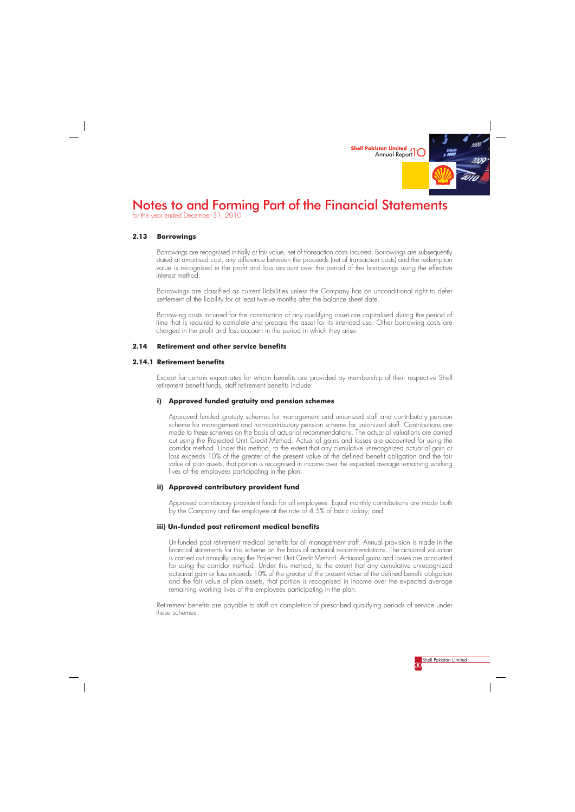

for the year ended December 31, 2010



### **2.13 Borrowings**

Borrowings are recognised initially at fair value, net of transaction costs incurred. Borrowings are subsequently stated at amortised cost, any difference between the proceeds (net of transaction costs) and the redemption value is recognised in the profit and loss account over the period of the borrowings using the effective interest method.

Borrowings are classified as current liabilities unless the Company has an unconditional right to defer settlement of the liability for at least twelve months after the balance sheet date.

Borrowing costs incurred for the construction of any qualifying asset are capitalised during the period of time that is required to complete and prepare the asset for its intended use. Other borrowing costs are charged in the profit and loss account in the period in which they arise.

### **2.14 Retirement and other service benefits**

### **2.14.1 Retirement benefits**

Except for certain expatriates for whom benefits are provided by membership of their respective Shell retirement benefit funds, staff retirement benefits include:

### **i) Approved funded gratuity and pension schemes**

Approved funded gratuity schemes for management and unionized staff and contributory pension scheme for management and non-contributory pension scheme for unionized staff. Contributions are made to these schemes on the basis of actuarial recommendations. The actuarial valuations are carried out using the Projected Unit Credit Method. Actuarial gains and losses are accounted for using the corridor method. Under this method, to the extent that any cumulative unrecognized actuarial gain or loss exceeds 10% of the greater of the present value of the defined benefit obligation and the fair value of plan assets, that portion is recognised in income over the expected average remaining working lives of the employees participating in the plan;

### **ii) Approved contributory provident fund**

Approved contributory provident funds for all employees. Equal monthly contributions are made both by the Company and the employee at the rate of 4.5% of basic salary; and

#### **iii) Un-funded post retirement medical benefits**

Un-funded post retirement medical benefits for all management staff. Annual provision is made in the financial statements for this scheme on the basis of actuarial recommendations. The actuarial valuation is carried out annually using the Projected Unit Credit Method. Actuarial gains and losses are accounted for using the corridor method. Under this method, to the extent that any cumulative unrecognized actuarial gain or loss exceeds 10% of the greater of the present value of the defined benefit obligation and the fair value of plan assets, that portion is recognised in income over the expected average remaining working lives of the employees participating in the plan.

Retirement benefits are payable to staff on completion of prescribed qualifying periods of service under these schemes.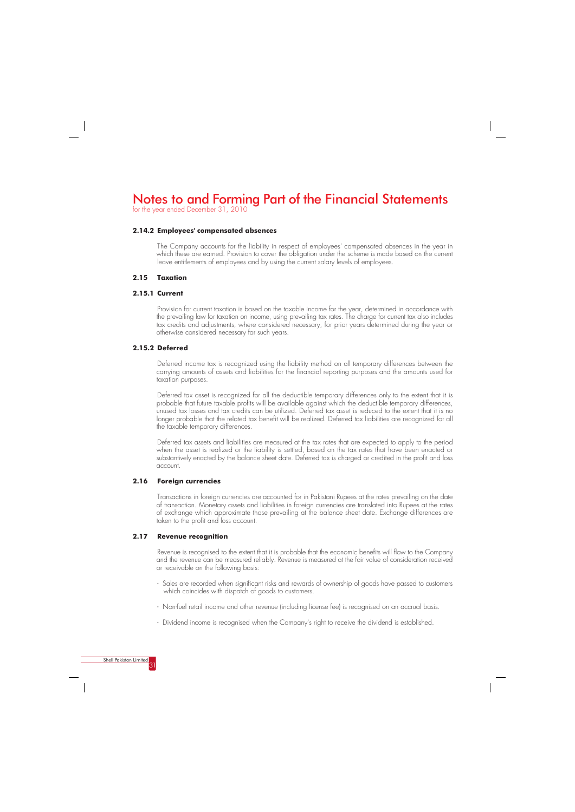for the year ended December 31, 2010

#### **2.14.2 Employees' compensated absences**

The Company accounts for the liability in respect of employees' compensated absences in the year in which these are earned. Provision to cover the obligation under the scheme is made based on the current leave entitlements of employees and by using the current salary levels of employees.

#### **2.15 Taxation**

### **2.15.1 Current**

Provision for current taxation is based on the taxable income for the year, determined in accordance with the prevailing law for taxation on income, using prevailing tax rates. The charge for current tax also includes tax credits and adjustments, where considered necessary, for prior years determined during the year or otherwise considered necessary for such years.

### **2.15.2 Deferred**

Deferred income tax is recognized using the liability method on all temporary differences between the carrying amounts of assets and liabilities for the financial reporting purposes and the amounts used for taxation purposes.

Deferred tax asset is recognized for all the deductible temporary differences only to the extent that it is probable that future taxable profits will be available against which the deductible temporary differences, unused tax losses and tax credits can be utilized. Deferred tax asset is reduced to the extent that it is no longer probable that the related tax benefit will be realized. Deferred tax liabilities are recognized for all the taxable temporary differences.

Deferred tax assets and liabilities are measured at the tax rates that are expected to apply to the period when the asset is realized or the liability is settled, based on the tax rates that have been enacted or substantively enacted by the balance sheet date. Deferred tax is charged or credited in the profit and loss account.

#### **2.16 Foreign currencies**

Transactions in foreign currencies are accounted for in Pakistani Rupees at the rates prevailing on the date of transaction. Monetary assets and liabilities in foreign currencies are translated into Rupees at the rates of exchange which approximate those prevailing at the balance sheet date. Exchange differences are taken to the profit and loss account.

#### **2.17 Revenue recognition**

Revenue is recognised to the extent that it is probable that the economic benefits will flow to the Company and the revenue can be measured reliably. Revenue is measured at the fair value of consideration received or receivable on the following basis:

- Sales are recorded when significant risks and rewards of ownership of goods have passed to customers which coincides with dispatch of goods to customers.
- Non-fuel retail income and other revenue (including license fee) is recognised on an accrual basis.

- Dividend income is recognised when the Company's right to receive the dividend is established.

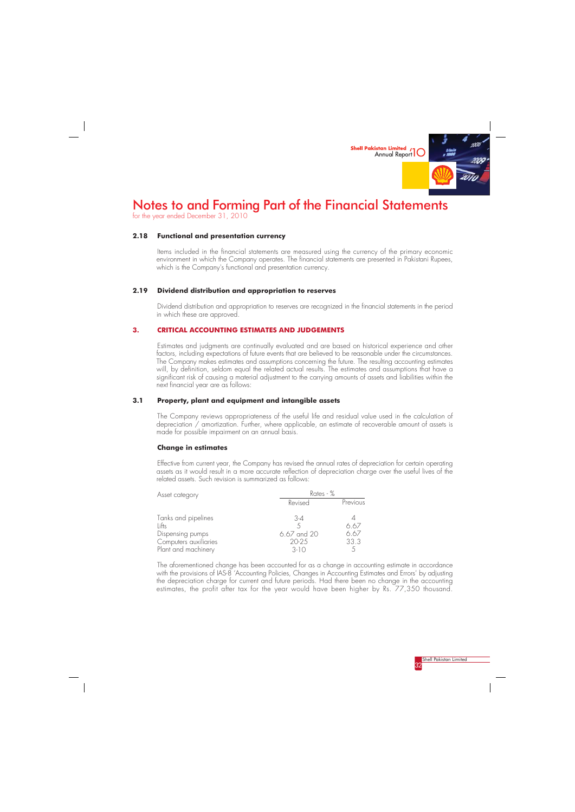

for the year ended December 31, 2010



### **2.18 Functional and presentation currency**

Items included in the financial statements are measured using the currency of the primary economic environment in which the Company operates. The financial statements are presented in Pakistani Rupees, which is the Company's functional and presentation currency.

### **2.19 Dividend distribution and appropriation to reserves**

Dividend distribution and appropriation to reserves are recognized in the financial statements in the period in which these are approved.

### **3. CRITICAL ACCOUNTING ESTIMATES AND JUDGEMENTS**

Estimates and judgments are continually evaluated and are based on historical experience and other factors, including expectations of future events that are believed to be reasonable under the circumstances. The Company makes estimates and assumptions concerning the future. The resulting accounting estimates will, by definition, seldom equal the related actual results. The estimates and assumptions that have a significant risk of causing a material adjustment to the carrying amounts of assets and liabilities within the next financial year are as follows:

### **3.1 Property, plant and equipment and intangible assets**

The Company reviews appropriateness of the useful life and residual value used in the calculation of depreciation / amortization. Further, where applicable, an estimate of recoverable amount of assets is made for possible impairment on an annual basis.

#### **Change in estimates**

Effective from current year, the Company has revised the annual rates of depreciation for certain operating assets as it would result in a more accurate reflection of depreciation charge over the useful lives of the related assets. Such revision is summarized as follows:

| Asset category<br>Lifts<br>Dispensing pumps | Rates - %   |          |  |  |
|---------------------------------------------|-------------|----------|--|--|
|                                             | Revised     | Previous |  |  |
| Tanks and pipelines                         | 3-4         |          |  |  |
|                                             |             | 6.67     |  |  |
|                                             | 6.67 and 20 | 6.67     |  |  |
| Computers auxiliaries                       | 20-25       | 33.3     |  |  |
| Plant and machinery                         | $3-10$      |          |  |  |

The aforementioned change has been accounted for as a change in accounting estimate in accordance with the provisions of IAS-8 'Accounting Policies, Changes in Accounting Estimates and Errors' by adjusting the depreciation charge for current and future periods. Had there been no change in the accounting estimates, the profit after tax for the year would have been higher by Rs. 77,350 thousand.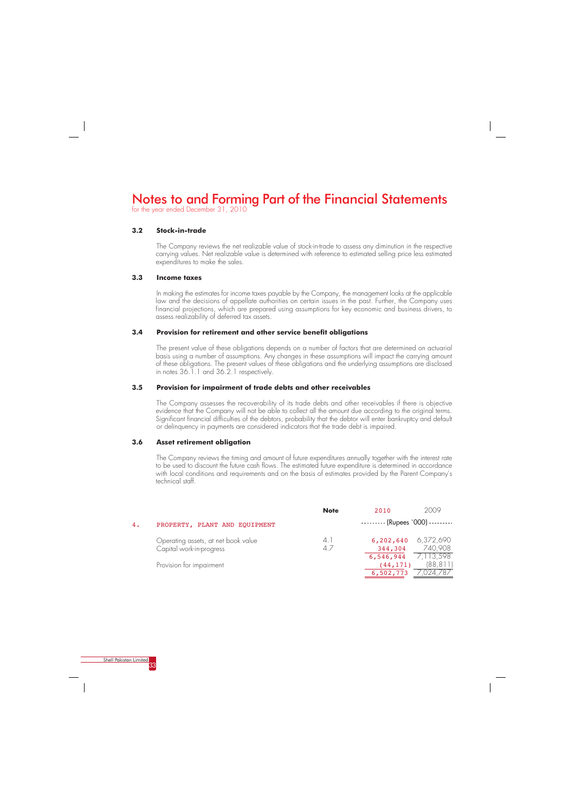for the year ended December 31, 2010



#### **3.2 Stock-in-trade**

The Company reviews the net realizable value of stock-in-trade to assess any diminution in the respective carrying values. Net realizable value is determined with reference to estimated selling price less estimated expenditures to make the sales.

### **3.3 Income taxes**

In making the estimates for income taxes payable by the Company, the management looks at the applicable law and the decisions of appellate authorities on certain issues in the past. Further, the Company uses financial projections, which are prepared using assumptions for key economic and business drivers, to assess realizability of deferred tax assets.

### **3.4 Provision for retirement and other service benefit obligations**

The present value of these obligations depends on a number of factors that are determined on actuarial basis using a number of assumptions. Any changes in these assumptions will impact the carrying amount of these obligations. The present values of these obligations and the underlying assumptions are disclosed in notes 36.1.1 and 36.2.1 respectively.

### **3.5 Provision for impairment of trade debts and other receivables**

The Company assesses the recoverability of its trade debts and other receivables if there is objective evidence that the Company will not be able to collect all the amount due according to the original terms. Significant financial difficulties of the debtors, probability that the debtor will enter bankruptcy and default or delinquency in payments are considered indicators that the trade debt is impaired.

### **3.6 Asset retirement obligation**

The Company reviews the timing and amount of future expenditures annually together with the interest rate to be used to discount the future cash flows. The estimated future expenditure is determined in accordance with local conditions and requirements and on the basis of estimates provided by the Parent Company's technical staff.

|    |                                                                 | <b>Note</b> | 2010                                                            | 2009      |
|----|-----------------------------------------------------------------|-------------|-----------------------------------------------------------------|-----------|
| 4. | PROPERTY, PLANT AND EQUIPMENT                                   |             | $\cdots$ $\cdots$ (Rupees `000) $\cdots$                        |           |
|    | Operating assets, at net book value<br>Capital work-in-progress | 4.1<br>47   | 6,202,640 6,372,690<br>344,304                                  | 740,908   |
|    | Provision for impairment                                        |             | $6, 546, 944$ $7, 113, 598$<br>(44, 171)<br>6,502,773 7,024,787 | (88, 811) |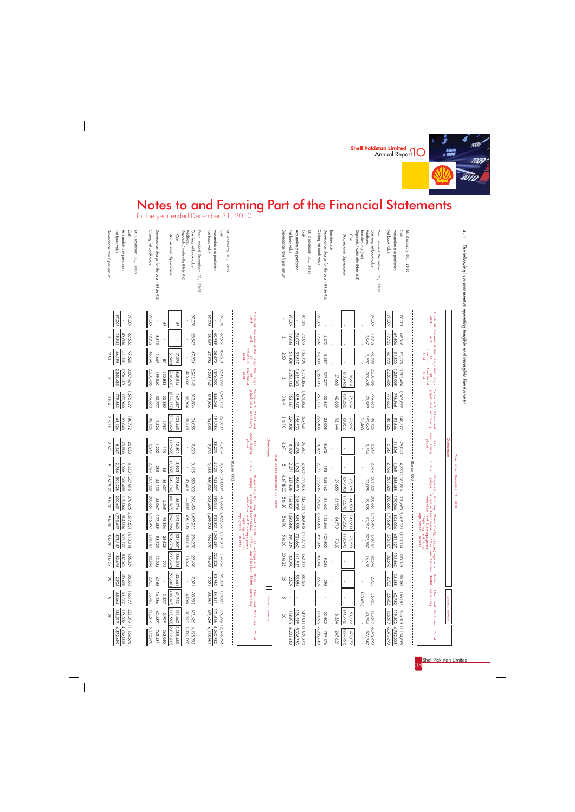



for the year ended December 31, 2010

 $\frac{1}{\sqrt{2}}$ 

| $\frac{1}{2}$ $\frac{22}{25}$                                                                     | $\frac{238}{482}$<br>$\frac{345}{377}$<br>960'<br>722                                                                                                        | $\frac{823}{841}$                                           | .E. 5<br>5<br>ased<br>чā | o II                                                                | ◡<br>.U1<br>ᡐ<br>ق                                                                                                                             | $\frac{3}{2465}$<br>્ખ                        | .<br>Leased<br>ery<br>Pub |  |
|---------------------------------------------------------------------------------------------------|--------------------------------------------------------------------------------------------------------------------------------------------------------------|-------------------------------------------------------------|--------------------------|---------------------------------------------------------------------|------------------------------------------------------------------------------------------------------------------------------------------------|-----------------------------------------------|---------------------------|--|
| $\begin{array}{r l} 255,019 \\ 255,512 \\ \hline 119,502 \\ 20 \\ \hline \end{array}$             | ⊫<br>$\frac{3}{2}$<br>$\overline{\phantom{a}}$<br>$\overline{z}$<br>87,<br><u>ທ່ລັ</u><br>437<br>$626$<br>237<br>$\overline{212}$<br>$rac{5511}{909}$<br>460 | $\frac{171,616}{167,626}$<br>339<br>$\sim$<br>$\frac{4}{5}$ | æ<br>set<br>in.          | $\begin{array}{r l}\n242,501 \\ 113,972 \\ \hline\n20\n\end{array}$ | $\overline{\phantom{a}}$<br>135,5<br>53,312<br>(44,778)<br>$\frac{53,805}{13,972}$<br>$\infty$<br>ಜ<br>∽<br>┙<br>$\overline{\phantom{a}}$<br>4 | $\frac{119,502}{202,517}$<br>255<br>$\bar{c}$ | assets                    |  |
| $\sim$ $\sim$<br>$\frac{1}{1}$ , 194, 008<br>4,762,008<br><u>5,372,690</u><br>$\circ$<br>$\infty$ | $\frac{(2.022)}{363}$<br>2,385,<br>6,125,982<br>1,353,199<br>$\sim$<br>-272,690<br>743<br>$rac{1}{100}$<br>431<br>$\rightarrow$<br>$\sigma$<br>Ō.            | 12,1 do,<br>6,040,982<br>6,125,982<br>$6,125,982$           |                          | $\overline{\phantom{a}}$<br>11,539,373<br>5,336,733<br>6,202,640    | 799,176<br>6,202,640<br>$\frac{472,072}{(224,451)}$<br>$372$<br>876<br>247<br>$\sim 5$<br>621<br>8 A                                           | 4,762,008<br>6,372,690<br>ω<br>869            |                           |  |

| 4.1<br>The tollowing is a statement of operating tangible and intangible fixed assets:                                              |                               |                                 |                                     |                                                                                                                |                                 |                                          |                                   |                                  | Year ended December 31, 2010          |                               |                                                    |                                                                            |                                                                                                                                                                                   |                                       |                              |                                              |                               |
|-------------------------------------------------------------------------------------------------------------------------------------|-------------------------------|---------------------------------|-------------------------------------|----------------------------------------------------------------------------------------------------------------|---------------------------------|------------------------------------------|-----------------------------------|----------------------------------|---------------------------------------|-------------------------------|----------------------------------------------------|----------------------------------------------------------------------------|-----------------------------------------------------------------------------------------------------------------------------------------------------------------------------------|---------------------------------------|------------------------------|----------------------------------------------|-------------------------------|
|                                                                                                                                     |                               |                                 |                                     |                                                                                                                |                                 |                                          | Owned assets                      |                                  |                                       |                               |                                                    |                                                                            |                                                                                                                                                                                   |                                       | ased                         | assets                                       |                               |
|                                                                                                                                     |                               |                                 | land                                | Freehold Leasehold Buildings Buildings<br>Land Land freehold leasehold<br>Land land freehold leasehold<br>land | Tanks and<br>pipelines          | Plant and<br>machinery                   | Air<br>conditioning<br>plant      | Lifts                            | Dispensing Rolling<br>sdund           |                               |                                                    |                                                                            | <i>j</i> Rolling ElectricalBurnitureComputers<br>stock and and fire equipment<br>wehicles and fire equipment<br>wehicles and fire equipment<br>figures assets<br>equipment assets | Main<br>frame                         | Plant and<br>machinery       | Vehicle                                      | Tota                          |
| At January 01,<br>2010                                                                                                              |                               |                                 |                                     |                                                                                                                |                                 |                                          |                                   | -- (000, seedny)                 |                                       |                               |                                                    | $\frac{1}{1}$                                                              |                                                                                                                                                                                   |                                       |                              |                                              |                               |
| Net book value<br>Accumulated depreciation<br>Cost                                                                                  | 600'Z6<br>600'Z6              | 19,952<br>69,556<br>49,604      | 46,198<br>51,330<br>825'28          | 2,350,485<br>3,607,494<br>257,009                                                                              | 1,576,629<br>779,663<br>796,966 | 140,772<br>92,646<br>48,126              | 21,806<br>6,247<br>28,053         | 2,764<br>1,569                   | 4,333 1,067,816<br>501,328<br>566,488 | 200,651<br>170,044            | 370,695 2,519,531 1,010,314<br>26r'S L'<br>804,034 | $\frac{378,187}{378,187}$<br>632,127                                       | 102,663<br>135,359<br>32,696                                                                                                                                                      | 35,488<br>38,393<br>$\frac{2,905}{2}$ | 116,197<br>60,732<br>55,465  | 135,517<br>119,502<br>255,019 11,134,6       | 6,372,6<br>4,762,00           |
| Opening net book value<br>Year ended December 31,<br>Disposals / write offs (Note 4.6)<br>Transfers in / (out)<br>Additions<br>2010 | 600'Z6                        | 19,952<br>3,967                 | 46,198<br>7.597                     | 2,350,485<br>209,605                                                                                           | 779,663<br>686'LZ               | 162,969<br>55,465<br>48,126              | 1,534<br>6,247                    | 2,764<br>$\mathbf{r}=\mathbf{r}$ | 501,328<br>22,095                     | 19,535                        | 200,651 1,715,497<br>92,217                        | 227,787<br>378,187                                                         | 16,658<br>32,696                                                                                                                                                                  | 2,905<br>×.                           | 55,465<br>55,465             | 135,517<br>40,794                            | 6,372,<br>876,7               |
| Accumulated depreciation<br>Cost                                                                                                    |                               |                                 |                                     | (10,946)<br>38,614<br>27,668                                                                                   | (34,266)<br>76,934<br>42,668    | 15,144<br>23,997<br>(8, 853)             | $\bar{\Gamma}$                    | $\bar{\mathbf{r}}$               | (37,740)<br>67,395<br>29,655          | (12,578)<br>44,500<br>31,922  | 141,930<br>(57, 220)<br>84,710                     | (18,070)<br>25,390<br>7,320                                                | $\bar{\mathbf{r}}$<br>$\blacksquare$<br>$\mathbf{r}$                                                                                                                              | $\mathbf{r}$                          |                              | (44,778)<br>53,312<br>8,534                  | (224, 4)<br>472,0<br>247,6    |
| Closing net book value<br>Depreciation charge for the year - (Note 4.2)<br>Transfers out                                            | 600'Z6                        | 19,446<br>4,473                 | 51,308<br>2,487                     | 2,353,145<br>179,277                                                                                           | 753,137<br>55,847               | 229,408<br>22,008                        | 4,109<br>3,672                    | 2,571<br>193                     | 337,606<br>156,162                    | 126,821<br>61,443             | 1,580,460<br>142,544                               | 491,049<br>309'201                                                         | 40,090<br>9,264                                                                                                                                                                   | 2,509<br>396<br>×                     | $\bar{1}$                    | 113,972<br>53,805                            | 6,202,6<br>799,1              |
| At December 31, 2010                                                                                                                | 600'Z6                        |                                 |                                     |                                                                                                                | 1,571,684                       |                                          |                                   |                                  | 4,333 1,022,516                       |                               |                                                    |                                                                            |                                                                                                                                                                                   |                                       |                              |                                              |                               |
| Depreciation rate % per annum<br>Accumulated depreciation<br>Cost<br>Net book value                                                 | 600'Z6                        | 19,446<br>54,077<br>73,523<br>S | 105,125<br>51,308<br>53,817<br>2.50 | 2,353,145<br>3,778,485<br>1,425,340<br>C,                                                                      | 753,137<br>242, 547<br>3 to 4   | 229,408<br>166,533<br>3 to 10<br>395,941 | 6.67<br>25,478<br>29,587<br>4,109 | 2,571<br>1,762<br>G              | 6.67 & 20<br>337,606<br>684,910       | 126,821<br>218,909<br>5 to 20 | 345,730 2,469,818<br>1,580,460<br>889,358<br>5610  | 1,212,711<br>721,662<br>5 to 20<br>491,049                                 | 111,927<br>20 to 25<br>152,017<br>40,090                                                                                                                                          | 35,884<br>38,393<br>2,509<br>25       | Ch<br>$\bar{\phantom{a}}$    | 113,972<br>128,529<br>242,501 11,539,3<br>SO | 6,202,6<br>5,336,7            |
|                                                                                                                                     |                               |                                 |                                     |                                                                                                                |                                 |                                          |                                   | Year ended                       | December 31, 2009                     |                               |                                                    |                                                                            |                                                                                                                                                                                   |                                       |                              |                                              |                               |
|                                                                                                                                     |                               |                                 |                                     |                                                                                                                |                                 |                                          | Owned assets                      |                                  |                                       |                               |                                                    |                                                                            |                                                                                                                                                                                   |                                       | Leased                       | assets                                       |                               |
|                                                                                                                                     | Freehold<br>land              |                                 |                                     | Leasehold Buildings Buildings<br>land computer on<br>land freehold leasehold<br>land land<br>land land         | Tanks and<br>pipelines          | Plant and<br>machinery                   | Air<br>conditioning<br>plant      | Lifts                            |                                       |                               |                                                    |                                                                            | Dispension Rolling Electrical orritore<br>Spension Rolling Electrical orritore<br>Spension School and fire equipment<br>spension School and fire equipment<br>spension section    | Main<br>frame                         | Plant and<br>machinery       | Vehicle                                      | Tota                          |
| At January 01,<br>Cost<br>600Z                                                                                                      | 820'28                        | 69,556                          | 104,604                             | 3,541,242                                                                                                      | 1,675,152                       | 225,839                                  | 40,854                            | $- - 1000$ , seedn $\lambda$     | 8,256 1,304,039                       |                               |                                                    | 401,602 2,422,066 1,337,851                                                | 354,726                                                                                                                                                                           | 91,034                                | 153,823                      | 339,242 12,166,9                             |                               |
| Net book value<br>Accumulated depreciation                                                                                          | 820'28                        | 40,989<br>28,567                | 56,670<br>47,934                    | 1,276,100<br>$\frac{2,265,142}{2}$                                                                             | 856,346<br>818,806              | 191,784<br>34,055                        | 33,231<br>7,623                   | 3,135<br>5,121                   | 753,537<br>255,502                    | 195,144<br>206,458            | $=$ $\frac{1}{2}$ $\frac{499}{235}$                | $\frac{922,831}{\sqrt{499,235}} \frac{1,043,581}{294.270}$<br>$\mathbf{I}$ | 325,228<br>29,498                                                                                                                                                                 | 83,963<br>7,071                       | 84,841<br>68,982             | 171,616<br>167,626                           | 6,125,98<br>6,040,98          |
| Additions<br>Disposals / write offs (Note 4.6)<br>Opening net book value<br>Year ended December 31,<br>600Z                         | 87.078                        | 28,567                          | 47,934                              | 2,265,142<br>415,766                                                                                           | 818,806<br>68,964               | 34,055                                   | 7,623                             | 3,135                            | S50,502<br>42,418                     |                               | 206,458 1,499,235<br>55,809 490,105<br>490,105     | 203,770<br>294,270                                                         | 29,498<br>16,656                                                                                                                                                                  | $7.071$                               | 286'89<br>4,096              | 167,626<br>37,237                            | 1,353,1<br>6,125,98           |
| Accumulated depreciation<br>Cost                                                                                                    | 69<br>SS                      |                                 | (6869)<br>7,076<br>$^{28}$          | (218,631)<br>130,883<br>349,514                                                                                | (112, 157)<br>167,487<br>55,330 | (101,662<br>103,445<br>1,783             | (12,627)<br>12,801<br>174         | (3,837)<br>3,923<br>98           | (242, 184)<br>278,641<br>36,457       | (81, 167)<br>86,716<br>9,549  | (296,286)<br>392,640<br>96,354                     | (904,679)<br>531,307<br>26,628                                             | 236,023<br>(235,649)<br>374                                                                                                                                                       | (52,641)<br>52,641                    | (38, 345)<br>41,722<br>3,377 | (115,55.1)<br>121,460<br>5,909               | 2,385,4<br> 2,022,4<br>363,0e |
| Closing net book value<br>Depreciation charge for the year - (Note 4.2)                                                             | 600'Z6<br>$\bar{\phantom{a}}$ | 19,952<br>8.615                 | 46,198<br>1,649                     | 2,350,485<br>199,540                                                                                           | 779,663<br>52,777               | 48,126<br>2,524                          | 6,247<br>1,202                    | 2,764<br>285                     | 501,328<br>55,135                     | 200,651<br>56,067             | $\frac{1}{7715}$<br>177,489                        | 378,187<br>93,225                                                          | 13,084<br>32,696                                                                                                                                                                  | 2,905<br>4,166                        | 14,236<br>55,465             | 135,517<br>63,437                            | 6,372,69<br>743,40            |
| At December 31, 2009                                                                                                                |                               |                                 |                                     |                                                                                                                |                                 |                                          |                                   |                                  |                                       |                               |                                                    |                                                                            |                                                                                                                                                                                   |                                       |                              |                                              |                               |
| Net book value<br>Accumulated depreciation<br>Cost                                                                                  | 600'Z6                        | 19,952<br>49,604<br>69,556      | 51,330<br>825'66                    | 1,257,009<br>3,607,494                                                                                         | 1,576,629<br>796,966            | 140,772<br>92,646<br>48,126              | 21,806<br>28,053<br>6,247         | 2,764<br>1,569                   | 4,333 1,067,816<br>501,328<br>566,488 | 170,044<br>200,651            | 804,034                                            | 370,695 2,519,531 1,010,314<br>632,127                                     | 102,663<br>135,359<br>32,696                                                                                                                                                      | 35,488<br>38,393<br>2,905             | 116,197<br>60,732<br>55,465  | 119,502<br>255,019 11,134,69                 | 4,762,00                      |
| Depreciation rate % per annum                                                                                                       | 600'Z6                        | U                               | 46,198<br>2.50                      | 2,350,485<br>U1                                                                                                | 779,663<br>3 to 4               | 3 to 10                                  | 6.67                              | ΟJ,                              | 6.67 & 20                             | 5 to 20                       | $267^{\prime}$ SIZ <sup>'</sup> I<br>5 to 10       | 378,187<br>5 to 20                                                         | 20 to 25                                                                                                                                                                          | 25                                    | Ch                           | 135,517<br>SO                                | 6,372,69                      |
|                                                                                                                                     |                               |                                 |                                     |                                                                                                                |                                 |                                          |                                   |                                  |                                       |                               |                                                    |                                                                            |                                                                                                                                                                                   |                                       |                              |                                              |                               |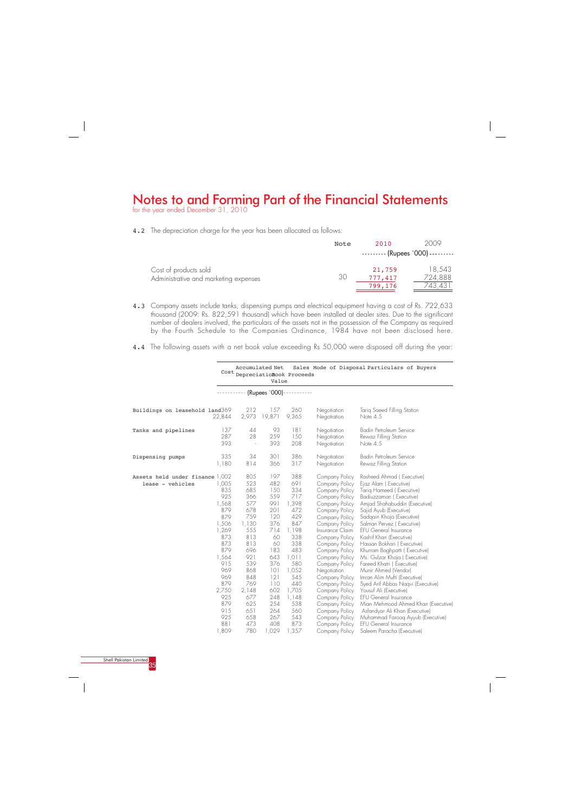for the year ended December 31, 2010



4.2 The depreciation charge for the year has been allocated as follows:

|                                                                | Note | 2010                         | 2009                                     |
|----------------------------------------------------------------|------|------------------------------|------------------------------------------|
|                                                                |      |                              | $\cdots$ $\cdots$ (Rupees `000) $\cdots$ |
| Cost of products sold<br>Administrative and marketing expenses | 30   | 21,759<br>777,417<br>799,176 | 18.543<br>724,888<br>743,431             |

 925 881 1,809 658 473 408 780 1,029 1,357 267 543 873 Company Policy Company Policy Company Policy Muhammad Farooq Ayyub (Executive) EFU General Insurance Saleem Paracha (Executive)

|                                                     |                                                                                            |                                                                                           | Accumulated Net<br>Value                                                              | Cost DepreciatioBook Proceeds                                                                 |                                                                                                                                                                                                                                         | Sales Mode of Disposal Particulars of Buyers                                                                                                                                                                                                                                                                                                                                             |
|-----------------------------------------------------|--------------------------------------------------------------------------------------------|-------------------------------------------------------------------------------------------|---------------------------------------------------------------------------------------|-----------------------------------------------------------------------------------------------|-----------------------------------------------------------------------------------------------------------------------------------------------------------------------------------------------------------------------------------------|------------------------------------------------------------------------------------------------------------------------------------------------------------------------------------------------------------------------------------------------------------------------------------------------------------------------------------------------------------------------------------------|
|                                                     |                                                                                            |                                                                                           | ----------- (Rupees `000)--                                                           |                                                                                               |                                                                                                                                                                                                                                         |                                                                                                                                                                                                                                                                                                                                                                                          |
| Buildings on leasehold land369                      | 22,844                                                                                     | 212<br>2,973                                                                              | 157<br>19,871                                                                         | 260<br>9,365                                                                                  | Negotiation<br>Negotiation                                                                                                                                                                                                              | Tariq Saeed Filling Station<br>Note $4.5$                                                                                                                                                                                                                                                                                                                                                |
| Tanks and pipelines                                 | 137<br>287<br>393                                                                          | 44<br>28<br>$\overline{\phantom{a}}$                                                      | 93<br>259<br>393                                                                      | 181<br>150<br>208                                                                             | Negotiation<br>Negotiation<br>Negotiation                                                                                                                                                                                               | Badin Petroleum Service<br>Rewaz Filling Station<br>Note $4.5$                                                                                                                                                                                                                                                                                                                           |
| Dispensing pumps                                    | 335<br>1,180                                                                               | 34<br>814                                                                                 | 301<br>366                                                                            | 386<br>317                                                                                    | Negotiation<br>Negotiation                                                                                                                                                                                                              | Badin Petroleum Service<br>Rewaz Filling Station                                                                                                                                                                                                                                                                                                                                         |
| Assets held under finance 1,002<br>lease - vehicles | 1,005<br>835<br>925<br>1,568<br>879<br>879<br>1,506<br>1,269<br>873<br>873<br>879<br>1,564 | 805<br>523<br>685<br>366<br>577<br>678<br>759<br>1,130<br>555<br>813<br>813<br>696<br>921 | 197<br>482<br>150<br>559<br>991<br>201<br>120<br>376<br>714<br>60<br>60<br>183<br>643 | 388<br>691<br>334<br>717<br>1,398<br>472<br>429<br>847<br>1,198<br>338<br>338<br>483<br>1,011 | Company Policy<br>Company Policy<br>Company Policy<br>Company Policy<br>Company Policy<br>Company Policy<br>Company Policy<br>Company Policy<br>Insurance Claim<br>Company Policy<br>Company Policy<br>Company Policy<br>Company Policy | Rasheed Ahmad (Executive)<br>Ejaz Alam (Executive)<br>Tariq Hameed (Executive)<br>Badiuzzaman (Executive)<br>Amjad Shahabuddin (Executive)<br>Sajid Ayub (Executive)<br>Sadqain Khoja (Executive)<br>Salman Pervez (Executive)<br><b>EFU General Insurance</b><br>Kashif Khan (Executive)<br>Hassan Bokhari (Executive)<br>Khurram Baghpatti (Executive)<br>Ms. Gulzar Khoja (Executive) |
|                                                     | 915<br>969<br>969<br>879<br>2,750<br>925<br>879<br>915                                     | 539<br>868<br>848<br>769<br>2,148<br>677<br>625<br>651                                    | 376<br>101<br>121<br>110<br>602<br>248<br>254<br>264                                  | 580<br>1,052<br>545<br>440<br>1,705<br>1,148<br>538<br>560                                    | Company Policy<br>Negotiation<br>Company Policy<br>Company Policy<br>Company Policy<br>Company Policy<br>Company Policy<br>Company Policy                                                                                               | Fareed Khatri (Executive)<br>Munir Ahmed (Vendor)<br>Imran Alim Mufti (Executive)<br>Syed Arif Abbas Naqvi (Executive)<br>Yousuf Ali (Executive)<br><b>EFU General Insurance</b><br>Mian Mehmood Ahmed Khan (Executive)<br>Asfandyar Ali Khan (Executive)                                                                                                                                |

- 4.3 Company assets include tanks, dispensing pumps and electrical equipment having a cost of Rs. 722,633 thousand (2009: Rs. 822,591 thousand) which have been installed at dealer sites. Due to the significant number of dealers involved, the particulars of the assets not in the possession of the Company as required by the Fourth Schedule to the Companies Ordinance, 1984 have not been disclosed here.
- 4.4 The following assets with a net book value exceeding Rs 50,000 were disposed off during the year: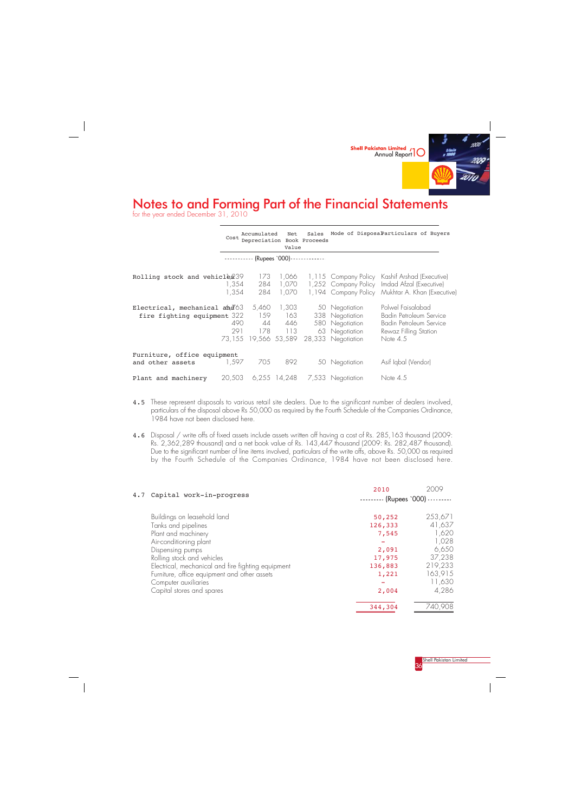

for the year ended December 31, 2010

 $\frac{1}{\sqrt{2}}$ 



|                                                                                                               | Cost           | Accumulated<br>Depreciation Book Proceeds    | Net<br>Value                      | Sales       |                                                                                              | Mode of DisposaParticulars of Buyers                                                                                                                |
|---------------------------------------------------------------------------------------------------------------|----------------|----------------------------------------------|-----------------------------------|-------------|----------------------------------------------------------------------------------------------|-----------------------------------------------------------------------------------------------------------------------------------------------------|
|                                                                                                               |                | $\cdots$ $\cdots$ $\cdots$ (Rupees `000) - - |                                   | ----------- |                                                                                              |                                                                                                                                                     |
| Rolling stock and vehicle 239                                                                                 | 1,354<br>1,354 | 173<br>284<br>284                            | 1,066<br>1,070<br>1,070           |             |                                                                                              | 1, 115 Company Policy Kashif Arshad (Executive)<br>1,252 Company Policy Imdad Afzal (Executive)<br>1,194 Company Policy Mukhtar A. Khan (Executive) |
| Electrical, mechanical $\frac{d\mathbf{\vec{\alpha}}}{d\mathbf{\vec{\alpha}}}$<br>fire fighting equipment 322 | 490<br>291     | 5,460<br>178<br>73,155 19,566 53,589         | 1,303<br>159 163<br>44 446<br>113 |             | 50 Negotiation<br>338 Negotiation<br>580 Negotiation<br>63 Negotiation<br>28,333 Negotiation | Polwel Faisalabad<br>Badin Petroleum Service<br>Badin Petroleum Service<br>Rewaz Filling Station<br>Note $4.5$                                      |
| Furniture, office equipment<br>and other assets                                                               | 1.597          | 705                                          | 892                               |             | 50 Negotiation                                                                               | Asif Iqbal (Vendor)                                                                                                                                 |
| Plant and machinery                                                                                           | 20,503         |                                              | $6,255$ 14,248                    |             | 7,533 Negotiation                                                                            | Note $4.5$                                                                                                                                          |

- 4.5 These represent disposals to various retail site dealers. Due to the significant number of dealers involved, particulars of the disposal above Rs 50,000 as required by the Fourth Schedule of the Companies Ordinance, 1984 have not been disclosed here.
- 4.6 Disposal / write offs of fixed assets include assets written off having a cost of Rs. 285,163 thousand (2009: Rs. 2,362,289 thousand) and a net book value of Rs. 143,447 thousand (2009: Rs. 282,487 thousand). Due to the significant number of line items involved, particulars of the write offs, above Rs. 50,000 as required by the Fourth Schedule of the Companies Ordinance, 1984 have not been disclosed here.

| 4.7 Capital work-in-progress                       | 2010            | 2009    |
|----------------------------------------------------|-----------------|---------|
|                                                    | (Rupees `000) - |         |
| Buildings on leasehold land                        | 50,252          | 253,671 |
| Tanks and pipelines                                | 126,333         | 41,637  |
| Plant and machinery                                | 7,545           | 1,620   |
| Air-conditioning plant                             |                 | 1,028   |
| Dispensing pumps                                   | 2,091           | 6,650   |
| Rolling stock and vehicles                         | 17,975          | 37,238  |
| Electrical, mechanical and fire fighting equipment | 136,883         | 219,233 |
| Furniture, office equipment and other assets       | 1,221           | 163,915 |
| Computer auxiliaries                               |                 | 11,630  |
| Capital stores and spares                          | 2,004           | 4,286   |
|                                                    | 344,304         | 740,908 |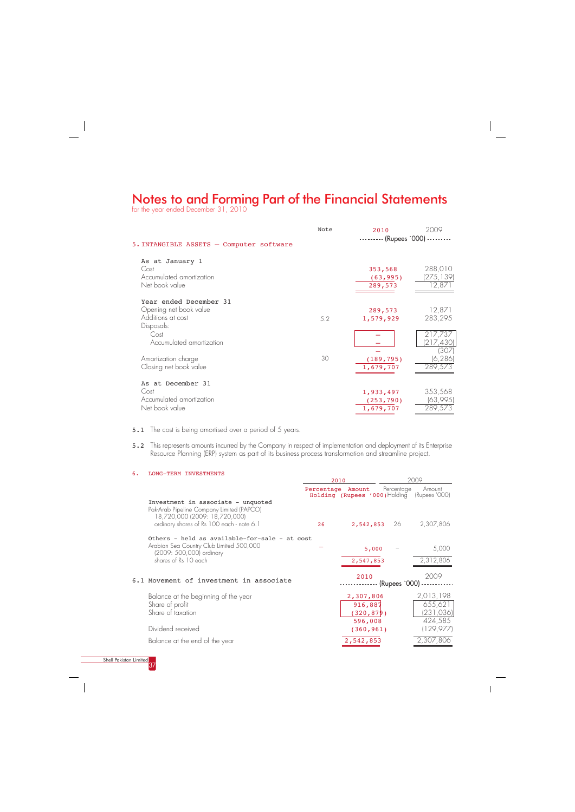for the year ended December 31, 2010



5.1 The cost is being amortised over a period of 5 years.

5.2 This represents amounts incurred by the Company in respect of implementation and deployment of its Enterprise Resource Planning (ERP) system as part of its business process transformation and streamline project.

|                                          | Note | 2010              | 2009                |
|------------------------------------------|------|-------------------|---------------------|
| 5. INTANGIBLE ASSETS - Computer software |      | - (Rupees `000) - |                     |
| As at January 1<br>Cost                  |      | 353,568           | 288,010             |
| Accumulated amortization                 |      | (63, 995)         | (275,139)           |
| Net book value                           |      | 289,573           | 12,871              |
| Year ended December 31                   |      |                   |                     |
| Opening net book value                   |      | 289,573           | 12,871              |
| Additions at cost                        | 5.2  | 1,579,929         | 283,295             |
| Disposals:                               |      |                   |                     |
| Cost                                     |      |                   | 217,737             |
| Accumulated amortization                 |      |                   | (217, 430)<br>(307) |
| Amortization charge                      | 30   | (189, 795)        | (6, 286)            |
| Closing net book value                   |      | 1,679,707         | 289,573             |
|                                          |      |                   |                     |
| As at December 31                        |      |                   |                     |
| Cost                                     |      | 1,933,497         | 353,568             |
| Accumulated amortization                 |      | (253, 790)        | (63,995)            |
| Net book value                           |      | 1,679,707         | 289,573             |
|                                          |      |                   |                     |

| 6. | LONG-TERM INVESTMENTS                                                                                            |                   |                      |       |            |                                                       |
|----|------------------------------------------------------------------------------------------------------------------|-------------------|----------------------|-------|------------|-------------------------------------------------------|
|    |                                                                                                                  | 2010              |                      |       |            | 2009                                                  |
|    |                                                                                                                  | Percentage Amount |                      |       | Percentage | Amount<br>Holding (Rupees '000) Holding (Rupees '000) |
|    | Investment in associate - unquoted<br>Pak-Arab Pipeline Company Limited (PAPCO)<br>18,720,000 (2009: 18,720,000) |                   |                      |       |            |                                                       |
|    | ordinary shares of Rs 100 each - note 6.1                                                                        | 26                | 2,542,853 26         |       |            | 2,307,806                                             |
|    | Others - held as available-for-sale - at cost                                                                    |                   |                      |       |            |                                                       |
|    | Arabian Sea Country Club Limited 500,000<br>(2009: 500,000) ordinary                                             |                   |                      | 5,000 |            | 5,000                                                 |
|    | shares of Rs 10 each                                                                                             |                   | 2,547,853            |       |            | 2,312,806                                             |
|    | 6.1 Movement of investment in associate                                                                          |                   | 2010                 |       |            | 2009<br>(Rupees `000) --------                        |
|    | Balance at the beginning of the year<br>Share of profit<br>$\sim$ $\sim$ $\sim$ $\sim$ $\sim$                    |                   | 2,307,806<br>916,887 |       |            | 2,013,198<br>655,621<br>10010011                      |

| Share of taxation              | (320, 879) | (231, 036) |
|--------------------------------|------------|------------|
|                                | 596,008    | 424,585    |
| Dividend received              | (360, 961) | (129.977)  |
| Balance at the end of the year | 2,542,853  | 2,307,806  |

 $\overline{\phantom{a}}$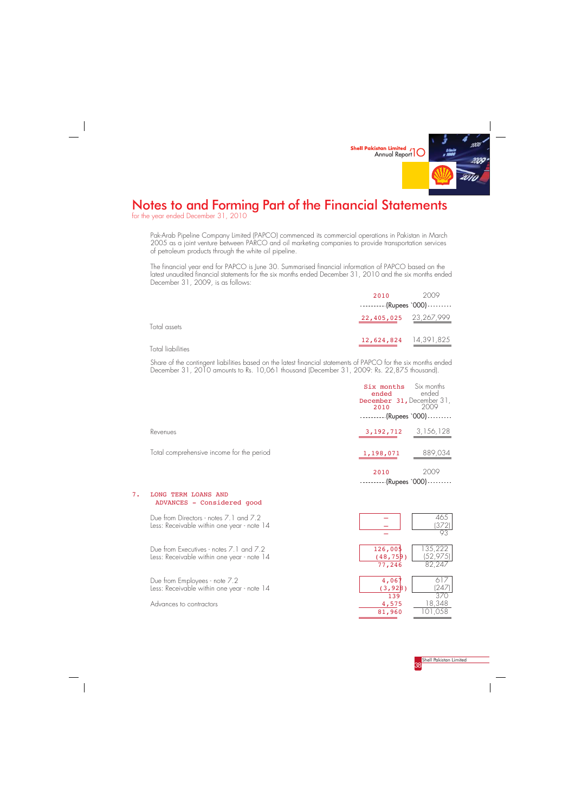

for the year ended December 31, 2010

Pak-Arab Pipeline Company Limited (PAPCO) commenced its commercial operations in Pakistan in March 2005 as a joint venture between PARCO and oil marketing companies to provide transportation services of petroleum products through the white oil pipeline.

The financial year end for PAPCO is June 30. Summarised financial information of PAPCO based on the latest unaudited financial statements for the six months ended December 31, 2010 and the six months ended December 31, 2009, is as follows:

|                   | 2010                                     | 2009 |
|-------------------|------------------------------------------|------|
|                   | $\cdots$ $\cdots$ (Rupees `000) $\cdots$ |      |
| Total assets      | 22,405,025 23,267,999                    |      |
| Total liabilities | 12,624,824 14,391,825                    |      |

Share of the contingent liabilities based on the latest financial statements of PAPCO for the six months ended December 31, 2010 amounts to Rs. 10,061 thousand (December 31, 2009: Rs. 22,875 thousand).

### 7. LONG TERM LOANS AND ADVANCES - Considered good

|                                           | <b>Six months</b> Six months<br>ended<br>December 31, December 31,<br>2010<br>$\cdot$ (Rupees `000) - - | ended<br>2009 |
|-------------------------------------------|---------------------------------------------------------------------------------------------------------|---------------|
| Revenues                                  | 3, 192, 712                                                                                             | 3,156,128     |
| Total comprehensive income for the period | 1,198,071                                                                                               | 889,034       |
|                                           | 2010<br>(Rupees `000)                                                                                   | 2009          |

| Due from Directors - notes 7.1 and 7.2<br>Less: Receivable within one year - note 14 |            | 465<br>(372)           |
|--------------------------------------------------------------------------------------|------------|------------------------|
|                                                                                      |            | 93                     |
| Due from Executives - notes 7.1 and 7.2                                              | 126,005    | 135,222                |
| Less: Receivable within one year - note 14                                           | (48, 75)9) | (52, 975)              |
|                                                                                      | 77,246     | 82,247                 |
| Due from Employees - note 7.2                                                        | 4,06       | 617                    |
| Less: Receivable within one year - note 14                                           | (3, 92 8)  | (247)                  |
|                                                                                      | 139        | 370.                   |
| Advances to contractors                                                              | 4,575      | 18,348                 |
|                                                                                      | 01000      | $1 \cap 1 \cap F \cap$ |



<mark>Shell Pakistan Limited</mark><br>38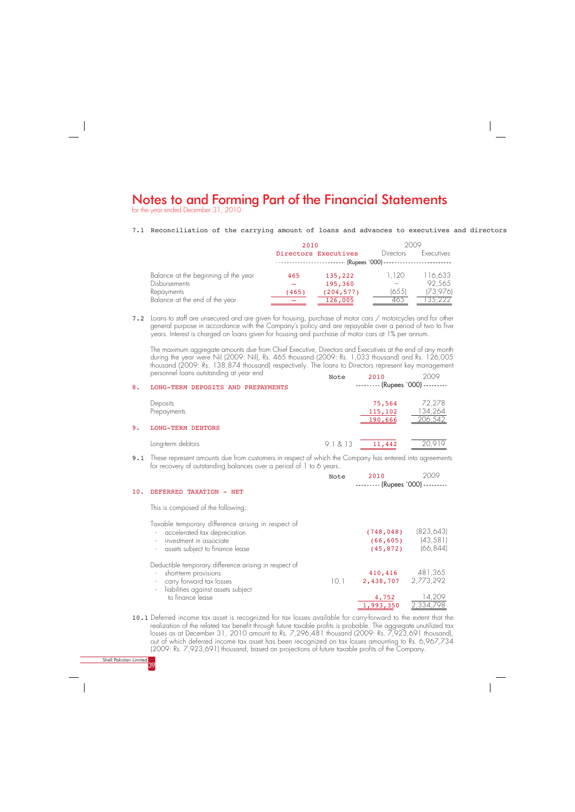for the year ended December 31, 2010

Shell Pakistan Limited 39

### 7.1 Reconciliation of the carrying amount of loans and advances to executives and directors

The maximum aggregate amounts due from Chief Executive, Directors and Executives at the end of any month during the year were Nil (2009: Nil), Rs. 465 thousand (2009: Rs. 1,033 thousand) and Rs. 126,005 thousand (2009: Rs. 138,874 thousand) respectively. The loans to Directors represent key management personnel loans outstanding at year end 2010 2009  $N \cap \neg \neg$ 

7.2 Loans to staff are unsecured and are given for housing, purchase of motor cars / motorcycles and for other general purpose in accordance with the Company's policy and are repayable over a period of two to five years. Interest is charged on loans given for housing and purchase of motor cars at 1% per annum.

|                                      | 2010                   |                      | 2009                                     |            |
|--------------------------------------|------------------------|----------------------|------------------------------------------|------------|
|                                      |                        | Directors Executives | Directors                                | Executives |
|                                      | ---------------------- |                      | (Rupees '000) -------------------------- |            |
| Balance at the beginning of the year | 465                    | 135,222              | 1,120                                    | 116,633    |
| <b>Disbursements</b>                 |                        | 195,360              |                                          | 92,565     |
| Repayments                           | (465)                  | (204, 577)           | (655)                                    | (73,976)   |
| Balance at the end of the year       |                        | 126,005              | 465.                                     | 35.222     |

9.1 These represent amounts due from customers in respect of which the Company has entered into agreements for recovery of outstanding balances over a period of 1 to 6 years.

| 8. | LONG-TERM DEPOSITS AND PREPAYMENTS                  | <b>NOLE</b> | 2. V I V<br>--------- (Rupees '000) --------- | ノマリマ                         |
|----|-----------------------------------------------------|-------------|-----------------------------------------------|------------------------------|
| 9. | Deposits<br>Prepayments<br><b>LONG-TERM DEBTORS</b> |             | 75,564<br>115,102<br>190,666                  | 72,278<br>134,264<br>206,542 |
|    | Long-term debtors                                   | 9.1813      | 11,442                                        | 20,919                       |

10.1 Deferred income tax asset is recognized for tax losses available for carry-forward to the extent that the realization of the related tax benefit through future taxable profits is probable. The aggregate unutilized tax losses as at December 31, 2010 amount to Rs. 7,296,481 thousand (2009: Rs. 7,923,691 thousand), out of which deferred income tax asset has been recognized on tax losses amounting to Rs. 6,967,734 (2009: Rs. 7,923,691) thousand, based on projections of future taxable profits of the Company.

|     |                                                                                                                                                                                                                                  | Note | 2010                                 | 2009                                 |
|-----|----------------------------------------------------------------------------------------------------------------------------------------------------------------------------------------------------------------------------------|------|--------------------------------------|--------------------------------------|
| 10. | DEFERRED TAXATION<br>NET                                                                                                                                                                                                         |      | --------- (Rupees '000) -            |                                      |
|     | This is composed of the following:                                                                                                                                                                                               |      |                                      |                                      |
|     | Taxable temporary difference arising in respect of<br>accelerated tax depreciation<br>$\overline{\phantom{a}}$<br>investment in associate<br>assets subject to finance lease<br>$\overline{\phantom{a}}$                         |      | (748, 048)<br>(66, 605)<br>(45, 872) | (823, 643)<br>(43, 581)<br>(66, 844) |
|     | Deductible temporary difference arising in respect of<br>short-term provisions<br>carry forward tax losses<br>$\overline{\phantom{a}}$<br>liabilities against assets subject<br>$\qquad \qquad \blacksquare$<br>to finance lease | 10.1 | 410,416<br>2,438,707<br>4,752        | 481,365<br>2,773,292<br>14,209       |
|     |                                                                                                                                                                                                                                  |      | 1,993,350                            | 2,334,798                            |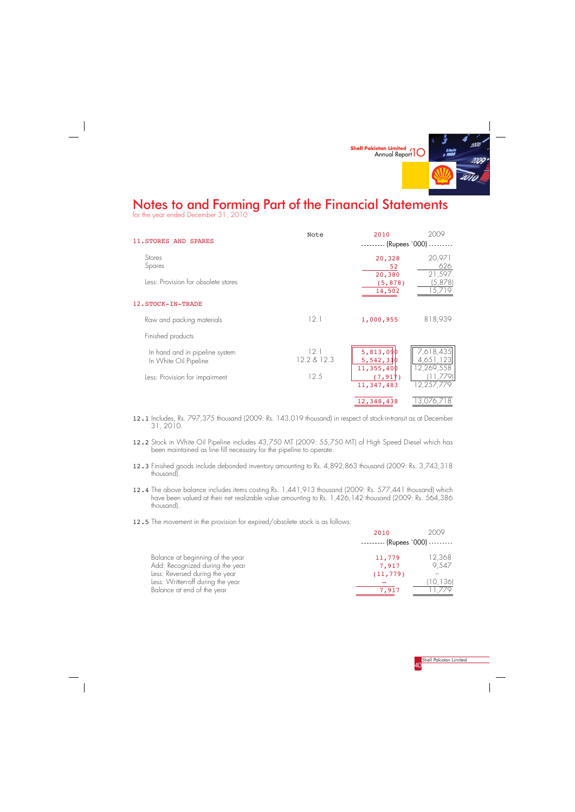

for the year ended December 31, 2010



|                                                         | Note                | 2010                                   | 2009                                |
|---------------------------------------------------------|---------------------|----------------------------------------|-------------------------------------|
| 11. STORES AND SPARES                                   |                     | -- (Rupees `000) -                     |                                     |
| Stores<br>Spares                                        |                     | 20,328<br>52                           | 20,971<br>626                       |
| Less: Provision for obsolete stores                     |                     | 20,380<br>(5, 878)<br>14,502           | 21,597<br>(5,878)<br>5,719          |
| 12. STOCK-IN-TRADE                                      |                     |                                        |                                     |
| Raw and packing materials                               | 12.1                | 1,000,955                              | 818,939                             |
| Finished products                                       |                     |                                        |                                     |
| In hand and in pipeline system<br>In White Oil Pipeline | 12.1<br>12.2 & 12.3 | 5,813,090<br>5,542,310<br>11, 355, 400 | 7,618,435<br>4,651,123<br>2,269,558 |
| Less: Provision for impairment                          | 12.5                | (7, 917)<br>11,347,483                 | ,779)<br>12,257,779                 |
|                                                         |                     | 12,348,438                             | 13,076,718                          |

- 12.1 Includes, Rs. 797,375 thousand (2009: Rs. 143,019 thousand) in respect of stock-in-transit as at December 31, 2010.
- 12.2 Stock in White Oil Pipeline includes 43,750 MT (2009: 55,750 MT) of High Speed Diesel which has been maintained as line fill necessary for the pipeline to operate.
- 12.3 Finished goods include debonded inventory amounting to Rs. 4,892,863 thousand (2009: Rs. 3,743,318 thousand).
- 12.4 The above balance includes items costing Rs. 1,441,913 thousand (2009: Rs. 577,441 thousand) which have been valued at their net realizable value amounting to Rs. 1,426,142 thousand (2009: Rs. 564,386 thousand).
- 12.5 The movement in the provision for expired/obsolete stock is as follows:

|                                                                   | 2010                                     | 2009    |
|-------------------------------------------------------------------|------------------------------------------|---------|
|                                                                   | $\cdots$ $\cdots$ (Rupees `000) $\cdots$ |         |
| Balance at beginning of the year                                  | 11,779                                   | 12,368  |
| Add: Recognized during the year<br>Less: Reversed during the year | 7,917<br>(11, 779)                       | 9,547   |
| Less: Written-off during the year                                 |                                          | 10, 136 |
| Balance at end of the year                                        | 7,917                                    |         |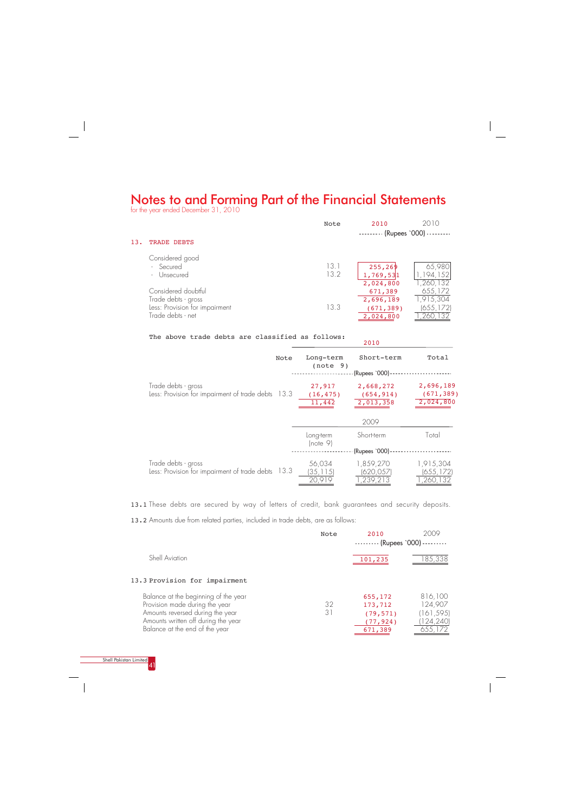for the year ended December 31, 2010



13.2 Amounts due from related parties, included in trade debts, are as follows:

### The above trade debts are classified as follows:

2010

13.1 These debts are secured by way of letters of credit, bank guarantees and security deposits.

| Note                                                                          | Long-term<br>(note 9)         | Short-term<br>(Rupees `000) -        | Total                                |
|-------------------------------------------------------------------------------|-------------------------------|--------------------------------------|--------------------------------------|
| Trade debts - gross<br>Less: Provision for impairment of trade debts 13.3     | 27,917<br>(16, 475)<br>11,442 | 2,668,272<br>(654, 914)<br>2,013,358 | 2,696,189<br>(671, 389)<br>2,024,800 |
|                                                                               |                               | 2009                                 |                                      |
|                                                                               | Long-term<br> note 9          | Short-term                           | Total                                |
|                                                                               |                               | (Rupees '000) -                      |                                      |
| Trade debts - gross<br>Less: Provision for impairment of trade debts<br>-13.3 | 56,034<br>(35,115)<br>20,919  | 1,859,270<br>(620,057<br>,239,213    | 1,915,304<br>(655,172)<br>260,132    |

| 13. | <b>TRADE DEBTS</b>                                                                                | Note         | 2010<br>$-----$ (Rupees `000)                   | 2010                                      |
|-----|---------------------------------------------------------------------------------------------------|--------------|-------------------------------------------------|-------------------------------------------|
|     | Considered good<br>- Secured<br>- Unsecured                                                       | 13.1<br>13.2 | 255, 269<br>1,769,531<br>2,024,800              | 65,980<br>194,152<br>,260,132             |
|     | Considered doubtful<br>Trade debts - gross<br>Less: Provision for impairment<br>Trade debts - net | 13.3         | 671,389<br>2,696,189<br>(671, 389)<br>2,024,800 | 655,172<br>1,915,304<br>(655, 172)<br>260 |

|                                                                        | Note | 2010<br>$------$ (Rupees `000) --------- | 2009               |
|------------------------------------------------------------------------|------|------------------------------------------|--------------------|
| Shell Aviation                                                         |      | 101,235                                  | 185,338            |
| 13.3 Provision for impairment                                          |      |                                          |                    |
| Balance at the beginning of the year<br>Provision made during the year | 32   | 655,172<br>173,712                       | 816,100<br>124,907 |

| Amounts reversed during the year    | (79, 571) | (161, 595) |
|-------------------------------------|-----------|------------|
| Amounts written off during the year | (77, 924) | (124, 240) |
| Balance at the end of the year      | 671,389   | 655,172    |
|                                     |           |            |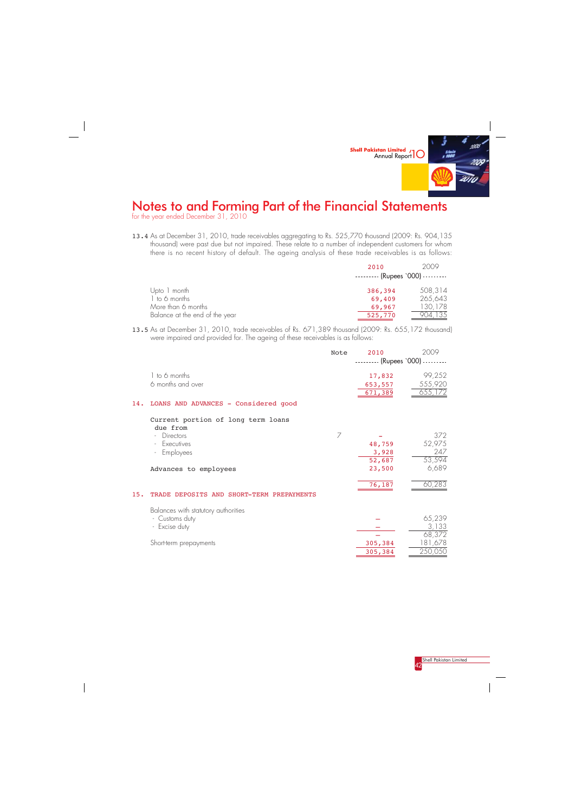

for the year ended December 31, 2010



13.4 As at December 31, 2010, trade receivables aggregating to Rs. 525,770 thousand (2009: Rs. 904,135 thousand) were past due but not impaired. These relate to a number of independent customers for whom there is no recent history of default. The ageing analysis of these trade receivables is as follows:

13.5 As at December 31, 2010, trade receivables of Rs. 671,389 thousand (2009: Rs. 655,172 thousand) were impaired and provided for. The ageing of these receivables is as follows:

|                                | 2010<br>$\cdots$ $\cdots$ (Rupees `000) $\cdots$ | 2009    |
|--------------------------------|--------------------------------------------------|---------|
| Upto 1 month                   | 386,394                                          | 508,314 |
| 1 to 6 months                  | 69,409                                           | 265,643 |
| More than 6 months             | 69,967                                           | 130,178 |
| Balance at the end of the year | 525,770                                          |         |

|     |                                                | Note | 2010<br>-------- (Rupees '000) --------- | 2009                         |
|-----|------------------------------------------------|------|------------------------------------------|------------------------------|
|     | 1 to 6 months<br>6 months and over             |      | 17,832<br>653,557<br>671,389             | 99,252<br>555,920<br>655,172 |
| 14. | LOANS AND ADVANCES - Considered good           |      |                                          |                              |
|     | Current portion of long term loans<br>due from |      |                                          |                              |
|     | Directors                                      | 7    |                                          | 372                          |
|     | Executives<br>$\overline{\phantom{a}}$         |      | 48,759                                   | 52,975                       |
|     | Employees                                      |      | 3,928                                    | 247                          |
|     |                                                |      | 52,687                                   | 53,594                       |
|     | Advances to employees                          |      | 23,500                                   | 6,689                        |
|     |                                                |      | 76,187                                   | 60,283                       |
| 15. | TRADE DEPOSITS AND SHORT-TERM PREPAYMENTS      |      |                                          |                              |
|     | Balances with statutory authorities            |      |                                          |                              |
|     | - Customs duty                                 |      |                                          | 65,239                       |
|     | - Excise duty                                  |      |                                          | 3,133                        |
|     |                                                |      |                                          | 68,372                       |
|     | Short-term prepayments                         |      | 305,384                                  | 181,678                      |
|     |                                                |      | 305,384                                  | 250,050                      |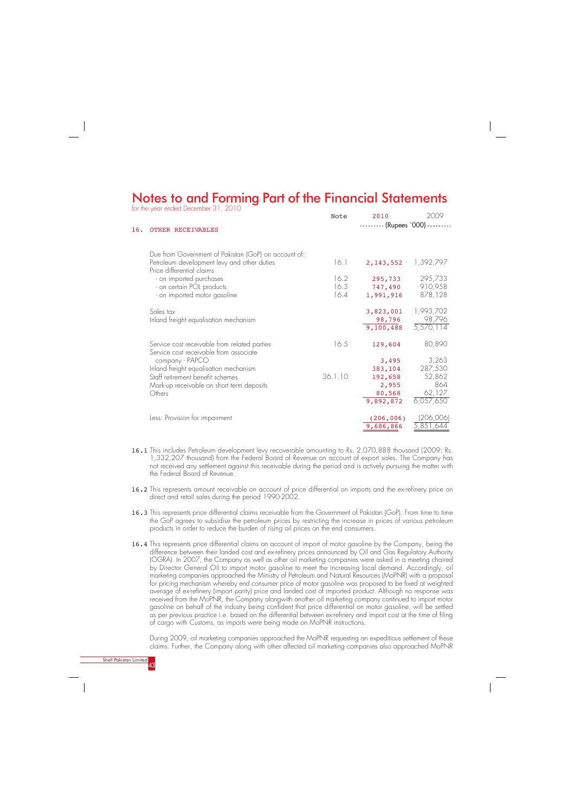- 16.1 This includes Petroleum development levy recoverable amounting to Rs. 2,070,888 thousand (2009: Rs. 1,332,207 thousand) from the Federal Board of Revenue on account of export sales. The Company has not received any settlement against this receivable during the period and is actively pursuing the matter with the Federal Board of Revenue.
- 16.2 This represents amount receivable on account of price differential on imports and the ex-refinery price on direct and retail sales during the period 1990-2002.
- 16.3 This represents price differential claims receivable from the Government of Pakistan (GoP). From time to time the GoP agrees to subsidise the petroleum prices by restricting the increase in prices of various petroleum products in order to reduce the burden of rising oil prices on the end consumers.
- 16.4 This represents price differential claims on account of import of motor gasoline by the Company, being the difference between their landed cost and ex-refinery prices announced by Oil and Gas Regulatory Authority (OGRA). In 2007, the Company as well as other oil marketing companies were asked in a meeting chaired by Director General Oil to import motor gasoline to meet the increasing local demand. Accordingly, oil marketing companies approached the Ministry of Petroleum and Natural Resources (MoPNR) with a proposal for pricing mechanism whereby end consumer price of motor gasoline was proposed to be fixed at weighted average of ex-refinery (import parity) price and landed cost of imported product. Although no response was received from the MoPNR, the Company alongwith another oil marketing company continued to import motor gasoline on behalf of the industry being confident that price differential on motor gasoline, will be settled

 $(206, 006)$ 9,686,866

as per previous practice i.e. based on the differential between ex-refinery and import cost at the time of filing of cargo with Customs, as imports were being made on MoPNR instructions.

During 2009, oil marketing companies approached the MoPNR requesting an expeditious settlement of these claims. Further, the Company along with other affected oil marketing companies also approached MoPNR

# Notes to and Forming Part of the Financial Statements

for the year ended December 31, 2010



company - PAPCO

Inland freight equalisation mechanism Staff retirement benefit schemes

| 16. | OTHER RECEIVABLES                                                                                                                |                      | - (Rupees `000)                  |                                  |
|-----|----------------------------------------------------------------------------------------------------------------------------------|----------------------|----------------------------------|----------------------------------|
|     | Due from Government of Pakistan (GoP) on account of:<br>Petroleum development levy and other duties<br>Price differential claims | 16.1                 | 2, 143, 552                      | 1,392,797                        |
|     | - on imported purchases<br>- on certain POL products<br>- on imported motor gasoline                                             | 16.2<br>16.3<br>16.4 | 295,733<br>747,490<br>1,991,916  | 295,733<br>910,958<br>878,128    |
|     | Sales tax<br>Inland freight equalisation mechanism                                                                               |                      | 3,823,001<br>98,796<br>9,100,488 | 1,993,702<br>98,796<br>5,570,114 |
|     | Service cost receivable from related parties<br>Service cost receivable from associate                                           | 16.5                 | 129,604                          | 80,890                           |

Mark-up receivable on short term deposits

Less: Provision for impairment

**Others** 

2010 2009

 3,495 383,104 192,658 2,955 80,568 9,892,872

 3,263 287,530 52,862 864 62,127 6,057,650

 (206,006) 5,851,644

36.1.10

Note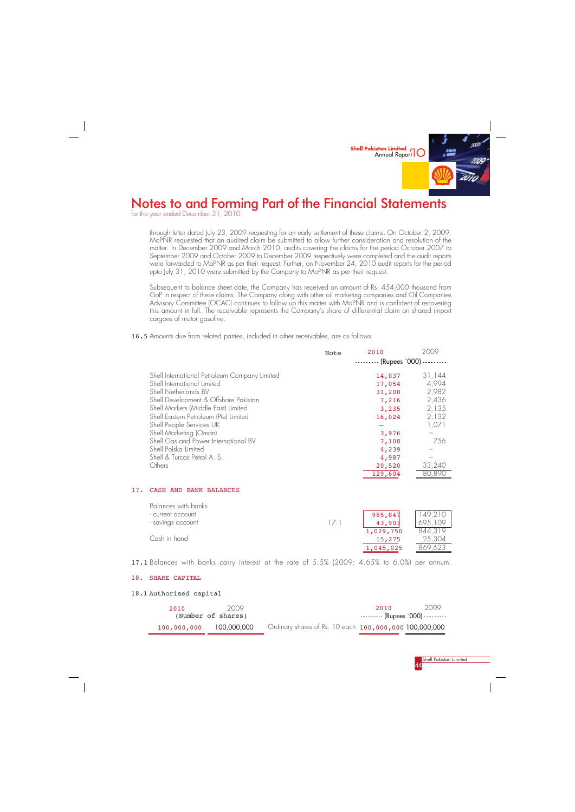through letter dated July 23, 2009 requesting for an early settlement of these claims. On October 2, 2009, MoPNR requested that an audited claim be submitted to allow further consideration and resolution of the matter. In December 2009 and March 2010, audits covering the claims for the period October 2007 to September 2009 and October 2009 to December 2009 respectively were completed and the audit reports were forwarded to MoPNR as per their request. Further, on November 24, 2010 audit reports for the period upto July 31, 2010 were submitted by the Company to MoPNR as per their request.

Subsequent to balance sheet date, the Company has received an amount of Rs. 454,000 thousand from GoP in respect of these claims. The Company along with other oil marketing companies and Oil Companies Advisory Committee (OCAC) continues to follow up this matter with MoPNR and is confident of recovering this amount in full. The receivable represents the Company's share of differential claim on shared import cargoes of motor gasoline.



# Notes to and Forming Part of the Financial Statements

(Number of shares) 100,000,000 100,000,000 Ordinary shares of Rs. 10 each 100,000,000 100,000,000 -------- (Rupees `000) ---------

for the year ended December 31, 2010



#### 17. CASH AND BANK BALANCES

|                                                                                                                                                                                                                                                                                                                                                                                    | Note | 2010                                                                                       | 2009                                                                |
|------------------------------------------------------------------------------------------------------------------------------------------------------------------------------------------------------------------------------------------------------------------------------------------------------------------------------------------------------------------------------------|------|--------------------------------------------------------------------------------------------|---------------------------------------------------------------------|
|                                                                                                                                                                                                                                                                                                                                                                                    |      | --------- (Rupees '000) ---------                                                          |                                                                     |
| Shell International Petroleum Company Limited<br>Shell International Limited<br>Shell Netherlands BV<br>Shell Development & Offshore Pakistan<br>Shell Markets (Middle East) Limited<br>Shell Eastern Petroleum (Pte) Limited<br>Shell People Services UK<br>Shell Marketing (Oman)<br>Shell Gas and Power International BV<br>Shell Polska Limited<br>Shell & Turcas Petrol A. S. |      | 14,037<br>17,054<br>31,208<br>7,216<br>3,235<br>16,024<br>3,976<br>7,108<br>4,239<br>4,987 | 31,144<br>4,994<br>2,982<br>2,436<br>2,135<br>2,132<br>1,071<br>756 |
| Others                                                                                                                                                                                                                                                                                                                                                                             |      | 20,520                                                                                     | 33,240                                                              |
|                                                                                                                                                                                                                                                                                                                                                                                    |      | 129,604                                                                                    | 80,890                                                              |

| Balances with banks |     |           |         |
|---------------------|-----|-----------|---------|
| - current account   |     | 985,847   | 149,210 |
| - savings account   | 171 | 43,903    | 695,109 |
|                     |     | 1,029,750 | 844,319 |
| Cash in hand        |     | 15,275    | 25,304  |
|                     |     | 1,045,025 | 869.623 |

16.5 Amounts due from related parties, included in other receivables, are as follows:

17.1 Balances with banks carry interest at the rate of 5.5% (2009: 4.65% to 6.0%) per annum.

## 18. SHARE CAPITAL

### 18.1 Authorised capital

| 2010 | 2009  | 2010 | 2009                                                            |
|------|-------|------|-----------------------------------------------------------------|
|      | _____ |      |                                                                 |
|      |       |      | the contract of the contract of the contract of the contract of |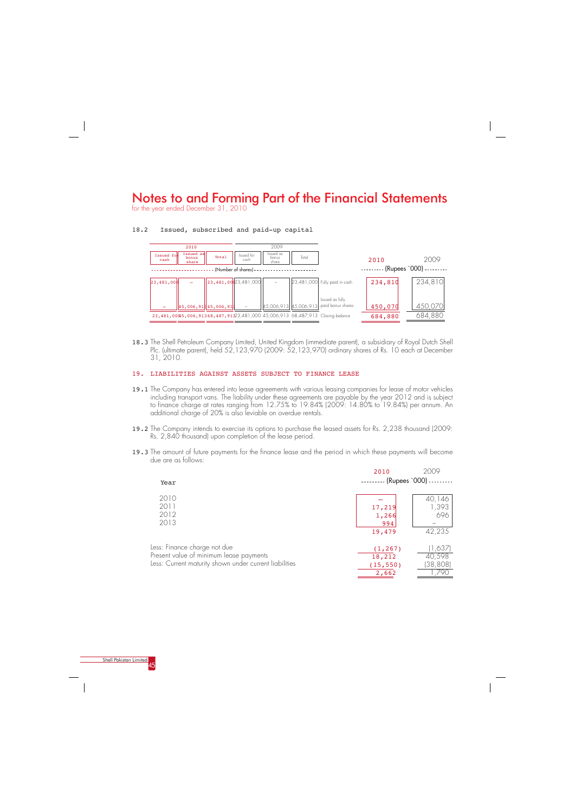for the year ended December 31, 2010



18.3 The Shell Petroleum Company Limited, United Kingdom (immediate parent), a subsidiary of Royal Dutch Shell Plc. (ultimate parent), held 52,123,970 (2009: 52,123,970) ordinary shares of Rs. 10 each at December 31, 2010.

### 19. LIABILITIES AGAINST ASSETS SUBJECT TO FINANCE LEASE

- 19.1 The Company has entered into lease agreements with various leasing companies for lease of motor vehicles including transport vans. The liability under these agreements are payable by the year 2012 and is subject to finance charge at rates ranging from 12.75% to 19.84% (2009: 14.80% to 19.84%) per annum. An additional charge of 20% is also leviable on overdue rentals.
- 19.2 The Company intends to exercise its options to purchase the leased assets for Rs. 2,238 thousand (2009: Rs. 2,840 thousand) upon completion of the lease period.
- 19.3 The amount of future payments for the finance lease and the period in which these payments will become due are as follows:

|                                                        | 2010            | 2009      |
|--------------------------------------------------------|-----------------|-----------|
| Year                                                   | (Rupees `000) - |           |
| 2010                                                   |                 | 40,146    |
| 2011                                                   | 17,219          | 1,393     |
| 2012                                                   | 1,266           | 696       |
| 2013                                                   | 994             |           |
|                                                        | 19,479          | 42,235    |
| Less: Finance charge not due                           | (1, 267)        | (1,637)   |
| Present value of minimum lease payments                | 18,212          | 40,598    |
| Less: Current maturity shown under current liabilities | (15, 550)       | (38, 808) |
|                                                        | 2,662           |           |

### 18.2 Issued, subscribed and paid-up capital

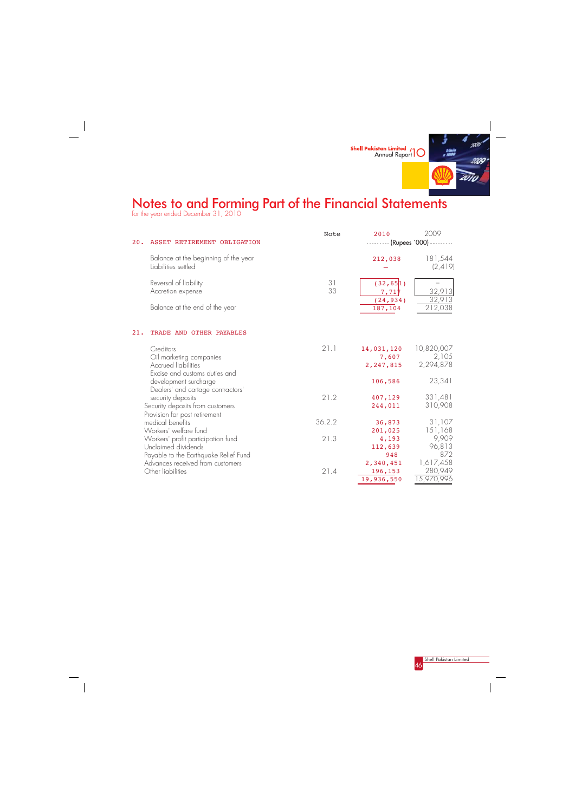

for the year ended December 31, 2010

 $\frac{1}{\sqrt{2}}$ 



 $\begin{array}{c} \hline \end{array}$ 

| 20. | ASSET RETIREMENT OBLIGATION                                 | Note     | 2010<br>--------- (Rupees '000) --- | 2009                |
|-----|-------------------------------------------------------------|----------|-------------------------------------|---------------------|
|     | Balance at the beginning of the year<br>Liabilities settled |          | 212,038                             | 181,544<br>(2, 419) |
|     | Reversal of liability<br>Accretion expense                  | 31<br>33 | (32, 65]1)<br>7,717                 | 32,913              |
|     | Balance at the end of the year                              |          | (24, 934)<br>187,104                | 212,038             |
| 21. | TRADE AND OTHER PAYABLES                                    |          |                                     |                     |
|     | Creditors                                                   | 21.1     | 14,031,120                          | 10,820,007          |
|     | Oil marketing companies                                     |          | 7,607                               | 2,105               |
|     | <b>Accrued liabilities</b><br>Excise and customs duties and |          | 2,247,815                           | 2,294,878           |
|     | development surcharge                                       |          | 106,586                             | 23,341              |
|     | Dealers' and cartage contractors'                           |          |                                     |                     |
|     | security deposits                                           | 21.2     | 407,129                             | 331,481             |
|     | Security deposits from customers                            |          | 244,011                             | 310,908             |
|     | Provision for post retirement<br>medical benefits           | 36.2.2   | 36,873                              | 31,107              |
|     | Workers' welfare fund                                       |          | 201,025                             | 151,168             |
|     | Workers' profit participation fund                          | 21.3     | 4,193                               | 9,909               |
|     | Unclaimed dividends                                         |          | 112,639                             | 96,813              |
|     | Payable to the Earthquake Relief Fund                       |          | 948                                 | 872                 |
|     | Advances received from customers                            |          | 2,340,451                           | 1,617,458           |
|     | Other liabilities                                           | 21.4     | 196,153                             | 280,949             |
|     |                                                             |          | 19,936,550                          | 15,970,996          |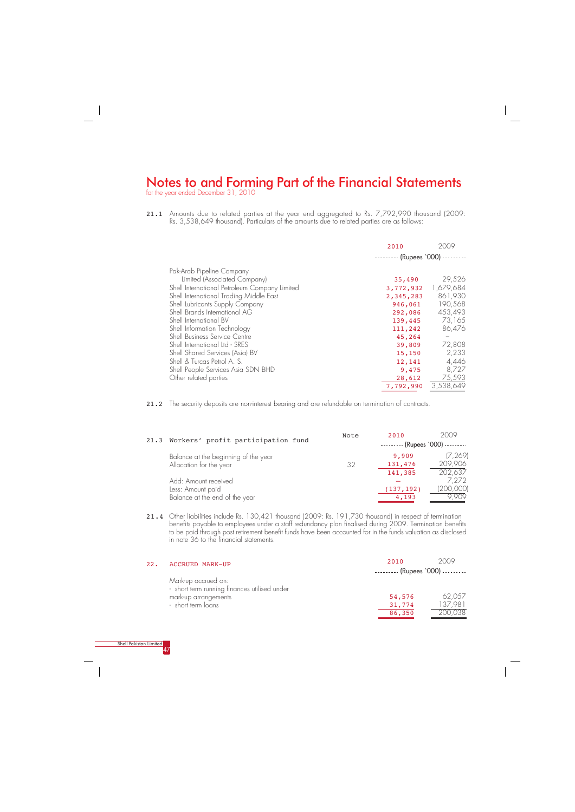for the year ended December 31, 2010



21.1 Amounts due to related parties at the year end aggregated to Rs. 7,792,990 thousand (2009: Rs. 3,538,649 thousand). Particulars of the amounts due to related parties are as follows:

|                                                                                                                                                                                                                                                                                                                                                                                                                                                                | 2010                                                                                                                                                                      | 2009                                                                                                          |
|----------------------------------------------------------------------------------------------------------------------------------------------------------------------------------------------------------------------------------------------------------------------------------------------------------------------------------------------------------------------------------------------------------------------------------------------------------------|---------------------------------------------------------------------------------------------------------------------------------------------------------------------------|---------------------------------------------------------------------------------------------------------------|
| Pak-Arab Pipeline Company<br>Limited (Associated Company)<br>Shell International Petroleum Company Limited<br>Shell International Trading Middle East<br>Shell Lubricants Supply Company<br>Shell Brands International AG<br>Shell International BV<br>Shell Information Technology<br>Shell Business Service Centre<br>Shell International Ltd - SRES<br>Shell Shared Services (Asia) BV<br>Shell & Turcas Petrol A. S.<br>Shell People Services Asia SDN BHD | $\cdots$ $\cdots$ (Rupees `000) $\cdots$<br>35,490<br>3,772,932<br>2,345,283<br>946,061<br>292,086<br>139,445<br>111,242<br>45,264<br>39,809<br>15,150<br>12,141<br>9,475 | 29,526<br>1,679,684<br>861,930<br>190,568<br>453,493<br>73,165<br>86,476<br>72,808<br>2,233<br>4,446<br>8,727 |
| Other related parties                                                                                                                                                                                                                                                                                                                                                                                                                                          | 28,612<br>7,792,990                                                                                                                                                       | 75,593<br>3,538,649                                                                                           |

21.2 The security deposits are non-interest bearing and are refundable on termination of contracts.

21.4 Other liabilities include Rs. 130,421 thousand (2009: Rs. 191,730 thousand) in respect of termination benefits payable to employees under a staff redundancy plan finalised during 2009. Termination benefits to be paid through post retirement benefit funds have been accounted for in the funds valuation as disclosed in note 36 to the financial statements.

| 22. | <b>ACCRUED MARK-UP</b>                                              | 2010                                     | 2009   |
|-----|---------------------------------------------------------------------|------------------------------------------|--------|
|     |                                                                     | $\cdots$ $\cdots$ (Rupees `000) $\cdots$ |        |
|     | Mark-up accrued on:<br>- short term running finances utilised under |                                          |        |
|     | mark-up arrangements                                                | 54,576                                   | 62.057 |
|     | - short term loans                                                  | 31,774                                   | ' 98 i |
|     |                                                                     |                                          |        |



| 21.3 Workers' profit participation fund                                     | Note | 2010<br>$\cdots$ $\cdots$ (Rupees `000) $\cdots$ | 2009                           |
|-----------------------------------------------------------------------------|------|--------------------------------------------------|--------------------------------|
| Balance at the beginning of the year<br>Allocation for the year             | 32   | 9,909<br>131,476<br>141,385                      | (7, 269)<br>209,906<br>202,637 |
| Add: Amount received<br>Less: Amount paid<br>Balance at the end of the year |      | (137, 192)<br>4,193                              | 7,272<br>[200,000]<br>9 909    |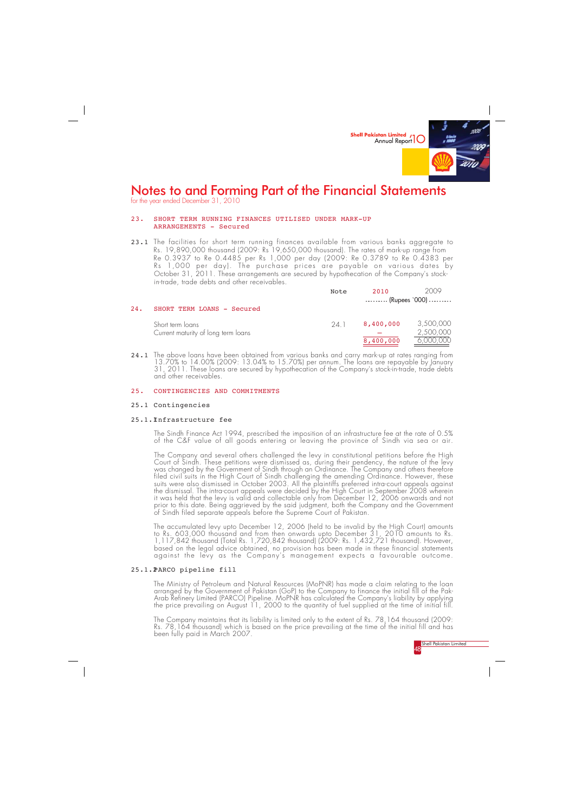

### 23. SHORT TERM RUNNING FINANCES UTILISED UNDER MARK-UP ARRANGEMENTS - Secured

for the year ended December 31, 2010

**Shell Pakistan Limited** 48

23.1 The facilities for short term running finances available from various banks aggregate to Rs. 19,890,000 thousand (2009: Rs 19,650,000 thousand). The rates of mark-up range from Re 0.3937 to Re 0.4485 per Rs 1,000 per day (2009: Re 0.3789 to Re 0.4383 per Rs 1,000 per day). The purchase prices are payable on various dates by October 31, 2011. These arrangements are secured by hypothecation of the Company's stockin-trade, trade debts and other receivables.

24.1 The above loans have been obtained from various banks and carry mark-up at rates ranging from 13.70% to 14.00% (2009: 13.04% to 15.70%) per annum. The loans are repayable by January 31, 2011. These loans are secured by hypothecation of the Company's stock-in-trade, trade debts and other receivables.

#### 25. CONTINGENCIES AND COMMITMENTS

#### 25.1 Contingencies

#### 25.1.1Infrastructure fee

The Sindh Finance Act 1994, prescribed the imposition of an infrastructure fee at the rate of 0.5% of the C&F value of all goods entering or leaving the province of Sindh via sea or air.

The Ministry of Petroleum and Natural Resources (MoPNR) has made a claim relating to the loan arranged by the Government of Pakistan (GoP) to the Company to finance the initial fill of the Pak-Arab Refinery Limited (PARCO) Pipeline. MoPNR has calculated the Company's liability by applying the price prevailing on August 11, 2000 to the quantity of fuel supplied at the time of initial fill.

The Company and several others challenged the levy in constitutional petitions before the High Court of Sindh. These petitions were dismissed as, during their pendency, the nature of the levy was changed by the Government of Sindh through an Ordinance. The Company and others therefore filed civil suits in the High Court of Sindh challenging the amending Ordinance. However, these suits were also dismissed in October 2003. All the plaintiffs preferred intra-court appeals against the dismissal. The intra-court appeals were decided by the High Court in September 2008 wherein it was held that the levy is valid and collectable only from December 12, 2006 onwards and not prior to this date. Being aggrieved by the said judgment, both the Company and the Government of Sindh filed separate appeals before the Supreme Court of Pakistan.

The accumulated levy upto December 12, 2006 (held to be invalid by the High Court) amounts to Rs. 603,000 thousand and from then onwards upto December 31, 2010 amounts to Rs. 1,117,842 thousand (Total Rs. 1,720,842 thousand) (2009: Rs. 1,432,721 thousand). However, based on the legal advice obtained, no provision has been made in these financial statements against the levy as the Company's management expects a favourable outcome.

### 25.1.2PARCO pipeline fill

The Company maintains that its liability is limited only to the extent of Rs. 78,164 thousand (2009: Rs. 78,164 thousand) which is based on the price prevailing at the time of the initial fill and has been fully paid in March 2007.

|     |                                     | Note | 2010                                     | 2009      |
|-----|-------------------------------------|------|------------------------------------------|-----------|
|     |                                     |      | $\cdots$ $\cdots$ (Rupees `000) $\cdots$ |           |
| 24. | SHORT TERM LOANS - Secured          |      |                                          |           |
|     | Short term loans                    | 24 1 | 8,400,000                                | 3,500,000 |
|     | Current maturity of long term loans |      |                                          | 2,500,000 |
|     |                                     |      | 8,400,000                                | 6,000,000 |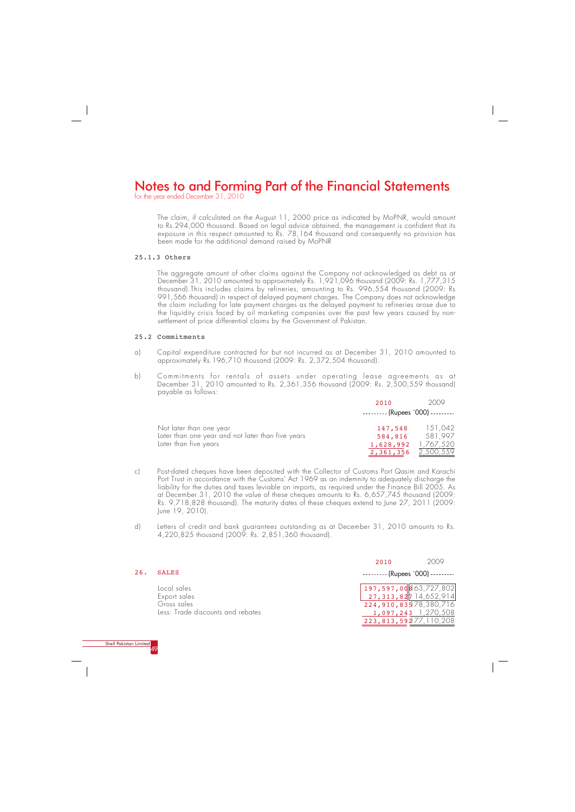for the year ended December 31, 2010



The claim, if calculated on the August 11, 2000 price as indicated by MoPNR, would amount to Rs.294,000 thousand. Based on legal advice obtained, the management is confident that its exposure in this respect amounted to Rs. 78,164 thousand and consequently no provision has been made for the additional demand raised by MoPNR

#### 25.1.3 Others

The aggregate amount of other claims against the Company not acknowledged as debt as at December 31, 2010 amounted to approximately Rs. 1,921,096 thousand (2009: Rs. 1,777,315 thousand).This includes claims by refineries, amounting to Rs. 996,554 thousand (2009: Rs 991,566 thousand) in respect of delayed payment charges. The Company does not acknowledge the claim including for late payment charges as the delayed payment to refineries arose due to the liquidity crisis faced by oil marketing companies over the past few years caused by nonsettlement of price differential claims by the Government of Pakistan.

#### 25.2 Commitments

- a) Capital expenditure contracted for but not incurred as at December 31, 2010 amounted to approximately Rs.196,710 thousand (2009: Rs. 2,372,504 thousand).
- b) Commitments for rentals of assets under operating lease agreements as at December 31, 2010 amounted to Rs. 2,361,356 thousand (2009: Rs. 2,500,559 thousand) payable as follows:

- c) Post-dated cheques have been deposited with the Collector of Customs Port Qasim and Karachi Port Trust in accordance with the Customs' Act 1969 as an indemnity to adequately discharge the liability for the duties and taxes leviable on imports, as required under the Finance Bill 2005. As at December 31, 2010 the value of these cheques amounts to Rs. 6,657,745 thousand (2009: Rs. 9,718,828 thousand). The maturity dates of these cheques extend to June 27, 2011 (2009: June 19, 2010).
- d) Letters of credit and bank guarantees outstanding as at December 31, 2010 amounts to Rs. 4,220,825 thousand (2009: Rs. 2,851,360 thousand).

Less: Trade discounts and rebates

 1,097,243 1,270,508 223,813,592 177,110,208

|     |                                            | 2010                                               | 2009                    |
|-----|--------------------------------------------|----------------------------------------------------|-------------------------|
| 26. | <b>SALES</b>                               | $\cdots$ $\cdots$ (Rupees `000) $\cdots$           |                         |
|     | Local sales<br>Export sales<br>Gross sales | $197,597,00$ 863,727,802<br>224,910,835 78,380,716 | $27,313,827$ 14,652,914 |
|     |                                            |                                                    |                         |

|                                                                                                       | 2010                                                   | 2009                            |
|-------------------------------------------------------------------------------------------------------|--------------------------------------------------------|---------------------------------|
|                                                                                                       | $\cdots$ $\cdots$ (Rupees `000) $\cdots$               |                                 |
| Not later than one year<br>Later than one year and not later than five years<br>Later than five years | 147,548<br>584,816<br>1,628,992<br>2,361,356 2,500,559 | 151,042<br>581,997<br>1,767,520 |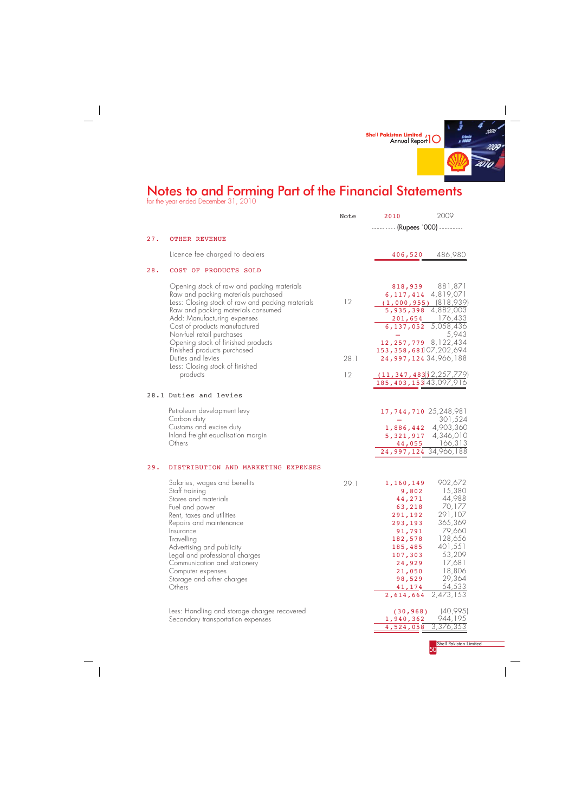

for the year ended December 31, 2010

Shell Pakistan Limited 50

Less: Handling and storage charges recovered Secondary transportation expenses

 $\frac{1}{\sqrt{2}}$ 

|     |                                                                                                                                                                                                                                                                                                                                                                                                                   | Note             | 2010                                                                                                                                                                                                 | 2009                                                                                                                                                                             |
|-----|-------------------------------------------------------------------------------------------------------------------------------------------------------------------------------------------------------------------------------------------------------------------------------------------------------------------------------------------------------------------------------------------------------------------|------------------|------------------------------------------------------------------------------------------------------------------------------------------------------------------------------------------------------|----------------------------------------------------------------------------------------------------------------------------------------------------------------------------------|
|     |                                                                                                                                                                                                                                                                                                                                                                                                                   |                  | -------- (Rupees '000) ---------                                                                                                                                                                     |                                                                                                                                                                                  |
| 27. | <b>OTHER REVENUE</b>                                                                                                                                                                                                                                                                                                                                                                                              |                  |                                                                                                                                                                                                      |                                                                                                                                                                                  |
|     | Licence fee charged to dealers                                                                                                                                                                                                                                                                                                                                                                                    |                  | 406,520                                                                                                                                                                                              | 486,980                                                                                                                                                                          |
| 28. | COST OF PRODUCTS SOLD                                                                                                                                                                                                                                                                                                                                                                                             |                  |                                                                                                                                                                                                      |                                                                                                                                                                                  |
|     | Opening stock of raw and packing materials<br>Raw and packing materials purchased<br>Less: Closing stock of raw and packing materials<br>Raw and packing materials consumed<br>Add: Manufacturing expenses<br>Cost of products manufactured<br>Non-fuel retail purchases<br>Opening stock of finished products<br>Finished products purchased<br>Duties and levies<br>Less: Closing stock of finished<br>products | 12<br>28.1<br>12 | 6, 117, 414 4, 819, 071<br>$(1,000,955)$ $(818,939)$<br>12, 257, 779 8, 122, 434<br>153, 358, 68107, 202, 694<br>24,997,124 34,966,188<br>$(11, 347, 483)$ 2, 257, 779<br>185, 403, 153 43, 097, 916 | 818,939 881,871<br>$\overline{5,935,398}$ 4,882,003<br>$\frac{201,654}{6,137,052}$ $\frac{176,433}{5,058,436}$<br>5,943                                                          |
|     | 28.1 Duties and levies                                                                                                                                                                                                                                                                                                                                                                                            |                  |                                                                                                                                                                                                      |                                                                                                                                                                                  |
|     | Petroleum development levy<br>Carbon duty<br>Customs and excise duty<br>Inland freight equalisation margin<br>Others                                                                                                                                                                                                                                                                                              |                  | 17,744,710 25,248,981<br>24,997,124 34,966,188                                                                                                                                                       | 301,524<br>1,886,442 4,903,360<br>5, 321, 917 4, 346, 010<br>44,055 166,313                                                                                                      |
| 29. | DISTRIBUTION AND MARKETING EXPENSES                                                                                                                                                                                                                                                                                                                                                                               |                  |                                                                                                                                                                                                      |                                                                                                                                                                                  |
|     | Salaries, wages and benefits<br>Staff training<br>Stores and materials<br>Fuel and power<br>Rent, taxes and utilities<br>Repairs and maintenance<br>Insurance<br>Travelling<br>Advertising and publicity<br>Legal and professional charges<br>Communication and stationery<br>Computer expenses<br>Storage and other charges<br>Others                                                                            | 29.1             | 1,160,149<br>44,271<br>63,218<br>291,192<br>293,193<br>91,791<br>182,578<br>185,485<br>107,303<br>24,929<br>21,050<br>98,529<br>41, 174<br>2,614,664                                                 | 902,672<br>9,802 15,380<br>44,988<br>70,177<br>291,107<br>365,369<br>79,660<br>128,656<br>401,551<br>53,209<br>17,681<br>18,806<br>29,364<br>54,533<br>$\overline{2}$ , 473, 153 |

| (30, 968)           | (40,995) |
|---------------------|----------|
| 1,940,362           | 944,195  |
| 4,524,058 3,376,353 |          |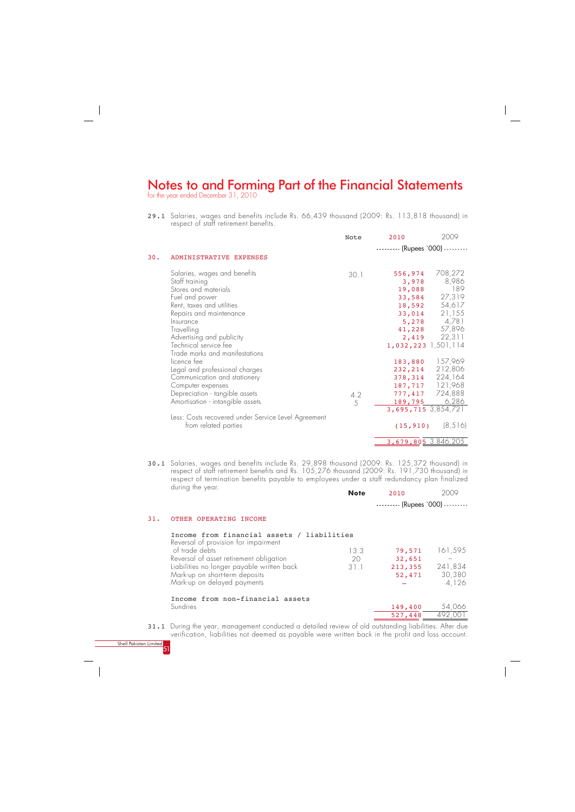for the year ended December 31, 2010



29.1 Salaries, wages and benefits include Rs. 66,439 thousand (2009: Rs. 113,818 thousand) in respect of staff retirement benefits.

|                                | Note                                                                                                                                                                                                                                                                                                                                          | 2010                      | 2009                                                                                                                      |
|--------------------------------|-----------------------------------------------------------------------------------------------------------------------------------------------------------------------------------------------------------------------------------------------------------------------------------------------------------------------------------------------|---------------------------|---------------------------------------------------------------------------------------------------------------------------|
|                                |                                                                                                                                                                                                                                                                                                                                               | --------- (Rupees '000) - |                                                                                                                           |
| ADMINISTRATIVE EXPENSES        |                                                                                                                                                                                                                                                                                                                                               |                           |                                                                                                                           |
| Salaries, wages and benefits   | 30.1                                                                                                                                                                                                                                                                                                                                          | 556,974                   | 708,272                                                                                                                   |
|                                |                                                                                                                                                                                                                                                                                                                                               |                           | 8,986                                                                                                                     |
|                                |                                                                                                                                                                                                                                                                                                                                               |                           | 189                                                                                                                       |
|                                |                                                                                                                                                                                                                                                                                                                                               |                           | 27,319                                                                                                                    |
|                                |                                                                                                                                                                                                                                                                                                                                               |                           | 54,617                                                                                                                    |
|                                |                                                                                                                                                                                                                                                                                                                                               |                           | 21,155                                                                                                                    |
|                                |                                                                                                                                                                                                                                                                                                                                               |                           | 4,781                                                                                                                     |
|                                |                                                                                                                                                                                                                                                                                                                                               |                           | 57,896                                                                                                                    |
|                                |                                                                                                                                                                                                                                                                                                                                               |                           | 22,311                                                                                                                    |
|                                |                                                                                                                                                                                                                                                                                                                                               |                           |                                                                                                                           |
|                                |                                                                                                                                                                                                                                                                                                                                               |                           |                                                                                                                           |
|                                |                                                                                                                                                                                                                                                                                                                                               | 183,880                   | 157,969                                                                                                                   |
| Legal and professional charges |                                                                                                                                                                                                                                                                                                                                               | 232,214                   | 212,806                                                                                                                   |
| Communication and stationery   |                                                                                                                                                                                                                                                                                                                                               | 378,314                   | 224,164                                                                                                                   |
| Computer expenses              |                                                                                                                                                                                                                                                                                                                                               |                           | 187,717 121,968                                                                                                           |
| Depreciation - tangible assets |                                                                                                                                                                                                                                                                                                                                               | 777,417                   | 724,888                                                                                                                   |
|                                |                                                                                                                                                                                                                                                                                                                                               | 189,795                   | 6,286                                                                                                                     |
|                                |                                                                                                                                                                                                                                                                                                                                               | 3,695,715 3,854,721       |                                                                                                                           |
|                                |                                                                                                                                                                                                                                                                                                                                               |                           |                                                                                                                           |
| from related parties           |                                                                                                                                                                                                                                                                                                                                               | (15, 910)                 | (8, 516)                                                                                                                  |
|                                |                                                                                                                                                                                                                                                                                                                                               |                           |                                                                                                                           |
|                                | Staff training<br>Stores and materials<br>Fuel and power<br>Rent, taxes and utilities<br>Repairs and maintenance<br>Insurance<br>Travelling<br>Advertising and publicity<br>Technical service fee<br>Trade marks and manifestations<br>licence fee<br>Amortisation - intangible assets<br>Less: Costs recovered under Service Level Agreement | 4.2<br>5                  | 3,978<br>19,088<br>33,584<br>18,592<br>33,014<br>5,278<br>41,228<br>2,419<br>$1,032,223$ 1,501,114<br>3,679,805 3,846,205 |

 $\frac{527,448}{\ }$ 492,001

31.1 During the year, management conducted a detailed review of old outstanding liabilities. After due verification, liabilities not deemed as payable were written back in the profit and loss account.

30.1 Salaries, wages and benefits include Rs. 29,898 thousand (2009: Rs. 125,372 thousand) in respect of staff retirement benefits and Rs. 105,276 thousand (2009: Rs. 191,730 thousand) in respect of termination benefits payable to employees under a staff redundancy plan finalized during the year.  $2000$ **Note**

|     |                                                                                       | <b>Note</b> | 2010                                   | 2009              |
|-----|---------------------------------------------------------------------------------------|-------------|----------------------------------------|-------------------|
|     |                                                                                       |             | --------- (Rupees '000) ---------      |                   |
| 31. | OTHER OPERATING<br>INCOME                                                             |             |                                        |                   |
|     | Income from financial assets / liabilities                                            |             |                                        |                   |
|     | Reversal of provision for impairment<br>of trade debts                                | 13.3        | 79,571                                 | 161,595           |
|     | Reversal of asset retirement obligation<br>Liabilities no longer payable written back | 20<br>31.1  | 32,651<br>213,355                      | 241,834           |
|     | Mark-up on short-term deposits<br>Mark-up on delayed payments                         |             | 52,471                                 | 30,380<br>4,126   |
|     | Income from non-financial assets                                                      |             |                                        |                   |
|     | Sundries                                                                              |             | 149,400<br>$\sim$ $\sim$ $\sim$ $\sim$ | 54,066<br>100.001 |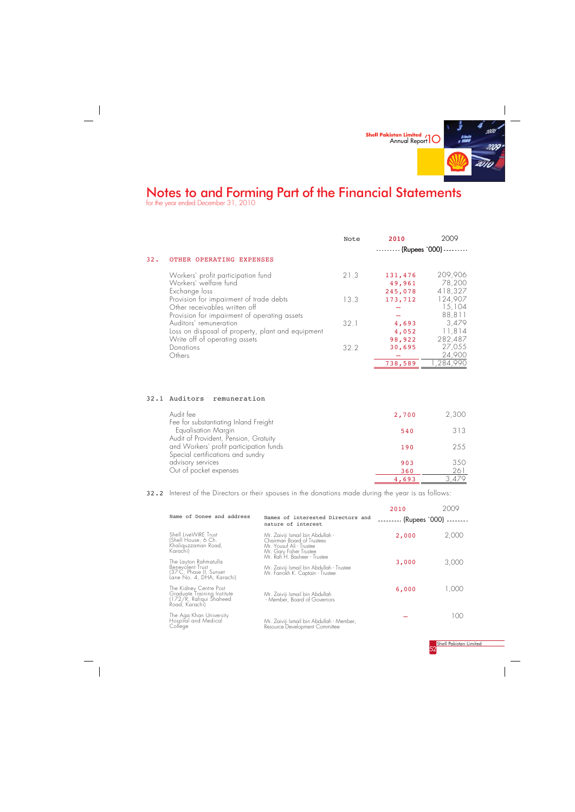

for the year ended December 31, 2010

Shell Pakistan Limited 52

<u>261</u> 3,479

|      |                                                                                                                             | Note | 2010                         | 2009                         |  |
|------|-----------------------------------------------------------------------------------------------------------------------------|------|------------------------------|------------------------------|--|
|      |                                                                                                                             |      | -- (Rupees `000) -           |                              |  |
| 32.  | OTHER OPERATING EXPENSES                                                                                                    |      |                              |                              |  |
|      | Workers' profit participation fund<br>Workers' welfare fund<br>Exchange loss                                                | 21.3 | 131,476<br>49,961<br>245,078 | 209,906<br>78,200<br>418,327 |  |
|      | Provision for impairment of trade debts<br>Other receivables written off                                                    | 13.3 | 173,712                      | 124,907<br>15,104            |  |
|      | Provision for impairment of operating assets<br>Auditors' remuneration<br>Loss on disposal of property, plant and equipment | 32.1 | 4,693<br>4,052               | 88,811<br>3,479<br>11,814    |  |
|      | Write off of operating assets<br>Donations<br>Others                                                                        | 32.2 | 98,922<br>30,695             | 282,487<br>27,055<br>24,900  |  |
|      |                                                                                                                             |      | 738,589                      | ,284,990                     |  |
|      |                                                                                                                             |      |                              |                              |  |
| 32.1 | Auditors<br>remuneration                                                                                                    |      |                              |                              |  |
|      | Audit fee<br>Fee for substantiating Inland Freight                                                                          |      | 2,700                        | 2,300                        |  |
|      | Equalisation Margin<br>Audit of Provident, Pension, Gratuity                                                                |      | 540                          | 313                          |  |
|      | and Workers' profit participation funds<br>Special certifications and sundry                                                |      | 190                          | 255                          |  |
|      | advisory services<br>Out of pocket expenses                                                                                 |      | 903<br>360                   | 350<br>261                   |  |

32.2 Interest of the Directors or their spouses in the donations made during the year is as follows:

The Aga Khan University Hospital and Medical College

| Name of Donee and address                                                                         | Names of interested Directors and<br>nature of interest                                                                | 2010<br>$---(Rupees '000)$ |       |
|---------------------------------------------------------------------------------------------------|------------------------------------------------------------------------------------------------------------------------|----------------------------|-------|
| Shell LiveWIRE Trust<br>(Shell House, 6 Ch.<br>Khaliguzzaman Road,<br>Karachil                    | Mr. Zaiviji Ismail bin Abdullah -<br>Chairman Board of Trustees<br>Mr. Yousuf Ali - Trustee<br>Mr. Gary Fisher Trustee | 2,000                      | 2,000 |
| The Layton Rahmatulla<br>Benevolent Trust<br>(37-C, Phase II, Sunset<br>Lane No. 4, DHA, Karachi) | Mr. Rafi H. Basheer - Trustee<br>Mr. Zaiviji Ismail bin Abdullah - Trustee<br>Mr. Farrokh K. Captain - Trustee         | 3,000                      | 3,000 |
| The Kidney Centre Post<br>Graduate Training Institute<br>172/R, Rafiqui Shaheed<br>Road, Karachil | Mr. Zaiviji Ismail bin Abdullah<br>- Member, Board of Governors                                                        | 6,000                      | .000  |

 $^{-}$ 

Mr. Zaiviji Ismail bin Abdullah - Member, Resource Development Committee



 $\frac{4,693}{\frac{4}{\sqrt{21}}}}$ 

—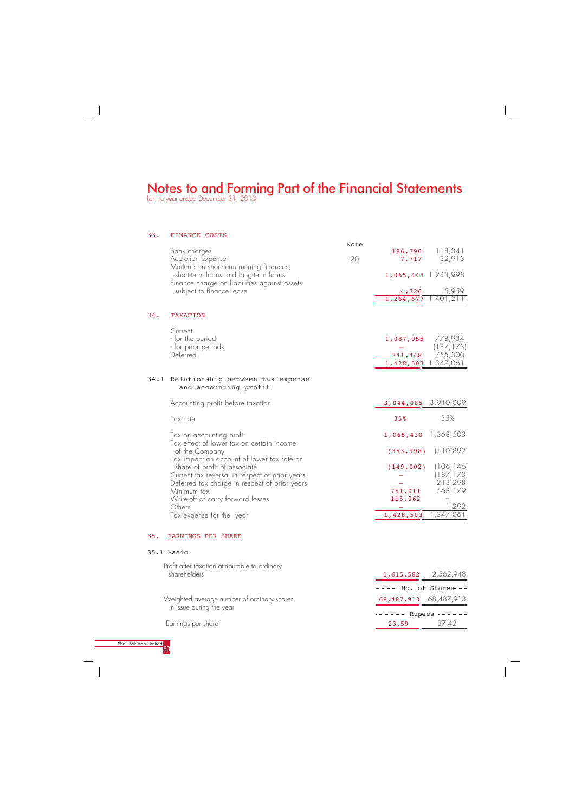for the year ended December 31, 2010

#### 33. FINANCE COSTS Bank charges Accretion expense Mark-up on short-term running finances, short-term loans and long-term loans Finance charge on liabilities against assets subject to finance lease 34. TAXATION Current - for the period - for prior periods **Deferred** 34.1 Relationship between tax expense and accounting profit Accounting profit before taxation Tax rate Tax on accounting profit Tax effect of lower tax on certain income of the Company Tax impact on account of lower tax rate on share of profit of associate Current tax reversal in respect of prior years Deferred tax charge in respect of prior years Minimum tax Write-off of carry forward losses **Others** Tax expense for the year Note 186,790 7,717 1,065,444 1,243,998 4,726 1,264,677 1,401,211 1,087,055 778,934 — 341,448 1,428,503 1,347,061 118,341 32,913 5,959 (187,173) 755,300 3,044,085 3,910,009 35% 1,065,430 1,368,503 (353,998) (510,892) (149,002) (106,146) — — 751,011 115,062 — 1,428,503 35% (187,173) 213,298 568,179 √ 1,292 1,347,061 20 35. EARNINGS PER SHARE

|                        | $--- - - -$ Rupees ------ |       |
|------------------------|---------------------------|-------|
| Earnings per share     | 23.59                     | 37.42 |
| Shell Pakistan Limited |                           |       |
|                        |                           |       |

### 35.1 Basic

 Weighted average number of ordinary shares in issue during the year

| Profit after taxation attributable to ordinary |                           |                     |
|------------------------------------------------|---------------------------|---------------------|
| shareholders                                   |                           | 1,615,582 2,562,948 |
|                                                | $--- No.$ of Shares $---$ |                     |
| Weighted average number of ordinary shares     | 68,487,913 68,487,913     |                     |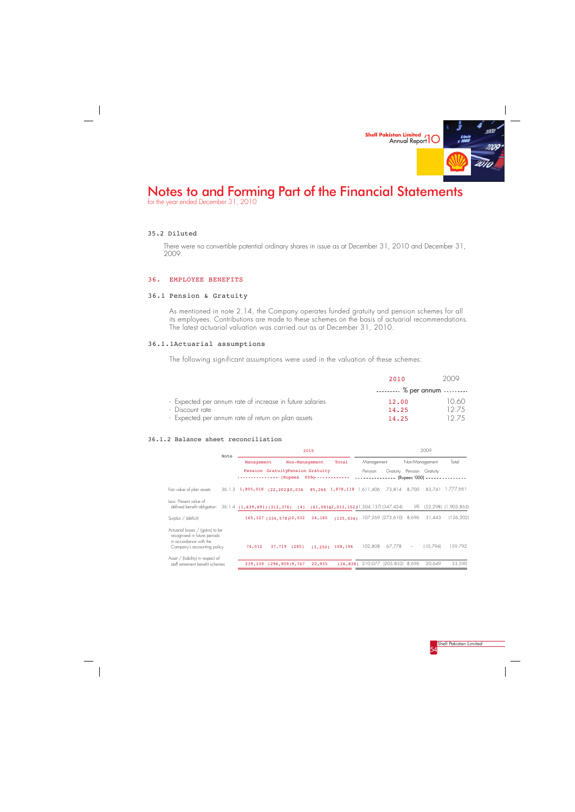

for the year ended December 31, 2010

There were no convertible potential ordinary shares in issue as at December 31, 2010 and December 31, 2009.

#### 35.2 Diluted

 $\overline{\phantom{a}}_1$ 

### 36. EMPLOYEE BENEFITS

### 36.1 Pension & Gratuity

As mentioned in note 2.14, the Company operates funded gratuity and pension schemes for all its employees. Contributions are made to these schemes on the basis of actuarial recommendations. The latest actuarial valuation was carried out as at December 31, 2010.

### 36.1.1Actuarial assumptions

The following significant assumptions were used in the valuation of these schemes:

|                                                          | 2010                 | 2009  |
|----------------------------------------------------------|----------------------|-------|
|                                                          | $\ldots$ % per annum |       |
| - Expected per annum rate of increase in future salaries | 12.00                | 1060  |
| - Discount rate                                          | 14,25                | 12.75 |
| - Expected per annum rate of return on plan assets       | 14,25                | 12.75 |

#### 36.1.2 Balance sheet reconciliation

|                                                                                                                           | Note |         | 2010                                                                     |       |                               |                            |                                      |                 |                                                      |          | 2009                 |  |  |  |
|---------------------------------------------------------------------------------------------------------------------------|------|---------|--------------------------------------------------------------------------|-------|-------------------------------|----------------------------|--------------------------------------|-----------------|------------------------------------------------------|----------|----------------------|--|--|--|
|                                                                                                                           |      |         | Management<br>Non-Management                                             |       |                               | Total<br>Management        |                                      | Non-Management  |                                                      | Total    |                      |  |  |  |
|                                                                                                                           |      |         | Pension GratuityPension Gratuity<br>------------- (Rupees                |       | $000 - - - - - - - - - - - -$ |                            | Pension                              |                 | Gratuity Pension Gratuity<br>(Rupees '000) - - - - - |          |                      |  |  |  |
| Fair value of plan assets                                                                                                 |      |         | $36.1.3$ 1,805,018 (22,20210,036                                         |       |                               | 85,266 1,878,118 1,611,406 |                                      | 73,814 8,700    |                                                      | 83,741   | 1.777.661            |  |  |  |
| Tess: Present value of<br>defined benefit obligation                                                                      |      |         | $36.1.4$ (1,639,691)(312,376) (4) (61,08102,013,152)(1,504,137)(347,424) |       |                               |                            |                                      |                 | (4)                                                  |          | (52,298) (1,903,863) |  |  |  |
| Surplus / (deficit)                                                                                                       |      |         | 165, 327 (334, 578) 10, 032                                              |       | 24,185                        |                            | $(135, 034)$ 107,269 (273,610) 8,696 |                 |                                                      | 31.443   | (126, 202)           |  |  |  |
| Actuarial losses / (gains) to be<br>recognised in future periods<br>in accordance with the<br>Company's accounting policy |      | 74,012  | 37,719                                                                   | (285) | (3, 250)                      | 108,196                    | 102.808                              | 67,778          | $\qquad \qquad -$                                    | (10.794) | 159,792              |  |  |  |
| Asset / (liability) in respect of<br>staff retirement benefit schemes                                                     |      | 239,339 | (296.859)9,747                                                           |       | 20,935                        |                            | $(26, 838)$ 210,077                  | (205,832) 8,696 |                                                      | 20.649   | 33,590               |  |  |  |

Shell Pakistan Limited<br>54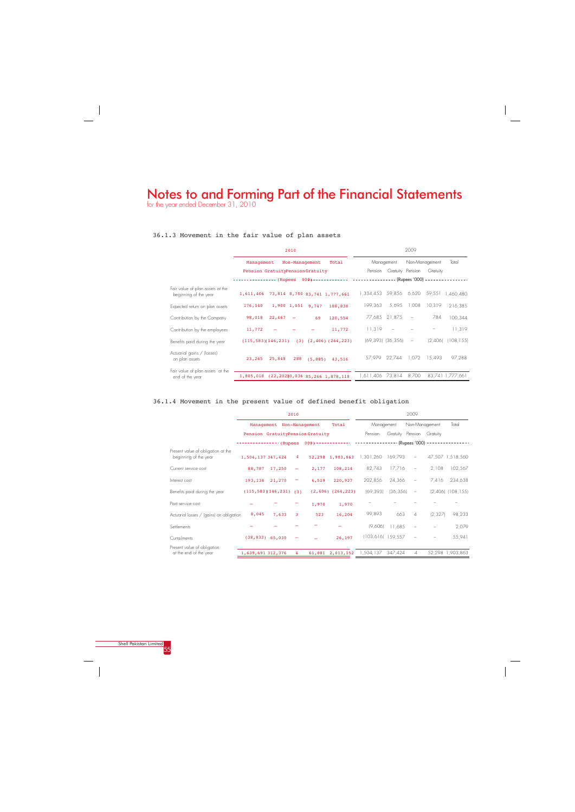## Notes to and Forming Part of the Financial Statements for the year ended December 31, 2010



### 36.1.3 Movement in the fair value of plan assets

|                                                           | 2010                                                                                       | 2009                                                                         |
|-----------------------------------------------------------|--------------------------------------------------------------------------------------------|------------------------------------------------------------------------------|
|                                                           | Non-Management<br>Total<br>Management                                                      | Non-Management<br>Total<br>Management                                        |
|                                                           | Pension GratuityPensionGratuity                                                            | Gratuity Pension<br>Gratuity<br>Pension                                      |
|                                                           | ---------------- (Rupees 000)------------- ----------------- (Rupees '000) --------------- |                                                                              |
| Fair value of plan assets at the<br>beginning of the year | 1,611,406 73,814 8,700 83,741 1,777,661                                                    | 1,334,453 59,856 6,620<br>59,551<br>1.460.480                                |
| Expected return on plan assets                            | 1,900 1,051 9,747<br>176,140<br>188,838                                                    | 5,695<br>1,008<br>199.363<br>10.319<br>216,385                               |
| Contribution by the Company                               | 98,018<br>22,467<br>69<br>120,554<br>$\overline{\phantom{a}}$                              | 784<br>77,685 21,875<br>100,344<br>$\hspace{0.1mm}-\hspace{0.1mm}$           |
| Contribution by the employees                             | 11,772<br>11,772                                                                           | $11.319 -$<br>11,319                                                         |
| Benefits paid during the year                             | $(115, 583)(146, 231)$ $(3)$ $(2, 406)$ $(264, 223)$                                       | $(69, 393)$ $(36, 356)$<br>(2,406)<br>(108, 155)<br>$\overline{\phantom{a}}$ |
| Actuarial gains / (losses)<br>on plan assets              | 23,265<br>25,848<br>288<br>(5, 885)<br>43,516                                              | 97,288<br>57,979 22,744 1,072<br>15.493                                      |
| Fair value of plan assets at the<br>end of the year       | 1,805,018 (22,20210,036 85,266 1,878,118                                                   | 83,741 1,777,661<br>8,700<br>1,611,406 73,814                                |

## 36.1.4 Movement in the present value of defined benefit obligation

|                                                             |                   |                           | 2010                         |                                 |                                                                                     |                     |           | 2009                     |                           |                       |
|-------------------------------------------------------------|-------------------|---------------------------|------------------------------|---------------------------------|-------------------------------------------------------------------------------------|---------------------|-----------|--------------------------|---------------------------|-----------------------|
|                                                             |                   | Management Non-Management |                              |                                 | Total                                                                               | Management          |           |                          | Non-Management            | Total                 |
|                                                             |                   |                           |                              | Pension GratuityPensionGratuity |                                                                                     | Pension             |           |                          | Gratuity Pension Gratuity |                       |
|                                                             |                   |                           |                              |                                 | -------------- (Rupees 000)------------- --------------- (Rupees '000) ------------ |                     |           |                          |                           |                       |
| Present value of obligation at the<br>beginning of the year | 1,504,137 347,424 |                           |                              |                                 | 4 52,298 1,903,863                                                                  | 1,301,260 169,793   |           | $\overline{\phantom{a}}$ |                           | 47,507 1,518,560      |
| Current service cost                                        |                   | 88,787 17,250             | $\overline{\phantom{m}}$     | 2,177                           | 108,214                                                                             | 82,743              | 17,716    | $\overline{\phantom{m}}$ | 2,108                     | 102,567               |
| Interest cost                                               |                   | 193,138 21,270            | $\qquad \qquad \blacksquare$ | 6,519                           | 220,927                                                                             | 202,856             | 24,366    | $\overline{\phantom{a}}$ | 7,416                     | 234,638               |
| Benefits paid during the year                               |                   |                           |                              |                                 | $(115, 583)(146, 231)$ (3) $(2, 406)$ (264, 223)                                    | (69, 393)           | (36, 356) | $\overline{\phantom{m}}$ |                           | $(2,406)$ $(108,155)$ |
| Past service cost                                           |                   |                           |                              | 1,970                           | 1,970                                                                               |                     |           |                          |                           |                       |
| Actuarial losses / (gains) on obligation                    | 8,045             | 7,633                     | 3                            | 523                             | 16,204                                                                              | 99,893              | 663       | $\Delta$                 | (2.327)                   | 98,233                |
| Settlements                                                 |                   |                           |                              |                                 |                                                                                     | (9,606)             | 11.685    | $\overline{\phantom{a}}$ |                           | 2,079                 |
| Curtailments                                                |                   | $(38, 833)$ 65,030        |                              |                                 | 26,197                                                                              | $(103,616)$ 159,557 |           |                          |                           | 55,941                |
| Present value of obligation                                 |                   |                           |                              |                                 |                                                                                     |                     |           |                          |                           |                       |
| at the end of the year                                      | 1,639,691 312,376 |                           | 4                            |                                 | 61,081 2,013,152                                                                    | 1,504,137 347,424   |           | 4                        |                           | 52,298 1,903,863      |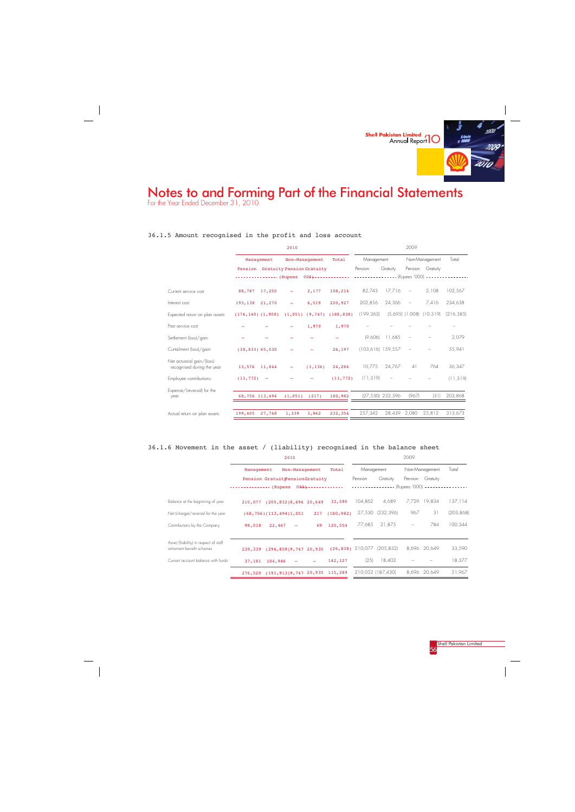

For the Year Ended December 31, 2010

 $\overline{\phantom{a}}$ 

### 36.1.5 Amount recognised in the profit and loss account

| Total                                                                                                                                          |
|------------------------------------------------------------------------------------------------------------------------------------------------|
|                                                                                                                                                |
|                                                                                                                                                |
|                                                                                                                                                |
| 102,567                                                                                                                                        |
| 234,638                                                                                                                                        |
| (216, 385)                                                                                                                                     |
|                                                                                                                                                |
| 2,079                                                                                                                                          |
| 55,941                                                                                                                                         |
| 36,347                                                                                                                                         |
| (11, 319)                                                                                                                                      |
| 203,868                                                                                                                                        |
| 313,673                                                                                                                                        |
| Pension Gratuity<br>--------------- (Rupees 000)------------- ----------------- (Rupees '000) ------<br>$(5,695)$ $(1,008)$ $(10,319)$<br>(31) |

## 36.1.6 Movement in the asset / (liability) recognised in the balance sheet

|                                                                     | 2010                                 |                   |            |                   | 2009                            |            |
|---------------------------------------------------------------------|--------------------------------------|-------------------|------------|-------------------|---------------------------------|------------|
|                                                                     | Non-Management<br>Management         | Total             | Management |                   | Non-Management                  | Total      |
|                                                                     | Pension GratuityPensionGratuity      |                   | Pension    | Gratuity          | Pension<br>Gratuity             |            |
|                                                                     | $--------- (Rupees 000)------------$ |                   |            |                   | -- (Rupees '000) ---------      |            |
| Balance at the beginning of year                                    | $(205, 832)8, 696$ 20,649<br>210,077 | 33,590            | 104,862    | 4,689             | 7,729 19,834                    | 137,114    |
| Net (charge)/reversal for the year                                  | (68, 756) (113, 494)1, 051           | (180, 982)<br>217 | 27,530     | (232, 396)        | 31<br>967                       | (203, 868) |
| Contributions by the Company                                        | 98,018<br>22,467                     | 120,554<br>69     | 77,685     | 21,875            | 784<br>$\overline{\phantom{m}}$ | 100,344    |
| Asset/(liability) in respect of staff<br>retirement benefit schemes | (296, 859)9, 747, 20, 935<br>239,339 | (26, 838)         |            | 210,077 (205,832) | 8,696 20,649                    | 33,590     |
| Current account balance with funds                                  | 37,181 104,946                       | 142,127           | (25)       | 18,402            |                                 | 18,377     |
|                                                                     | (191, 913)9, 747, 20, 935<br>276,520 | 115,289           |            | 210,052 (187,430) | 8,696 20,649                    | 51,967     |

<mark>Shell Pakistan Limited</mark><br>56

 $\frac{1}{\sqrt{2}}$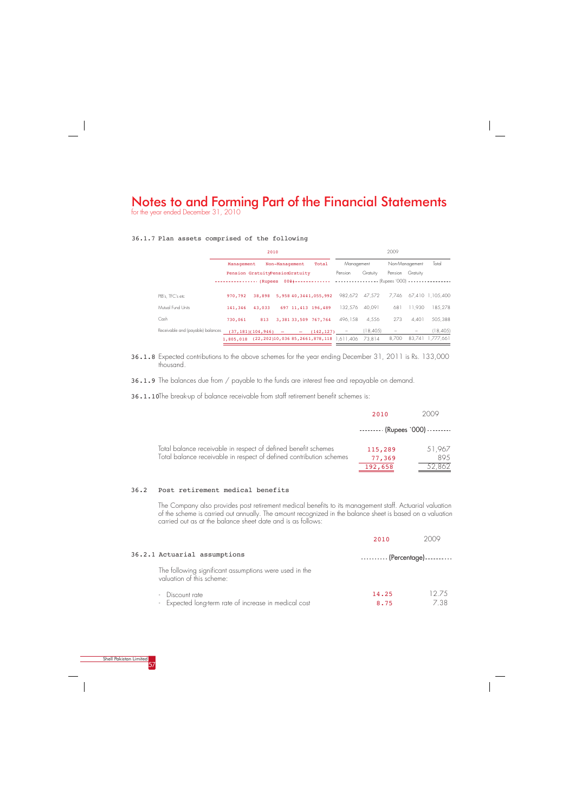36.1.8 Expected contributions to the above schemes for the year ending December 31, 2011 is Rs. 133,000 thousand.

36.1.9 The balances due from / payable to the funds are interest free and repayable on demand.

36.1.10The break-up of balance receivable from staff retirement benefit schemes is:

# Notes to and Forming Part of the Financial Statements

for the year ended December 31, 2010



### 36.1.7 Plan assets comprised of the following

|                                   | 2010                                                                                       |                                 |                |  | 2009                                   |                |           |       |                  |                        |
|-----------------------------------|--------------------------------------------------------------------------------------------|---------------------------------|----------------|--|----------------------------------------|----------------|-----------|-------|------------------|------------------------|
|                                   | Management                                                                                 |                                 | Non-Management |  | Total                                  | Management     |           |       | Non-Management   | Total                  |
|                                   |                                                                                            | Pension GratuityPensionGratuity |                |  |                                        | Pension        | Gratuity  |       | Pension Gratuity |                        |
|                                   | ---------------- (Rupees 000)------------- ----------------- (Rupees '000) --------------- |                                 |                |  |                                        |                |           |       |                  |                        |
| PIB's. TFC's etc                  | 970,792                                                                                    |                                 |                |  | 38,898 5,958 40,3441,055,992           | 982.672 47.572 |           |       |                  | 7.746 67.410 1.105.400 |
| Mutual Fund Units                 | 141,346                                                                                    | 43,033 697 11,413 196,489       |                |  |                                        | 132.576        | 40.091    | 681   | 11.930           | 185.278                |
| Cash                              | 730,061                                                                                    |                                 |                |  | 813 3,381 33,509 767,764               | 496.158        | 4.556     | 273   | 4.401            | 505.388                |
| Receivable and (payable) balances |                                                                                            |                                 |                |  | $(37, 181)(104, 946)$ - $(142, 127)$ - |                | (18, 405) | $ -$  |                  | (18, 405)              |
|                                   | 1,805,018 (22,202)10,036 85,2661,878,118 1.611.406                                         |                                 |                |  |                                        |                | 73.814    | 8.700 |                  | 83.741 1.777.661       |

|                                                                                                                                       | 2010                                     | 2009           |
|---------------------------------------------------------------------------------------------------------------------------------------|------------------------------------------|----------------|
|                                                                                                                                       | $\cdots$ $\cdots$ (Rupees `000) $\cdots$ |                |
| Total balance receivable in respect of defined benefit schemes<br>Total balance receivable in respect of defined contribution schemes | 115,289<br>77,369                        | 51,967<br>89.5 |
|                                                                                                                                       | 192,658                                  | 52,862         |

### 36.2 Post retirement medical benefits

The Company also provides post retirement medical benefits to its management staff. Actuarial valuation of the scheme is carried out annually. The amount recognized in the balance sheet is based on a valuation carried out as at the balance sheet date and is as follows:

|                                                                                     | 2010                               | 2009  |
|-------------------------------------------------------------------------------------|------------------------------------|-------|
| 36.2.1 Actuarial assumptions                                                        | ---------- (Percentage) ---------- |       |
| The following significant assumptions were used in the<br>valuation of this scheme: |                                    |       |
| Discount rate<br>$\overline{\phantom{a}}$                                           | 14.25                              | 12.75 |
| - Expected long-term rate of increase in medical cost                               | 8.75                               | 7.38  |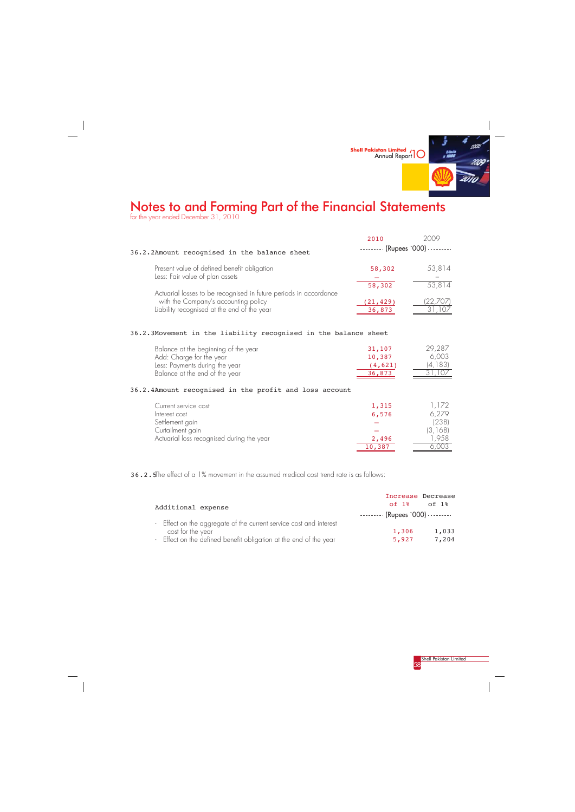

for the year ended December 31, 2010

 $\sim$  1



### 36.2.3Movement in the liability recognised in the balance sheet

|                                                                                                           | 2010      | 2009                            |
|-----------------------------------------------------------------------------------------------------------|-----------|---------------------------------|
| 36.2.2Amount recognised in the balance sheet                                                              |           | (Rupees `000) - - - - - - - - - |
| Present value of defined benefit obligation                                                               | 58,302    | 53,814                          |
| Less: Fair value of plan assets                                                                           | 58,302    | 53,814                          |
| Actuarial losses to be recognised in future periods in accordance<br>with the Company's accounting policy | (21, 429) | 22,707                          |
| Liability recognised at the end of the year                                                               | 36,873    |                                 |

## 36.2.4Amount recognised in the profit and loss account

| Balance at the beginning of the year | 31,107  | 29,287   |
|--------------------------------------|---------|----------|
| Add: Charge for the year             | 10,387  | 6.003    |
| Less: Payments during the year       | (4,621) | (4, 183) |
| Balance at the end of the year       | 36,873  | 31,107   |

| Current service cost                      | 1,315  | 1,172   |
|-------------------------------------------|--------|---------|
| Interest cost                             | 6,576  | 6,279   |
| Settlement gain                           |        | (238)   |
| Curtailment gain                          |        | (3,168) |
| Actuarial loss recognised during the year | 2,496  | .958    |
|                                           | 10,387 | .UU.    |

36.2.5The effect of a 1% movement in the assumed medical cost trend rate is as follows:

|                                                                    | Increase Decrease                        |       |
|--------------------------------------------------------------------|------------------------------------------|-------|
| Additional expense                                                 | $of 1$ %                                 | of 1% |
|                                                                    | $\cdots$ $\cdots$ (Rupees `000) $\cdots$ |       |
| - Effect on the aggregate of the current service cost and interest |                                          |       |
| cost for the year                                                  | 1,306                                    | 1,033 |
| - Effect on the defined benefit obligation at the end of the year  | 5,927                                    | 7,204 |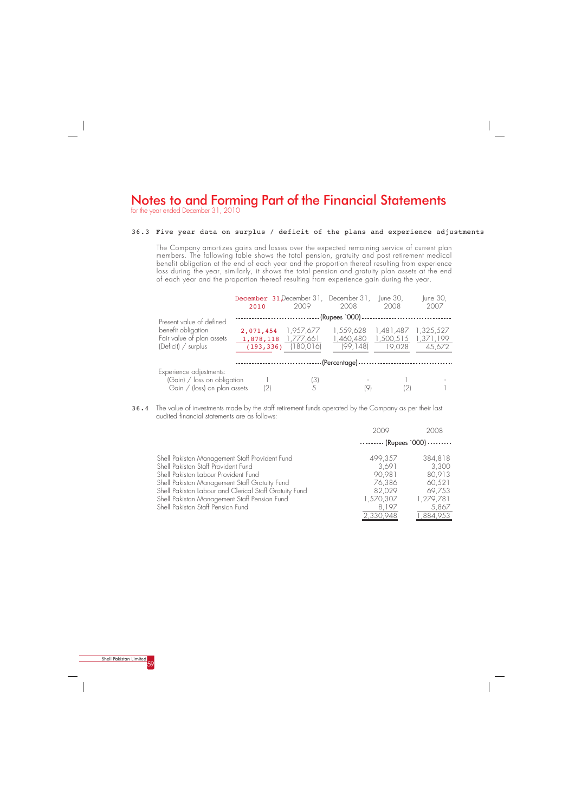

for the year ended December 31, 2010

## 36.3 Five year data on surplus / deficit of the plans and experience adjustments

The Company amortizes gains and losses over the expected remaining service of current plan members. The following table shows the total pension, gratuity and post retirement medical benefit obligation at the end of each year and the proportion thereof resulting from experience loss during the year, similarly, it shows the total pension and gratuity plan assets at the end of each year and the proportion thereof resulting from experience gain during the year.

36.4 The value of investments made by the staff retirement funds operated by the Company as per their last audited financial statements are as follows:

|                                                                                          | 2010                    | <b>December 31 December 31, December 31, June 30,</b><br>2009 | 2008                                          | 2008                | June 30,<br>2007                 |
|------------------------------------------------------------------------------------------|-------------------------|---------------------------------------------------------------|-----------------------------------------------|---------------------|----------------------------------|
| Present value of defined                                                                 |                         |                                                               | - (Rupees `000) -                             |                     |                                  |
| benefit obligation<br>Fair value of plan assets<br>(Deficit) $/$ surplus                 | 1,878,118<br>(193, 336) | $2,071,454$ 1,957,677<br>1,777,661<br>(180,016)               | 1,559,628 1,481,487<br>1,460,480<br>(99, 148) | 1,500,515<br>19,028 | 1,325,527<br>1,371,199<br>45,672 |
|                                                                                          |                         |                                                               | - (Percentage) - -                            |                     |                                  |
| Experience adjustments:<br>$(Gain)$ / loss on obligation<br>Gain / (loss) on plan assets | (2)                     | (3)<br>5                                                      |                                               |                     |                                  |

|                                                        | 2009                             | 2008      |
|--------------------------------------------------------|----------------------------------|-----------|
|                                                        | $------$ (Rupees `000) --------- |           |
| Shell Pakistan Management Staff Provident Fund         | 499,357                          | 384,818   |
| Shell Pakistan Staff Provident Fund                    | 3,691                            | 3,300     |
| Shell Pakistan Labour Provident Fund                   | 90,981                           | 80,913    |
| Shell Pakistan Management Staff Gratuity Fund          | 76,386                           | 60,521    |
| Shell Pakistan Labour and Clerical Staff Gratuity Fund | 82,029                           | 69,753    |
| Shell Pakistan Management Staff Pension Fund           | 1,570,307                        | 1,279,781 |
| Shell Pakistan Staff Pension Fund                      | 8.197                            | 5,867     |
|                                                        | 2,330,948                        | 1,884,953 |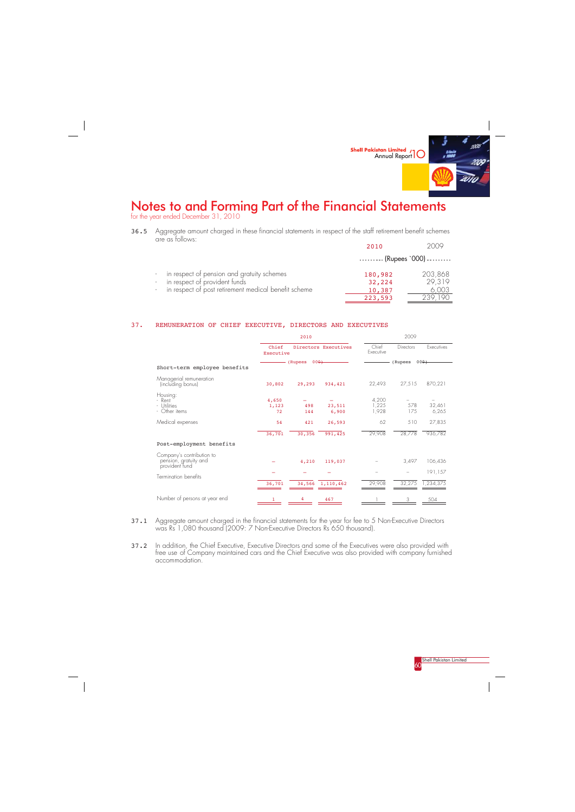

for the year ended December 31, 2010

 $\frac{1}{\sqrt{2}}$ 



36.5 Aggregate amount charged in these financial statements in respect of the staff retirement benefit schemes are as follows: 2010 2009

|                                                      | 20 L O                                   | 7 N JY  |
|------------------------------------------------------|------------------------------------------|---------|
|                                                      | $\cdots$ $\cdots$ (Rupees `000) $\cdots$ |         |
| in respect of pension and gratuity schemes           | 180,982                                  | 203,868 |
| in respect of provident funds                        | 32,224                                   | 29,319  |
| in respect of post retirement medical benefit scheme | 10,387                                   | 6,003   |
|                                                      | 223,593                                  |         |

### 37. REMUNERATION OF CHIEF EXECUTIVE, DIRECTORS AND EXECUTIVES

|                                                                      | 2010                 |                   |                      |                         | 2009       |                   |  |
|----------------------------------------------------------------------|----------------------|-------------------|----------------------|-------------------------|------------|-------------------|--|
|                                                                      | Chief<br>Executive   |                   | Directors Executives | Chief<br>Executive      | Directors  | <b>Fxecutives</b> |  |
|                                                                      |                      | $000+$<br>(Rupees |                      |                         | (Rupees    | $000+$            |  |
| Short-term employee benefits                                         |                      |                   |                      |                         |            |                   |  |
| Managerial remuneration<br>(including bonus)                         | 30,802               | 29,293            | 934,421              | 22,493                  | 27,515     | 870,221           |  |
| Housing:<br>- Rent<br>- Utilities<br>- Other items                   | 4,650<br>1,123<br>72 | 498<br>144        | 23,511<br>6,900      | 4,200<br>1,225<br>1,928 | 578<br>175 | 32,461<br>6,265   |  |
| Medical expenses                                                     | 54                   | 421               | 26,593               | 62                      | 510        | 27,835            |  |
|                                                                      | 36,701               | 30, 356           | 991,425              | 29,908                  | 28,778     | 936,782           |  |
| Post-employment benefits                                             |                      |                   |                      |                         |            |                   |  |
| Company's contribution to<br>pension, gratuity and<br>provident fund |                      | 4,210             | 119,037              |                         | 3,497      | 106,436           |  |
| <b>Termination benefits</b>                                          |                      |                   |                      |                         |            | 191,157           |  |
|                                                                      | 36,701               |                   | 34,566 1,110,462     | 29,908                  | 32,275     | 1,234,375         |  |
| Number of persons at year end                                        | $\mathbf{1}$         | 4                 | 467                  |                         | 3          | 504               |  |

- 37.1 Aggregate amount charged in the financial statements for the year for fee to 5 Non-Executive Directors was Rs 1,080 thousand (2009: 7 Non-Executive Directors Rs 650 thousand).
- 37.2 In addition, the Chief Executive, Executive Directors and some of the Executives were also provided with free use of Company maintained cars and the Chief Executive was also provided with company furnished accommodation.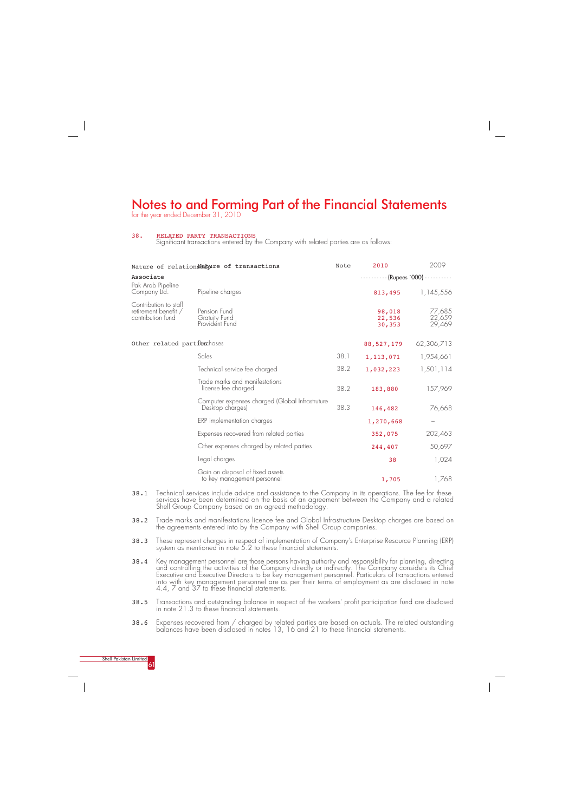

for the year ended December 31, 2010

#### 38. RELATED PARTY TRANSACTIONS

Significant transactions entered by the Company with related parties are as follows:

- 38.1 Technical services include advice and assistance to the Company in its operations. The fee for these services have been determined on the basis of an agreement between the Company and a related Shell Group Company based on an agreed methodology.
- 38.2 Trade marks and manifestations licence fee and Global Infrastructure Desktop charges are based on the agreements entered into by the Company with Shell Group companies.
- 38.3 These represent charges in respect of implementation of Company's Enterprise Resource Planning (ERP) system as mentioned in note 5.2 to these financial statements.
- 38.4 Key management personnel are those persons having authority and responsibility for planning, directing and controlling the activities of the Company directly or indirectly. The Company considers its Chief Executive and Executive Directors to be key management personnel. Particulars of transactions entered into with key management personnel are as per their terms of employment as are disclosed in note 4.4, 7 and 37 to these financial statements.
- 38.5 Transactions and outstanding balance in respect of the workers' profit participation fund are disclosed in note 21.3 to these financial statements.

|                                                                    | Nature of relationsNatpure of transactions                          | Note | 2010                                | 2009                       |
|--------------------------------------------------------------------|---------------------------------------------------------------------|------|-------------------------------------|----------------------------|
| Associate                                                          |                                                                     |      | ---------- (Rupees '000) ---------- |                            |
| Pak Arab Pipeline<br>Company Ltd.                                  | Pipeline charges                                                    |      | 813,495                             | 1,145,556                  |
| Contribution to staff<br>retirement benefit /<br>contribution fund | Pension Fund<br>Gratuity Fund<br>Provident Fund                     |      | 98,018<br>22,536<br>30,353          | 77,685<br>22,659<br>29,469 |
| Other related partfex hases                                        |                                                                     |      | 88,527,179                          | 62,306,713                 |
|                                                                    | Sales                                                               | 38.1 | 1,113,071                           | 1,954,661                  |
|                                                                    | Technical service fee charged                                       | 38.2 | 1,032,223                           | 1,501,114                  |
|                                                                    | Trade marks and manifestations<br>license fee charged               | 38.2 | 183,880                             | 157,969                    |
|                                                                    | Computer expenses charged (Global Infrastruture<br>Desktop charges) | 38.3 | 146,482                             | 76,668                     |
|                                                                    | ERP implementation charges                                          |      | 1,270,668                           |                            |
|                                                                    | Expenses recovered from related parties                             |      | 352,075                             | 202,463                    |
|                                                                    | Other expenses charged by related parties                           |      | 244,407                             | 50,697                     |
|                                                                    | Legal charges                                                       |      | 38                                  | 1,024                      |
|                                                                    | Gain on disposal of fixed assets<br>to key management personnel     |      | 1,705                               | 1,768                      |

38.6 Expenses recovered from / charged by related parties are based on actuals. The related outstanding balances have been disclosed in notes 13, 16 and 21 to these financial statements.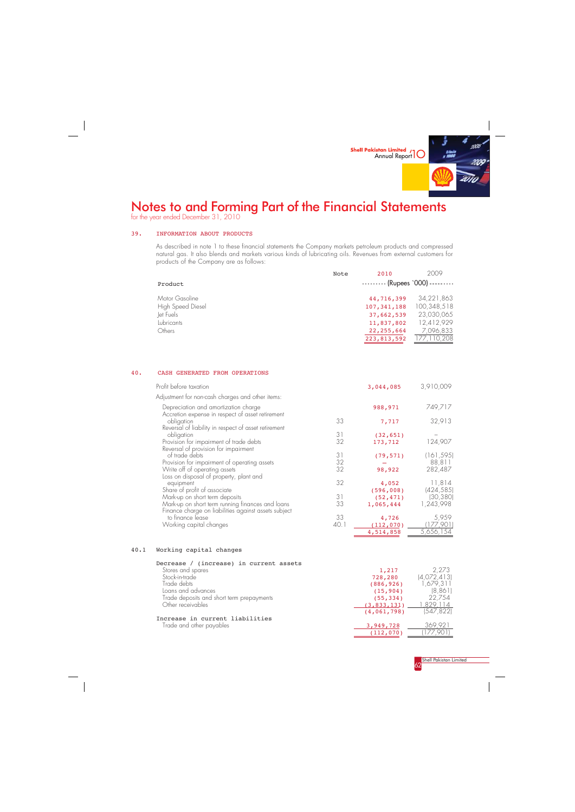

for the year ended December 31, 2010



#### 39. INFORMATION ABOUT PRODUCTS

#### 40. CASH GENERATED FROM OPERATIONS

As described in note 1 to these financial statements the Company markets petroleum products and compressed natural gas. It also blends and markets various kinds of lubricating oils. Revenues from external customers for products of the Company are as follows:

|                                            | Note | 2010                                     | 2009                      |
|--------------------------------------------|------|------------------------------------------|---------------------------|
| Product                                    |      | $\cdots$ $\cdots$ (Rupees `000) $\cdots$ |                           |
| Motor Gasoline<br><b>High Speed Diesel</b> |      | 44,716,399<br>107, 341, 188              | 34,221,863<br>100,348,518 |
| Jet Fuels                                  |      | 37,662,539                               | 23,030,065                |
| Lubricants                                 |      | 11,837,802                               | 12,412,929                |
| Others                                     |      | 22,255,664                               | 7,096,833                 |
|                                            |      | 223,813,592                              | 177, 110, 208             |

| Profit before taxation                                                                                   |      | 3,044,085           | 3,910,009            |
|----------------------------------------------------------------------------------------------------------|------|---------------------|----------------------|
| Adjustment for non-cash charges and other items:                                                         |      |                     |                      |
| Depreciation and amortization charge<br>Accretion expense in respect of asset retirement                 |      | 988,971             | 749,717              |
| obligation<br>Reversal of liability in respect of asset retirement                                       | 33   | 7,717               | 32,913               |
| obligation                                                                                               | 31   | (32, 651)           |                      |
| Provision for impairment of trade debts<br>Reversal of provision for impairment                          | 32   | 173,712             | 124,907              |
| of trade debts                                                                                           | 31   | (79, 571)           | (161, 595)           |
| Provision for impairment of operating assets                                                             | 32   |                     | 88,811               |
| Write off of operating assets<br>Loss on disposal of property, plant and                                 | 32   | 98,922              | 282,487              |
| equipment<br>Share of profit of associate                                                                | 32   | 4,052<br>(596, 008) | 11,814<br>(424, 585) |
| Mark-up on short term deposits                                                                           | 31   | (52, 471)           | (30, 380)            |
| Mark-up on short term running finances and loans<br>Finance charge on liabilities against assets subject | 33   | 1,065,444           | 1,243,998            |
| to finance lease                                                                                         | 33   | 4,726               | 5,959                |
| Working capital changes                                                                                  | 40.1 | (112, 070)          | 177,901)             |
|                                                                                                          |      | 4,514,858           | 5,656,154            |

#### 40.1 Working capital changes

 $\overline{a}$ 

| Decrease / (increase) in current assets   |             |             |
|-------------------------------------------|-------------|-------------|
| Stores and spares                         | 1,217       | 2 2 2 3     |
| Stock-in-trade                            | 728,280     | (4,072,413) |
| Trade debts                               | (886, 926)  | 1 679 311   |
| Loans and advances                        | (15, 904)   | (8.861)     |
| Trade deposits and short term prepayments | (55, 334)   | 22.754      |
| Other receivables                         | (3,833,131) | 829 114     |
|                                           |             |             |

Increase in current liabilities Trade and other payables

(4,061,798) (547,822)

| з.<br>19.728 | "2 T |
|--------------|------|
| (112, 070)   |      |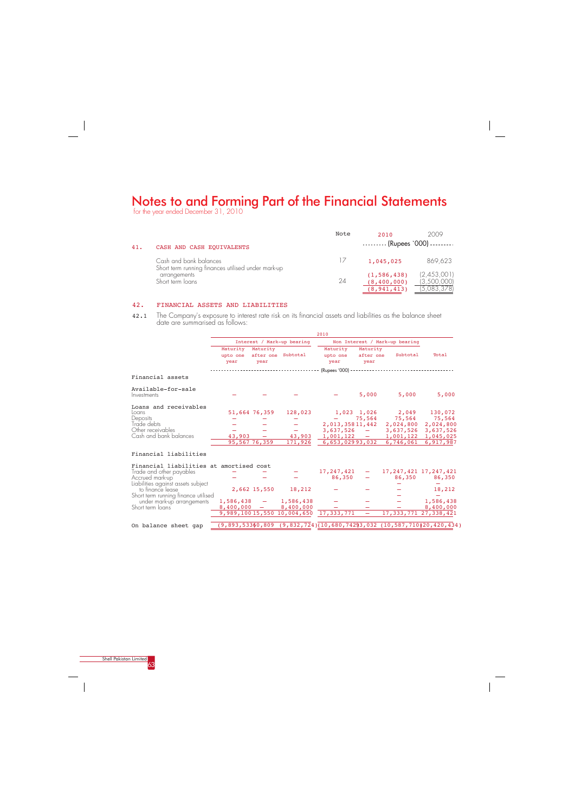for the year ended December 31, 2010



 $\overline{\phantom{a}}$ 

### 42. FINANCIAL ASSETS AND LIABILITIES

42.1 The Company's exposure to interest rate risk on its financial assets and liabilities as the balance sheet date are summarised as follows:

|     |                                                                              | Note | 2010                                            | 2009                                      |
|-----|------------------------------------------------------------------------------|------|-------------------------------------------------|-------------------------------------------|
| 41. | CASH AND CASH EQUIVALENTS                                                    |      | $\cdots$ $\cdots$ (Rupees `000) $\cdots$        |                                           |
|     | Cash and bank balances<br>Short term running finances utilised under mark-up |      | 1,045,025                                       | 869,623                                   |
|     | arrangements<br>Short term loans                                             | 24   | (1, 586, 438)<br>(8, 400, 000)<br>(8, 941, 413) | (2,453,001)<br>(3,500,000)<br>(5,083,378) |

|                                         |                              |                  |                                                     | 2010                         |                               |                                |                                                                              |
|-----------------------------------------|------------------------------|------------------|-----------------------------------------------------|------------------------------|-------------------------------|--------------------------------|------------------------------------------------------------------------------|
|                                         |                              |                  | Interest / Mark-up bearing                          |                              |                               | Non Interest / Mark-up bearing |                                                                              |
|                                         | Maturity<br>upto one<br>year | Maturity<br>year | after one Subtotal                                  | Maturity<br>upto one<br>year | Maturity<br>after one<br>year | Subtotal                       | Total                                                                        |
|                                         |                              |                  |                                                     |                              |                               |                                |                                                                              |
| Financial assets                        |                              |                  |                                                     |                              |                               |                                |                                                                              |
| Available-for-sale<br>Investments       |                              |                  |                                                     |                              | 5,000                         | 5,000                          | 5,000                                                                        |
| Loans and receivables<br>Loans          |                              | 51,664 76,359    | 128,023                                             |                              | 1,023 1,026                   | 2,049 130,072                  |                                                                              |
| Deposits                                |                              |                  |                                                     |                              | 75,564                        | 75,564                         | 75,564                                                                       |
| Trade debts                             |                              |                  |                                                     | 2,013,35811,442              |                               | 2,024,800                      | 2,024,800                                                                    |
| Other receivables                       |                              |                  |                                                     | 3,637,526                    | $\equiv$                      | 3,637,526                      | 3,637,526                                                                    |
| Cash and bank balances                  | 43,903                       |                  | 43,903                                              | 1,001,122                    | <b>Contract</b>               | 1,001,122                      | 1,045,025                                                                    |
|                                         |                              | 95,567 76,359    | 171,926                                             | 6,653,02993,032              |                               | 6,746,061                      | 6,917,987                                                                    |
| Financial liabilities                   |                              |                  |                                                     |                              |                               |                                |                                                                              |
| Financial liabilities at amortised cost |                              |                  |                                                     |                              |                               |                                |                                                                              |
| Trade and other payables                |                              |                  |                                                     | 17, 247, 421                 | $\qquad \qquad -$             |                                | 17, 247, 421 17, 247, 421                                                    |
| Accrued mark-up                         |                              |                  |                                                     | 86,350                       |                               | 86,350                         | 86,350                                                                       |
| Liabilities against assets subject      |                              |                  |                                                     |                              |                               |                                |                                                                              |
| to finance lease                        |                              | 2,662 15,550     | 18,212                                              |                              |                               |                                | 18,212                                                                       |
| Short term running finance utilised     |                              |                  |                                                     |                              |                               |                                |                                                                              |
| under mark-up arrangements              | $1,586,438 -$                |                  | 1,586,438                                           |                              |                               |                                | 1,586,438                                                                    |
| Short term loans                        | $8,400,000 =$                |                  | 8,400,000<br>9,989,100 15,550 10,004,650 17,333,771 |                              |                               |                                | 8,400,000<br>17, 333, 771 27, 338, 421                                       |
|                                         |                              |                  |                                                     |                              |                               |                                |                                                                              |
| On balance sheet gap                    |                              |                  |                                                     |                              |                               |                                | $(9,893,53360,809$ $(9,832,724)(10,680,74293,032)$ $(10,587,710120,420,434)$ |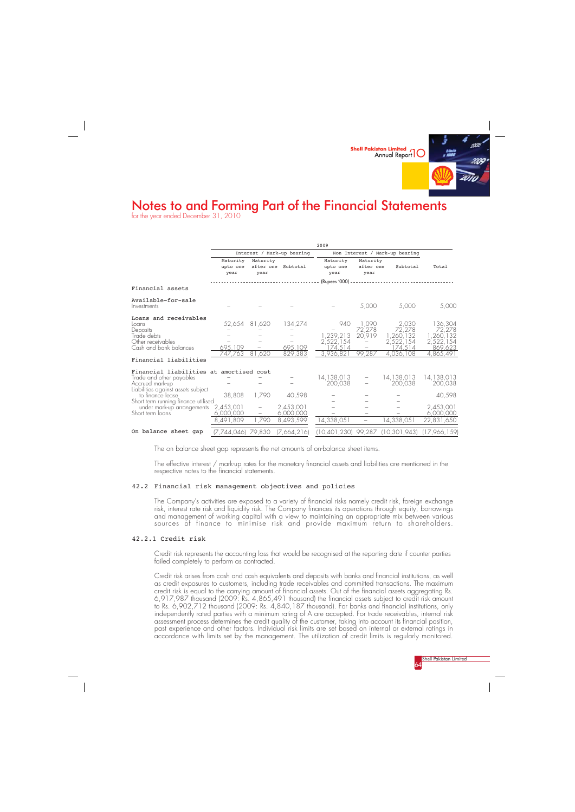

for the year ended December 31, 2010



The on balance sheet gap represents the net amounts of on-balance sheet items.

The effective interest / mark-up rates for the monetary financial assets and liabilities are mentioned in the respective notes to the financial statements.

#### 42.2 Financial risk management objectives and policies

Credit risk arises from cash and cash equivalents and deposits with banks and financial institutions, as well as credit exposures to customers, including trade receivables and committed transactions. The maximum credit risk is equal to the carrying amount of financial assets. Out of the financial assets aggregating Rs. 6,917,987 thousand (2009: Rs. 4,865,491 thousand) the financial assets subject to credit risk amount to Rs. 6,902,712 thousand (2009: Rs. 4,840,187 thousand). For banks and financial institutions, only independently rated parties with a minimum rating of A are accepted. For trade receivables, internal risk assessment process determines the credit quality of the customer, taking into account its financial position, past experience and other factors. Individual risk limits are set based on internal or external ratings in accordance with limits set by the management. The utilization of credit limits is regularly monitored.

The Company's activities are exposed to a variety of financial risks namely credit risk, foreign exchange risk, interest rate risk and liquidity risk. The Company finances its operations through equity, borrowings and management of working capital with a view to maintaining an appropriate mix between various sources of finance to minimise risk and provide maximum return to shareholders.

#### 42.2.1 Credit risk

Credit risk represents the accounting loss that would be recognised at the reporting date if counter parties failed completely to perform as contracted.

|                                                                                               |                              |                          |                            | 2009                              |                               |                                   |                                   |
|-----------------------------------------------------------------------------------------------|------------------------------|--------------------------|----------------------------|-----------------------------------|-------------------------------|-----------------------------------|-----------------------------------|
|                                                                                               |                              |                          | Interest / Mark-up bearing | Non Interest / Mark-up bearing    |                               |                                   |                                   |
|                                                                                               | Maturity<br>upto one<br>year | Maturity<br>year         | after one Subtotal         | Maturity<br>upto one<br>year      | Maturity<br>after one<br>year | Subtotal                          | Total                             |
|                                                                                               |                              |                          |                            |                                   |                               |                                   |                                   |
| Financial assets                                                                              |                              |                          |                            |                                   |                               |                                   |                                   |
| Available-for-sale<br>Investments                                                             |                              |                          |                            |                                   | 5,000                         | 5,000                             | 5,000                             |
| Loans and receivables<br>Loans<br>Deposits                                                    | 52,654 81,620                |                          | 134,274                    | 940                               | 1,090<br>72,278               | 2,030<br>72,278                   | 136,304<br>72,278                 |
| Trade debts<br>Other receivables<br>Cash and bank balances                                    | 695,109                      |                          | 695,109                    | 1,239,213<br>2,522,154<br>174,514 | 20,919                        | 1,260,132<br>2,522,154<br>174,514 | 1,260,132<br>2,522,154<br>869,623 |
|                                                                                               | 747.763                      | 81,620                   | 829,383                    | 3,936,821                         | 99,287                        | 4,036,108                         | 4,865,491                         |
| Financial liabilities                                                                         |                              |                          |                            |                                   |                               |                                   |                                   |
| Financial liabilities at amortised cost<br>Trade and other payables<br>Accrued mark-up        |                              |                          |                            | 14,138,013<br>200.038             |                               | 14,138,013<br>200.038             | 14,138,013<br>200,038             |
| Liabilities against assets subject<br>to finance lease<br>Short term running finance utilised | 38,808                       | 1,790                    | 40,598                     |                                   |                               |                                   | 40,598                            |
| under mark-up arrangements<br>Short term loans                                                | 2,453,001<br>6,000,000       | $\overline{\phantom{m}}$ | 2,453,001<br>6,000,000     |                                   |                               |                                   | 2,453,001<br>6,000,000            |
|                                                                                               | 8,491,809                    | ,790                     | 8,493,599                  | 14,338,051                        | $\overline{\phantom{m}}$      | 4,338,051                         | 22,831,650                        |
| On balance sheet gap                                                                          | (7,744,046) 79,830           |                          | [7,664,216]                |                                   |                               | 10,401,230) 99,287 (10,301,943)   | (17,966,159)                      |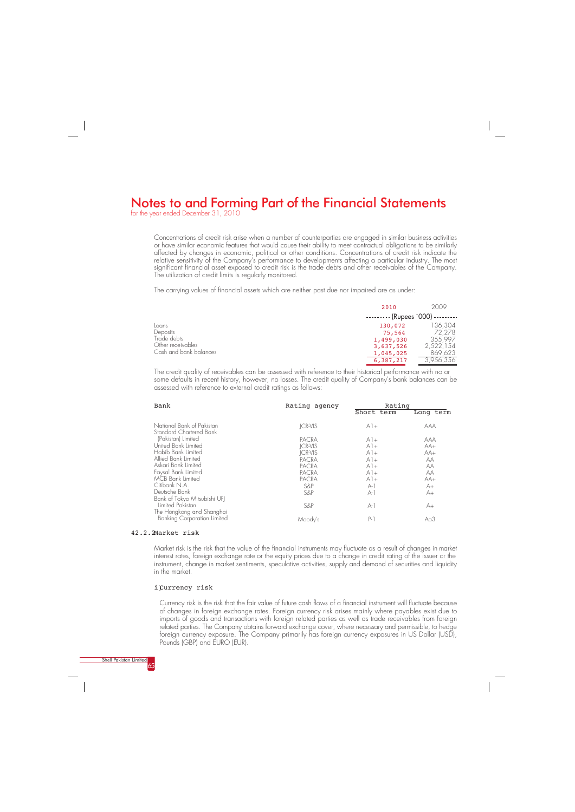for the year ended December 31, 2010



#### 42.2.2Market risk

Market risk is the risk that the value of the financial instruments may fluctuate as a result of changes in market interest rates, foreign exchange rate or the equity prices due to a change in credit rating of the issuer or the instrument, change in market sentiments, speculative activities, supply and demand of securities and liquidity in the market.

#### i)Currency risk

Currency risk is the risk that the fair value of future cash flows of a financial instrument will fluctuate because of changes in foreign exchange rates. Foreign currency risk arises mainly where payables exist due to imports of goods and transactions with foreign related parties as well as trade receivables from foreign related parties. The Company obtains forward exchange cover, where necessary and permissible, to hedge foreign currency exposure. The Company primarily has foreign currency exposures in US Dollar (USD), Pounds (GBP) and EURO (EUR).

Concentrations of credit risk arise when a number of counterparties are engaged in similar business activities or have similar economic features that would cause their ability to meet contractual obligations to be similarly affected by changes in economic, political or other conditions. Concentrations of credit risk indicate the relative sensitivity of the Company's performance to developments affecting a particular industry. The most significant financial asset exposed to credit risk is the trade debts and other receivables of the Company. The utilization of credit limits is regularly monitored.

The carrying values of financial assets which are neither past due nor impaired are as under:

|                         | 2010                             | 2009                   |
|-------------------------|----------------------------------|------------------------|
|                         | $------$ (Rupees `000) --------- |                        |
| Loans                   | 130,072                          | 136,304                |
| Deposits<br>Trade debts | 75,564                           | 72.278                 |
|                         | 1,499,030                        | 355.997                |
| Other receivables       | 3,637,526                        | 2,522,154              |
| Cash and bank balances  | 1,045,025                        | 869,623                |
|                         | 6,387,217                        | $3,956,3\overline{56}$ |

| Bank                                                                          | Rating agency  | Rating<br>Short term | Long term  |
|-------------------------------------------------------------------------------|----------------|----------------------|------------|
|                                                                               |                |                      |            |
| National Bank of Pakistan<br>Standard Chartered Bank                          | <b>ICR-VIS</b> | $A$ ] +              | <b>AAA</b> |
| (Pakistan) Limited                                                            | <b>PACRA</b>   | $A$ l +              | aaa        |
| United Bank Limited                                                           | JCR-VIS        | $A1+$                | $AA+$      |
| Habib Bank Limited                                                            | JCR-VIS        | $A$ l +              | $AA+$      |
| Allied Bank Limited                                                           | PACRA          | $A1+$                | АA         |
| Askari Bank Limited                                                           | PACRA          | $A$ l +              | АA         |
| Faysal Bank Limited                                                           | PACRA          | $A1+$                | АA         |
| <b>MCB</b> Bank Limited                                                       | <b>PACRA</b>   | $A1+$                | $AA+$      |
| Citibank N.A.                                                                 | S&P            | $A-1$                | A+         |
| Deutsche Bank                                                                 | S&P            | $A-1$                | A+         |
| Bank of Tokyo Mitsubishi UFJ<br>Limited Pakistan<br>The Hongkong and Shanghai | S&P            | $A-1$                | A+         |
| <b>Banking Corporation Limited</b>                                            | Moody's        | $P-1$                | $A0$ 3     |

The credit quality of receivables can be assessed with reference to their historical performance with no or some defaults in recent history, however, no losses. The credit quality of Company's bank balances can be assessed with reference to external credit ratings as follows: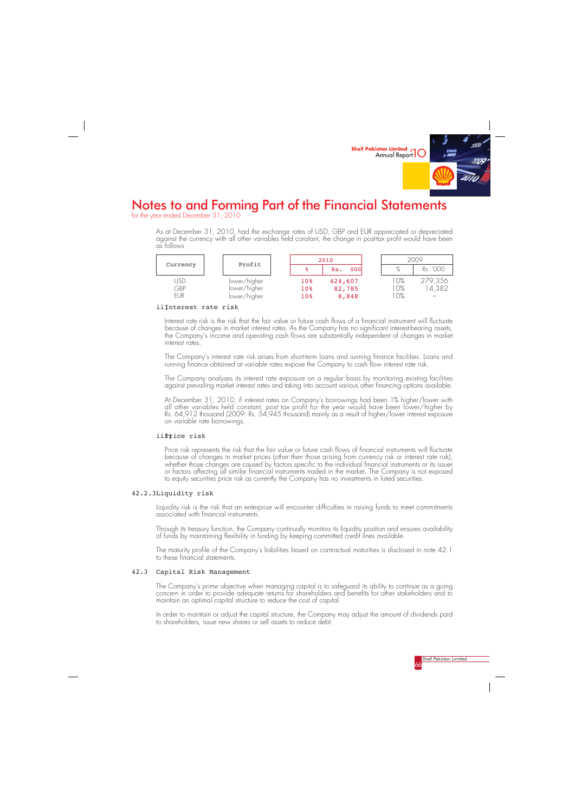

for the year ended December 31, 2010



As at December 31, 2010, had the exchange rates of USD, GBP and EUR appreciated or depreciated against the currency with all other variables held constant, the change in post-tax profit would have been as follows

|                          | Profit                                       | 2010                          |                            | 2009                    |                  |
|--------------------------|----------------------------------------------|-------------------------------|----------------------------|-------------------------|------------------|
| Currency                 |                                              | ႜႜ                            | 000<br>Rs.                 | %                       | Rs. '000         |
| USD<br>GBP<br><b>EUR</b> | lower/higher<br>lower/higher<br>lower/higher | 10 <sub>8</sub><br>10%<br>10% | 424,607<br>82,785<br>8,848 | $O\%$<br>$O\%$<br>$O\%$ | 279,356<br>4,382 |

#### iiInterest rate risk

Interest rate risk is the risk that the fair value or future cash flows of a financial instrument will fluctuate because of changes in market interest rates. As the Company has no significant interest-bearing assets, the Company's income and operating cash flows are substantially independent of changes in market interest rates.

Price risk represents the risk that the fair value or future cash flows of financial instruments will fluctuate because of changes in market prices (other then those arising from currency risk or interest rate risk), whether those changes are caused by factors specific to the individual financial instruments or its issuer or factors affecting all similar financial instruments traded in the market. The Company is not exposed to equity securities price risk as currently the Company has no investments in listed securities.

The Company's interest rate risk arises from short-term loans and running finance facilities. Loans and running finance obtained at variable rates expose the Company to cash flow interest rate risk.

The Company analyses its interest rate exposure on a regular basis by monitoring existing facilities against prevailing market interest rates and taking into account various other financing options available.

At December 31, 2010, if interest rates on Company's borrowings had been 1% higher/lower with all other variables held constant, post tax profit for the year would have been lower/higher by Rs. 64,912 thousand (2009: Rs. 54,945 thousand) mainly as a result of higher/lower interest exposure on variable rate borrowings.

### iiPrice risk

### 42.2.3Liquidity risk

Liquidity risk is the risk that an enterprise will encounter difficulties in raising funds to meet commitments associated with financial instruments.

Through its treasury function, the Company continually monitors its liquidity position and ensures availability of funds by maintaining flexibility in funding by keeping committed credit lines available.

The maturity profile of the Company's liabilities based on contractual maturities is disclosed in note 42.1 to these financial statements.

### 42.3 Capital Risk Management

The Company's prime objective when managing capital is to safeguard its ability to continue as a going concern in order to provide adequate returns for shareholders and benefits for other stakeholders and to maintain an optimal capital structure to reduce the cost of capital.

In order to maintain or adjust the capital structure, the Company may adjust the amount of dividends paid to shareholders, issue new shares or sell assets to reduce debt.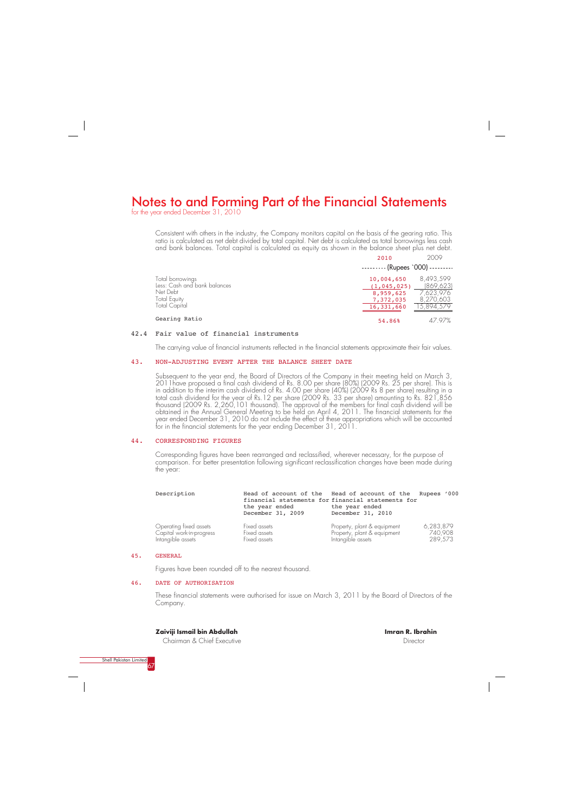for the year ended December 31, 2010



### **Zaiviji Ismail bin Abdullah**

Chairman & Chief Executive

#### **Imran R. Ibrahin** Director

Consistent with others in the industry, the Company monitors capital on the basis of the gearing ratio. This ratio is calculated as net debt divided by total capital. Net debt is calculated as total borrowings less cash and bank balances. Total capital is calculated as equity as shown in the balance sheet plus net debt.

|                                                  | 2010                                     | 2009                    |
|--------------------------------------------------|------------------------------------------|-------------------------|
|                                                  | $\cdots$ $\cdots$ (Rupees `000) $\cdots$ |                         |
| Total borrowings<br>Less: Cash and bank balances | 10,004,650<br>(1, 045, 025)              | 8,493,599<br>(869, 623) |
| Net Debt                                         | 8,959,625                                | 7,623,976               |
| <b>Total Equity</b><br>Total Capital             | 7,372,035<br>16,331,660                  | 8,270,603<br>15,894,579 |
| Gearing Ratio                                    | 54.86%                                   | 47 97%                  |

#### 42.4 Fair value of financial instruments

The carrying value of financial instruments reflected in the financial statements approximate their fair values.

#### 43. NON-ADJUSTING EVENT AFTER THE BALANCE SHEET DATE

Subsequent to the year end, the Board of Directors of the Company in their meeting held on March 3, 2011have proposed a final cash dividend of Rs. 8.00 per share (80%) (2009 Rs. 25 per share). This is in addition to the interim cash dividend of Rs. 4.00 per share (40%) (2009 Rs 8 per share) resulting in a total cash dividend for the year of Rs.12 per share (2009 Rs. 33 per share) amounting to Rs. 821,856 thousand (2009 Rs. 2,260,101 thousand). The approval of the members for final cash dividend will be obtained in the Annual General Meeting to be held on April 4, 2011. The financial statements for the year ended December 31, 2010 do not include the effect of these appropriations which will be accounted for in the financial statements for the year ending December 31, 2011.

#### 44. CORRESPONDING FIGURES

Corresponding figures have been rearranged and reclassified, wherever necessary, for the purpose of comparison. For better presentation following significant reclassification changes have been made during the year:

| Description              | the year ended<br>December 31, 2009 | Head of account of the Head of account of the Rupees '000<br>financial statements for financial statements for<br>the year ended<br>December 31, 2010 |           |
|--------------------------|-------------------------------------|-------------------------------------------------------------------------------------------------------------------------------------------------------|-----------|
| Operating fixed assets   | Fixed assets                        | Property, plant & equipment                                                                                                                           | 6,283,879 |
| Capital work-in-progress | Fixed assets                        | Property, plant & equipment                                                                                                                           | 740.908   |
| Intangible assets        | Fixed assets                        | Intangible assets                                                                                                                                     | 289,573   |

#### 45. GENERAL

Figures have been rounded off to the nearest thousand.

#### 46. DATE OF AUTHORISATION

These financial statements were authorised for issue on March 3, 2011 by the Board of Directors of the Company.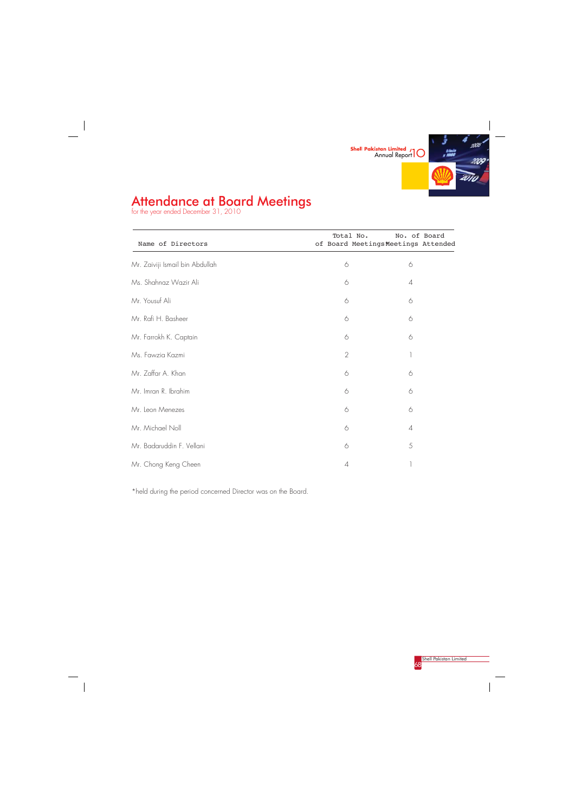

# Attendance at Board Meetings

for the year ended December 31, 2010



 $\frac{1}{\sqrt{2\pi}}\int_{0}^{\pi}\frac{1}{\sqrt{2\pi}}\left( \frac{1}{2}\frac{1}{2}\frac{1}{2}\frac{1}{2}\frac{1}{2}\frac{1}{2}\frac{1}{2}\frac{1}{2}\frac{1}{2}\frac{1}{2}\frac{1}{2}\frac{1}{2}\frac{1}{2}\frac{1}{2}\frac{1}{2}\frac{1}{2}\frac{1}{2}\frac{1}{2}\frac{1}{2}\frac{1}{2}\frac{1}{2}\frac{1}{2}\frac{1}{2}\frac{1}{2}\frac{1}{2}\frac{1}{2}\frac{1}{2}\frac{1}{2}\frac{1}{2}\frac{1}{2}\frac{1}{$ 

| Name of Directors               | Total No.      | No. of Board<br>of Board Meetings Meetings Attended |
|---------------------------------|----------------|-----------------------------------------------------|
| Mr. Zaiviji Ismail bin Abdullah | $\Diamond$     | 6                                                   |
| Ms. Shahnaz Wazir Ali           | 6              | $\overline{A}$                                      |
| Mr. Yousuf Ali                  | 6              | 6                                                   |
| Mr. Rafi H. Basheer             | 6              | 6                                                   |
| Mr. Farrokh K. Captain          | 6              | 6                                                   |
| Ms. Fawzia Kazmi                | $\sqrt{2}$     | 1                                                   |
| Mr. Zaffar A. Khan              | 6              | 6                                                   |
| Mr. Imran R. Ibrahim            | 6              | 6                                                   |
| Mr. Leon Menezes                | 6              | 6                                                   |
| Mr. Michael Noll                | 6              | $\overline{A}$                                      |
| Mr. Badaruddin F. Vellani       | 6              | 5                                                   |
| Mr. Chong Keng Cheen            | $\overline{A}$ | 1                                                   |

\*held during the period concerned Director was on the Board.

 $\frac{1}{\sqrt{2}}$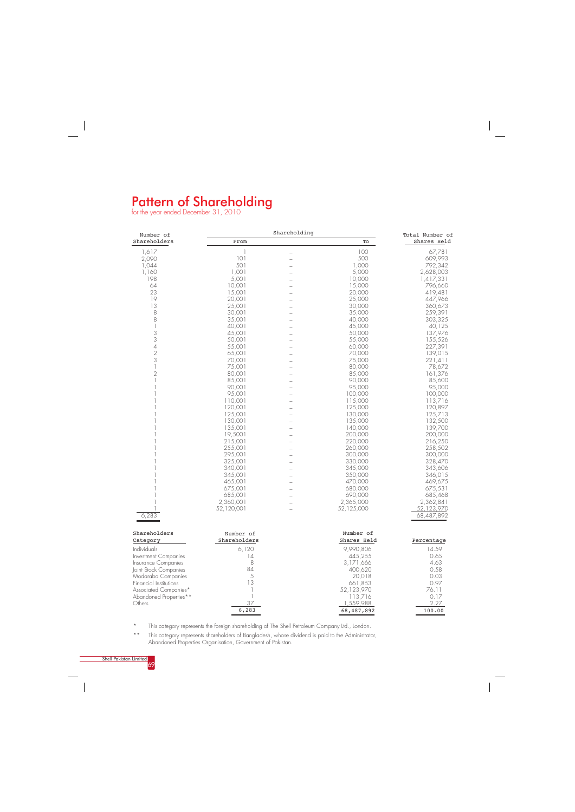## Pattern of Shareholding

for the year ended December 31, 2010

 $\sim$  1



68,487,892

\* This category represents the foreign shareholding of The Shell Petroleum Company Ltd., London.

\*\* This category represents shareholders of Bangladesh, whose dividend is paid to the Administrator, Abandoned Properties Organisation, Government of Pakistan.

100.00

| Shares Held<br>Shareholders<br>To<br>From<br>100<br>1,617<br>67,781<br>1<br>500<br>101<br>2,090<br>609,993<br>L.<br>501<br>1,000<br>1,044<br>792,342<br>1,160<br>1,001<br>5,000<br>2,628,003<br>198<br>5,001<br>10,000<br>1,417,331<br>64<br>10,001<br>15,000<br>796,660<br>23<br>15,001<br>20,000<br>419,481<br>L.<br>19<br>20,001<br>25,000<br>447,966<br>13<br>25,001<br>30,000<br>360,673<br>L<br>8<br>35,000<br>259,391<br>30,001<br>8<br>35,001<br>40,000<br>303,325<br>1<br>40,001<br>45,000<br>40,125<br>$\mathfrak 3$<br>137,976<br>45,001<br>50,000<br>L.<br>$\ensuremath{\mathsf{3}}$<br>50,001<br>55,000<br>155,526<br>$\overline{\mathcal{A}}$<br>227,391<br>55,001<br>60,000<br>$\sqrt{2}$<br>70,000<br>65,001<br>139,015<br>$\mathfrak 3$<br>75,000<br>70,001<br>221,411<br>75,001<br>80,000<br>78,672<br>$\overline{2}$<br>80,001<br>85,000<br>161,376<br>85,001<br>90,000<br>85,600<br>90.001<br>95,000<br>95,000<br>95,001<br>100,000<br>100,000<br>110,001<br>115,000<br>113,716<br>120,001<br>125,000<br>120,897<br>125,001<br>130,000<br>125,713<br>L.<br>130,001<br>135,000<br>132,500<br>135,001<br>139,700<br>140,000<br>19,5001<br>200,000<br>200,000<br>215,001<br>220,000<br>216,250<br>255,001<br>260,000<br>258,502<br>-<br>295,001<br>300,000<br>300,000<br>325,001<br>330,000<br>328,470<br>340,001<br>345,000<br>343,606<br>345,001<br>350,000<br>346,015<br>465,001<br>470,000<br>469,675<br>L.<br>675,001<br>680,000<br>675,531<br>L.<br>685,001<br>690,000<br>685,468<br>2,360,001<br>2,365,000<br>2,362,841<br>52,125,000<br>52,123,970<br>52,120,001<br>6,283<br>68,487,892<br>Shareholders<br>Number of<br>Number of<br>Shareholders<br>Shares Held<br>Category<br>Percentage<br>Individuals<br>14.59<br>6,120<br>9,990,806<br> 4<br>445,255<br>Investment Companies<br>0.65<br>8<br>3,171,666<br>4.63<br>Insurance Companies<br>84<br>0.58<br>Joint Stock Companies<br>400,620<br>5<br>20,018<br>0.03<br>Modaraba Companies<br>13<br>0.97<br>Financial Institutions<br>661,853<br>Associated Companies*<br>-1<br>52,123,970<br>76.11<br>1<br>0.17<br>Abandoned Properties**<br>113,716<br>37<br>1,559,988<br>2.27<br>Others | Number of | Shareholding | Total Number of |
|--------------------------------------------------------------------------------------------------------------------------------------------------------------------------------------------------------------------------------------------------------------------------------------------------------------------------------------------------------------------------------------------------------------------------------------------------------------------------------------------------------------------------------------------------------------------------------------------------------------------------------------------------------------------------------------------------------------------------------------------------------------------------------------------------------------------------------------------------------------------------------------------------------------------------------------------------------------------------------------------------------------------------------------------------------------------------------------------------------------------------------------------------------------------------------------------------------------------------------------------------------------------------------------------------------------------------------------------------------------------------------------------------------------------------------------------------------------------------------------------------------------------------------------------------------------------------------------------------------------------------------------------------------------------------------------------------------------------------------------------------------------------------------------------------------------------------------------------------------------------------------------------------------------------------------------------------------------------------------------------------------------------------------------------------------------------------------------------------------------------------------------------------------------------|-----------|--------------|-----------------|
|                                                                                                                                                                                                                                                                                                                                                                                                                                                                                                                                                                                                                                                                                                                                                                                                                                                                                                                                                                                                                                                                                                                                                                                                                                                                                                                                                                                                                                                                                                                                                                                                                                                                                                                                                                                                                                                                                                                                                                                                                                                                                                                                                                    |           |              |                 |
|                                                                                                                                                                                                                                                                                                                                                                                                                                                                                                                                                                                                                                                                                                                                                                                                                                                                                                                                                                                                                                                                                                                                                                                                                                                                                                                                                                                                                                                                                                                                                                                                                                                                                                                                                                                                                                                                                                                                                                                                                                                                                                                                                                    |           |              |                 |
|                                                                                                                                                                                                                                                                                                                                                                                                                                                                                                                                                                                                                                                                                                                                                                                                                                                                                                                                                                                                                                                                                                                                                                                                                                                                                                                                                                                                                                                                                                                                                                                                                                                                                                                                                                                                                                                                                                                                                                                                                                                                                                                                                                    |           |              |                 |
|                                                                                                                                                                                                                                                                                                                                                                                                                                                                                                                                                                                                                                                                                                                                                                                                                                                                                                                                                                                                                                                                                                                                                                                                                                                                                                                                                                                                                                                                                                                                                                                                                                                                                                                                                                                                                                                                                                                                                                                                                                                                                                                                                                    |           |              |                 |
|                                                                                                                                                                                                                                                                                                                                                                                                                                                                                                                                                                                                                                                                                                                                                                                                                                                                                                                                                                                                                                                                                                                                                                                                                                                                                                                                                                                                                                                                                                                                                                                                                                                                                                                                                                                                                                                                                                                                                                                                                                                                                                                                                                    |           |              |                 |
|                                                                                                                                                                                                                                                                                                                                                                                                                                                                                                                                                                                                                                                                                                                                                                                                                                                                                                                                                                                                                                                                                                                                                                                                                                                                                                                                                                                                                                                                                                                                                                                                                                                                                                                                                                                                                                                                                                                                                                                                                                                                                                                                                                    |           |              |                 |
|                                                                                                                                                                                                                                                                                                                                                                                                                                                                                                                                                                                                                                                                                                                                                                                                                                                                                                                                                                                                                                                                                                                                                                                                                                                                                                                                                                                                                                                                                                                                                                                                                                                                                                                                                                                                                                                                                                                                                                                                                                                                                                                                                                    |           |              |                 |
|                                                                                                                                                                                                                                                                                                                                                                                                                                                                                                                                                                                                                                                                                                                                                                                                                                                                                                                                                                                                                                                                                                                                                                                                                                                                                                                                                                                                                                                                                                                                                                                                                                                                                                                                                                                                                                                                                                                                                                                                                                                                                                                                                                    |           |              |                 |
|                                                                                                                                                                                                                                                                                                                                                                                                                                                                                                                                                                                                                                                                                                                                                                                                                                                                                                                                                                                                                                                                                                                                                                                                                                                                                                                                                                                                                                                                                                                                                                                                                                                                                                                                                                                                                                                                                                                                                                                                                                                                                                                                                                    |           |              |                 |
|                                                                                                                                                                                                                                                                                                                                                                                                                                                                                                                                                                                                                                                                                                                                                                                                                                                                                                                                                                                                                                                                                                                                                                                                                                                                                                                                                                                                                                                                                                                                                                                                                                                                                                                                                                                                                                                                                                                                                                                                                                                                                                                                                                    |           |              |                 |
|                                                                                                                                                                                                                                                                                                                                                                                                                                                                                                                                                                                                                                                                                                                                                                                                                                                                                                                                                                                                                                                                                                                                                                                                                                                                                                                                                                                                                                                                                                                                                                                                                                                                                                                                                                                                                                                                                                                                                                                                                                                                                                                                                                    |           |              |                 |
|                                                                                                                                                                                                                                                                                                                                                                                                                                                                                                                                                                                                                                                                                                                                                                                                                                                                                                                                                                                                                                                                                                                                                                                                                                                                                                                                                                                                                                                                                                                                                                                                                                                                                                                                                                                                                                                                                                                                                                                                                                                                                                                                                                    |           |              |                 |
|                                                                                                                                                                                                                                                                                                                                                                                                                                                                                                                                                                                                                                                                                                                                                                                                                                                                                                                                                                                                                                                                                                                                                                                                                                                                                                                                                                                                                                                                                                                                                                                                                                                                                                                                                                                                                                                                                                                                                                                                                                                                                                                                                                    |           |              |                 |
|                                                                                                                                                                                                                                                                                                                                                                                                                                                                                                                                                                                                                                                                                                                                                                                                                                                                                                                                                                                                                                                                                                                                                                                                                                                                                                                                                                                                                                                                                                                                                                                                                                                                                                                                                                                                                                                                                                                                                                                                                                                                                                                                                                    |           |              |                 |
|                                                                                                                                                                                                                                                                                                                                                                                                                                                                                                                                                                                                                                                                                                                                                                                                                                                                                                                                                                                                                                                                                                                                                                                                                                                                                                                                                                                                                                                                                                                                                                                                                                                                                                                                                                                                                                                                                                                                                                                                                                                                                                                                                                    |           |              |                 |
|                                                                                                                                                                                                                                                                                                                                                                                                                                                                                                                                                                                                                                                                                                                                                                                                                                                                                                                                                                                                                                                                                                                                                                                                                                                                                                                                                                                                                                                                                                                                                                                                                                                                                                                                                                                                                                                                                                                                                                                                                                                                                                                                                                    |           |              |                 |
|                                                                                                                                                                                                                                                                                                                                                                                                                                                                                                                                                                                                                                                                                                                                                                                                                                                                                                                                                                                                                                                                                                                                                                                                                                                                                                                                                                                                                                                                                                                                                                                                                                                                                                                                                                                                                                                                                                                                                                                                                                                                                                                                                                    |           |              |                 |
|                                                                                                                                                                                                                                                                                                                                                                                                                                                                                                                                                                                                                                                                                                                                                                                                                                                                                                                                                                                                                                                                                                                                                                                                                                                                                                                                                                                                                                                                                                                                                                                                                                                                                                                                                                                                                                                                                                                                                                                                                                                                                                                                                                    |           |              |                 |
|                                                                                                                                                                                                                                                                                                                                                                                                                                                                                                                                                                                                                                                                                                                                                                                                                                                                                                                                                                                                                                                                                                                                                                                                                                                                                                                                                                                                                                                                                                                                                                                                                                                                                                                                                                                                                                                                                                                                                                                                                                                                                                                                                                    |           |              |                 |
|                                                                                                                                                                                                                                                                                                                                                                                                                                                                                                                                                                                                                                                                                                                                                                                                                                                                                                                                                                                                                                                                                                                                                                                                                                                                                                                                                                                                                                                                                                                                                                                                                                                                                                                                                                                                                                                                                                                                                                                                                                                                                                                                                                    |           |              |                 |
|                                                                                                                                                                                                                                                                                                                                                                                                                                                                                                                                                                                                                                                                                                                                                                                                                                                                                                                                                                                                                                                                                                                                                                                                                                                                                                                                                                                                                                                                                                                                                                                                                                                                                                                                                                                                                                                                                                                                                                                                                                                                                                                                                                    |           |              |                 |
|                                                                                                                                                                                                                                                                                                                                                                                                                                                                                                                                                                                                                                                                                                                                                                                                                                                                                                                                                                                                                                                                                                                                                                                                                                                                                                                                                                                                                                                                                                                                                                                                                                                                                                                                                                                                                                                                                                                                                                                                                                                                                                                                                                    |           |              |                 |
|                                                                                                                                                                                                                                                                                                                                                                                                                                                                                                                                                                                                                                                                                                                                                                                                                                                                                                                                                                                                                                                                                                                                                                                                                                                                                                                                                                                                                                                                                                                                                                                                                                                                                                                                                                                                                                                                                                                                                                                                                                                                                                                                                                    |           |              |                 |
|                                                                                                                                                                                                                                                                                                                                                                                                                                                                                                                                                                                                                                                                                                                                                                                                                                                                                                                                                                                                                                                                                                                                                                                                                                                                                                                                                                                                                                                                                                                                                                                                                                                                                                                                                                                                                                                                                                                                                                                                                                                                                                                                                                    |           |              |                 |
|                                                                                                                                                                                                                                                                                                                                                                                                                                                                                                                                                                                                                                                                                                                                                                                                                                                                                                                                                                                                                                                                                                                                                                                                                                                                                                                                                                                                                                                                                                                                                                                                                                                                                                                                                                                                                                                                                                                                                                                                                                                                                                                                                                    |           |              |                 |
|                                                                                                                                                                                                                                                                                                                                                                                                                                                                                                                                                                                                                                                                                                                                                                                                                                                                                                                                                                                                                                                                                                                                                                                                                                                                                                                                                                                                                                                                                                                                                                                                                                                                                                                                                                                                                                                                                                                                                                                                                                                                                                                                                                    |           |              |                 |
|                                                                                                                                                                                                                                                                                                                                                                                                                                                                                                                                                                                                                                                                                                                                                                                                                                                                                                                                                                                                                                                                                                                                                                                                                                                                                                                                                                                                                                                                                                                                                                                                                                                                                                                                                                                                                                                                                                                                                                                                                                                                                                                                                                    |           |              |                 |
|                                                                                                                                                                                                                                                                                                                                                                                                                                                                                                                                                                                                                                                                                                                                                                                                                                                                                                                                                                                                                                                                                                                                                                                                                                                                                                                                                                                                                                                                                                                                                                                                                                                                                                                                                                                                                                                                                                                                                                                                                                                                                                                                                                    |           |              |                 |
|                                                                                                                                                                                                                                                                                                                                                                                                                                                                                                                                                                                                                                                                                                                                                                                                                                                                                                                                                                                                                                                                                                                                                                                                                                                                                                                                                                                                                                                                                                                                                                                                                                                                                                                                                                                                                                                                                                                                                                                                                                                                                                                                                                    |           |              |                 |
|                                                                                                                                                                                                                                                                                                                                                                                                                                                                                                                                                                                                                                                                                                                                                                                                                                                                                                                                                                                                                                                                                                                                                                                                                                                                                                                                                                                                                                                                                                                                                                                                                                                                                                                                                                                                                                                                                                                                                                                                                                                                                                                                                                    |           |              |                 |
|                                                                                                                                                                                                                                                                                                                                                                                                                                                                                                                                                                                                                                                                                                                                                                                                                                                                                                                                                                                                                                                                                                                                                                                                                                                                                                                                                                                                                                                                                                                                                                                                                                                                                                                                                                                                                                                                                                                                                                                                                                                                                                                                                                    |           |              |                 |
|                                                                                                                                                                                                                                                                                                                                                                                                                                                                                                                                                                                                                                                                                                                                                                                                                                                                                                                                                                                                                                                                                                                                                                                                                                                                                                                                                                                                                                                                                                                                                                                                                                                                                                                                                                                                                                                                                                                                                                                                                                                                                                                                                                    |           |              |                 |
|                                                                                                                                                                                                                                                                                                                                                                                                                                                                                                                                                                                                                                                                                                                                                                                                                                                                                                                                                                                                                                                                                                                                                                                                                                                                                                                                                                                                                                                                                                                                                                                                                                                                                                                                                                                                                                                                                                                                                                                                                                                                                                                                                                    |           |              |                 |
|                                                                                                                                                                                                                                                                                                                                                                                                                                                                                                                                                                                                                                                                                                                                                                                                                                                                                                                                                                                                                                                                                                                                                                                                                                                                                                                                                                                                                                                                                                                                                                                                                                                                                                                                                                                                                                                                                                                                                                                                                                                                                                                                                                    |           |              |                 |
|                                                                                                                                                                                                                                                                                                                                                                                                                                                                                                                                                                                                                                                                                                                                                                                                                                                                                                                                                                                                                                                                                                                                                                                                                                                                                                                                                                                                                                                                                                                                                                                                                                                                                                                                                                                                                                                                                                                                                                                                                                                                                                                                                                    |           |              |                 |
|                                                                                                                                                                                                                                                                                                                                                                                                                                                                                                                                                                                                                                                                                                                                                                                                                                                                                                                                                                                                                                                                                                                                                                                                                                                                                                                                                                                                                                                                                                                                                                                                                                                                                                                                                                                                                                                                                                                                                                                                                                                                                                                                                                    |           |              |                 |
|                                                                                                                                                                                                                                                                                                                                                                                                                                                                                                                                                                                                                                                                                                                                                                                                                                                                                                                                                                                                                                                                                                                                                                                                                                                                                                                                                                                                                                                                                                                                                                                                                                                                                                                                                                                                                                                                                                                                                                                                                                                                                                                                                                    |           |              |                 |
|                                                                                                                                                                                                                                                                                                                                                                                                                                                                                                                                                                                                                                                                                                                                                                                                                                                                                                                                                                                                                                                                                                                                                                                                                                                                                                                                                                                                                                                                                                                                                                                                                                                                                                                                                                                                                                                                                                                                                                                                                                                                                                                                                                    |           |              |                 |
|                                                                                                                                                                                                                                                                                                                                                                                                                                                                                                                                                                                                                                                                                                                                                                                                                                                                                                                                                                                                                                                                                                                                                                                                                                                                                                                                                                                                                                                                                                                                                                                                                                                                                                                                                                                                                                                                                                                                                                                                                                                                                                                                                                    |           |              |                 |
|                                                                                                                                                                                                                                                                                                                                                                                                                                                                                                                                                                                                                                                                                                                                                                                                                                                                                                                                                                                                                                                                                                                                                                                                                                                                                                                                                                                                                                                                                                                                                                                                                                                                                                                                                                                                                                                                                                                                                                                                                                                                                                                                                                    |           |              |                 |
|                                                                                                                                                                                                                                                                                                                                                                                                                                                                                                                                                                                                                                                                                                                                                                                                                                                                                                                                                                                                                                                                                                                                                                                                                                                                                                                                                                                                                                                                                                                                                                                                                                                                                                                                                                                                                                                                                                                                                                                                                                                                                                                                                                    |           |              |                 |
|                                                                                                                                                                                                                                                                                                                                                                                                                                                                                                                                                                                                                                                                                                                                                                                                                                                                                                                                                                                                                                                                                                                                                                                                                                                                                                                                                                                                                                                                                                                                                                                                                                                                                                                                                                                                                                                                                                                                                                                                                                                                                                                                                                    |           |              |                 |
|                                                                                                                                                                                                                                                                                                                                                                                                                                                                                                                                                                                                                                                                                                                                                                                                                                                                                                                                                                                                                                                                                                                                                                                                                                                                                                                                                                                                                                                                                                                                                                                                                                                                                                                                                                                                                                                                                                                                                                                                                                                                                                                                                                    |           |              |                 |
|                                                                                                                                                                                                                                                                                                                                                                                                                                                                                                                                                                                                                                                                                                                                                                                                                                                                                                                                                                                                                                                                                                                                                                                                                                                                                                                                                                                                                                                                                                                                                                                                                                                                                                                                                                                                                                                                                                                                                                                                                                                                                                                                                                    |           |              |                 |
|                                                                                                                                                                                                                                                                                                                                                                                                                                                                                                                                                                                                                                                                                                                                                                                                                                                                                                                                                                                                                                                                                                                                                                                                                                                                                                                                                                                                                                                                                                                                                                                                                                                                                                                                                                                                                                                                                                                                                                                                                                                                                                                                                                    |           |              |                 |
|                                                                                                                                                                                                                                                                                                                                                                                                                                                                                                                                                                                                                                                                                                                                                                                                                                                                                                                                                                                                                                                                                                                                                                                                                                                                                                                                                                                                                                                                                                                                                                                                                                                                                                                                                                                                                                                                                                                                                                                                                                                                                                                                                                    |           |              |                 |
|                                                                                                                                                                                                                                                                                                                                                                                                                                                                                                                                                                                                                                                                                                                                                                                                                                                                                                                                                                                                                                                                                                                                                                                                                                                                                                                                                                                                                                                                                                                                                                                                                                                                                                                                                                                                                                                                                                                                                                                                                                                                                                                                                                    |           |              |                 |
|                                                                                                                                                                                                                                                                                                                                                                                                                                                                                                                                                                                                                                                                                                                                                                                                                                                                                                                                                                                                                                                                                                                                                                                                                                                                                                                                                                                                                                                                                                                                                                                                                                                                                                                                                                                                                                                                                                                                                                                                                                                                                                                                                                    |           |              |                 |
|                                                                                                                                                                                                                                                                                                                                                                                                                                                                                                                                                                                                                                                                                                                                                                                                                                                                                                                                                                                                                                                                                                                                                                                                                                                                                                                                                                                                                                                                                                                                                                                                                                                                                                                                                                                                                                                                                                                                                                                                                                                                                                                                                                    |           |              |                 |
|                                                                                                                                                                                                                                                                                                                                                                                                                                                                                                                                                                                                                                                                                                                                                                                                                                                                                                                                                                                                                                                                                                                                                                                                                                                                                                                                                                                                                                                                                                                                                                                                                                                                                                                                                                                                                                                                                                                                                                                                                                                                                                                                                                    |           |              |                 |

6,283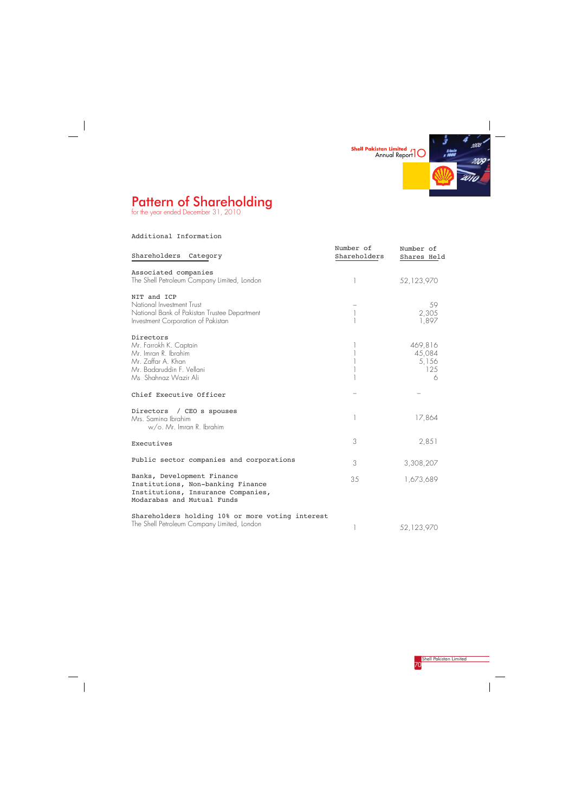

# Pattern of Shareholding

for the year ended December 31, 2010



 $\frac{1}{\sqrt{2\pi}}\int_{0}^{\pi}d\mathbf{x}^{2}d\mathbf{x}^{2}d\mathbf{x}^{2}d\mathbf{x}^{2}d\mathbf{x}^{2}d\mathbf{x}^{2}d\mathbf{x}^{2}d\mathbf{x}^{2}d\mathbf{x}^{2}d\mathbf{x}^{2}d\mathbf{x}^{2}d\mathbf{x}^{2}d\mathbf{x}^{2}d\mathbf{x}^{2}d\mathbf{x}^{2}d\mathbf{x}^{2}d\mathbf{x}^{2}d\mathbf{x}^{2}d\mathbf{x}^{2}d\mathbf{x}^{2}d\mathbf{x}^{2}d\mathbf{x}^{2}d$ 

Additional Information

 $\begin{array}{c} \begin{array}{c} \begin{array}{c} \begin{array}{c} \end{array} \\ \begin{array}{c} \end{array} \end{array} \end{array} \end{array}$ 

| Shareholders<br>Category                                                                                                               | Number of<br>Shareholders | Number of<br>Shares Held               |
|----------------------------------------------------------------------------------------------------------------------------------------|---------------------------|----------------------------------------|
| Associated companies<br>The Shell Petroleum Company Limited, London                                                                    |                           | 52,123,970                             |
| NIT and ICP<br>National Investment Trust<br>National Bank of Pakistan Trustee Department<br>Investment Corporation of Pakistan         |                           | 59<br>2,305<br>1,897                   |
| Directors<br>Mr. Farrokh K. Captain<br>Mr. Imran R. Ibrahim<br>Mr. Zaffar A. Khan<br>Mr. Badaruddin F. Vellani<br>Ms Shahnaz Wazir Ali |                           | 469,816<br>45,084<br>5,156<br>125<br>6 |
| Chief Executive Officer                                                                                                                |                           |                                        |
| Directors / CEO s spouses<br>Mrs. Samina Ibrahim<br>w/o. Mr. Imran R. Ibrahim                                                          |                           | 17,864                                 |
| Executives                                                                                                                             | 3                         | 2,851                                  |
| Public sector companies and corporations                                                                                               | 3                         | 3,308,207                              |
| Banks, Development Finance<br>Institutions, Non-banking Finance<br>Institutions, Insurance Companies,<br>Modarabas and Mutual Funds    | 35                        | 1,673,689                              |
| Shareholders holding 10% or more voting interest<br>The Shell Petroleum Company Limited, London                                        |                           | 52,123,970                             |